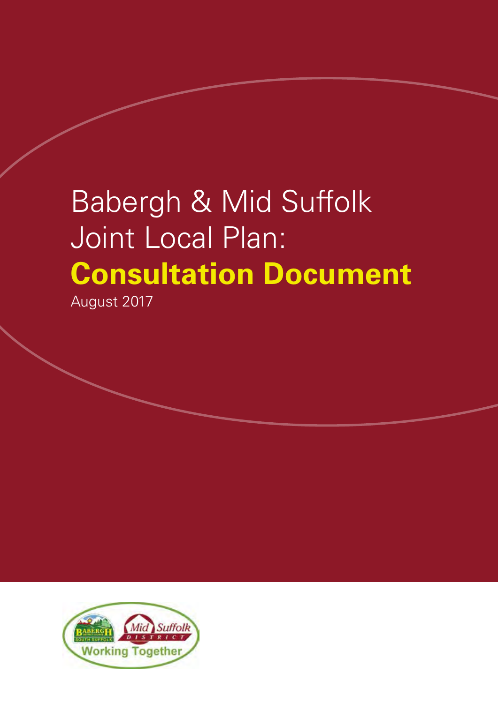## Babergh & Mid Suffolk Joint Local Plan: **Consultation Document**

August 2017

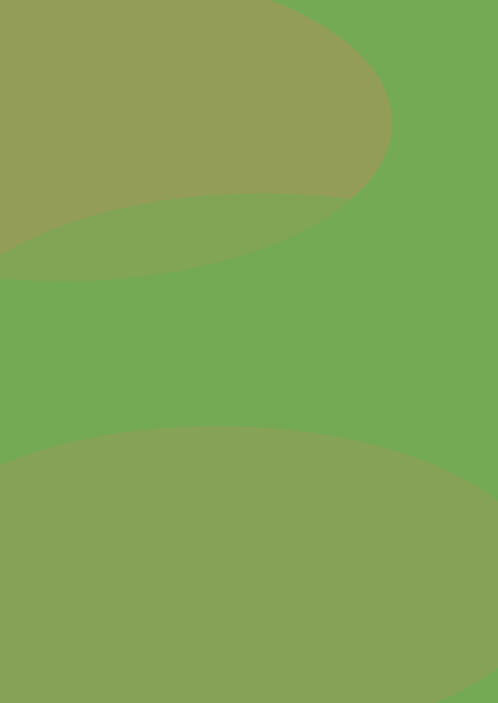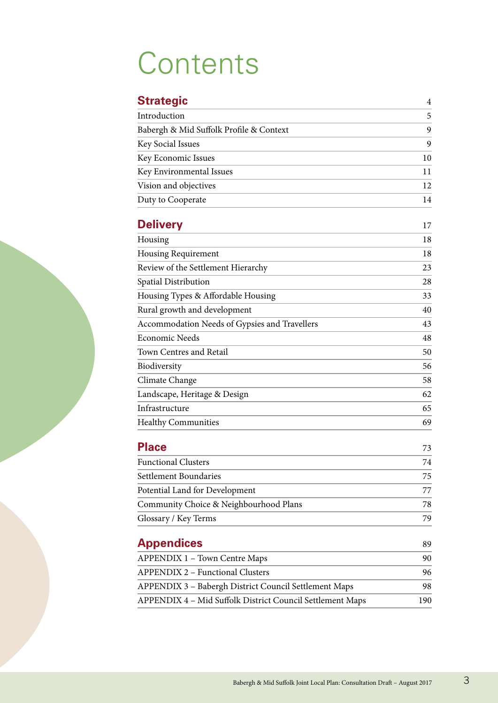## **Contents**

| <b>Strategic</b>                                          | 4   |
|-----------------------------------------------------------|-----|
| Introduction                                              | 5   |
| Babergh & Mid Suffolk Profile & Context                   | 9   |
| <b>Key Social Issues</b>                                  | 9   |
| Key Economic Issues                                       | 10  |
| Key Environmental Issues                                  | 11  |
| Vision and objectives                                     | 12  |
| Duty to Cooperate                                         | 14  |
| <b>Delivery</b>                                           | 17  |
| Housing                                                   | 18  |
| <b>Housing Requirement</b>                                | 18  |
| Review of the Settlement Hierarchy                        | 23  |
| Spatial Distribution                                      | 28  |
| Housing Types & Affordable Housing                        | 33  |
| Rural growth and development                              | 40  |
| Accommodation Needs of Gypsies and Travellers             | 43  |
| <b>Economic Needs</b>                                     | 48  |
| Town Centres and Retail                                   | 50  |
| Biodiversity                                              | 56  |
| Climate Change                                            | 58  |
| Landscape, Heritage & Design                              | 62  |
| Infrastructure                                            | 65  |
| <b>Healthy Communities</b>                                | 69  |
| Place                                                     | 73  |
| <b>Functional Clusters</b>                                | 74  |
| Settlement Boundaries                                     | 75  |
| Potential Land for Development                            | 77  |
| Community Choice & Neighbourhood Plans                    | 78  |
| Glossary / Key Terms                                      | 79  |
| <b>Appendices</b>                                         | 89  |
| <b>APPENDIX 1 - Town Centre Maps</b>                      | 90  |
| <b>APPENDIX 2 - Functional Clusters</b>                   | 96  |
| APPENDIX 3 - Babergh District Council Settlement Maps     | 98  |
| APPENDIX 4 - Mid Suffolk District Council Settlement Maps | 190 |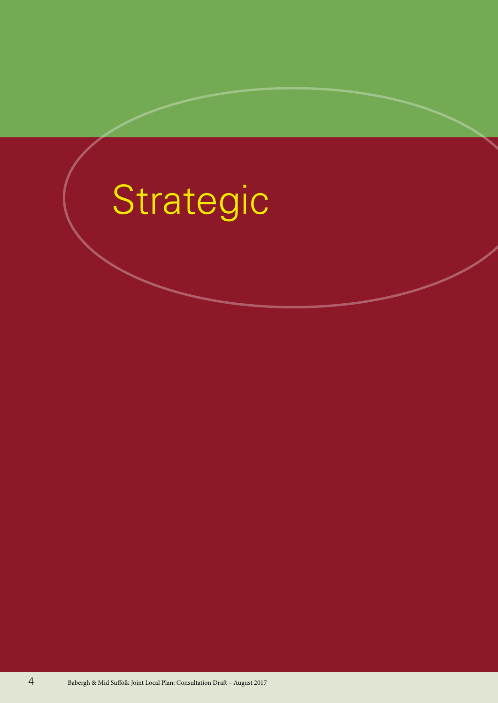# Strategic

4 Babergh & Mid Suffolk Joint Local Plan: Consultation Draft – August 2017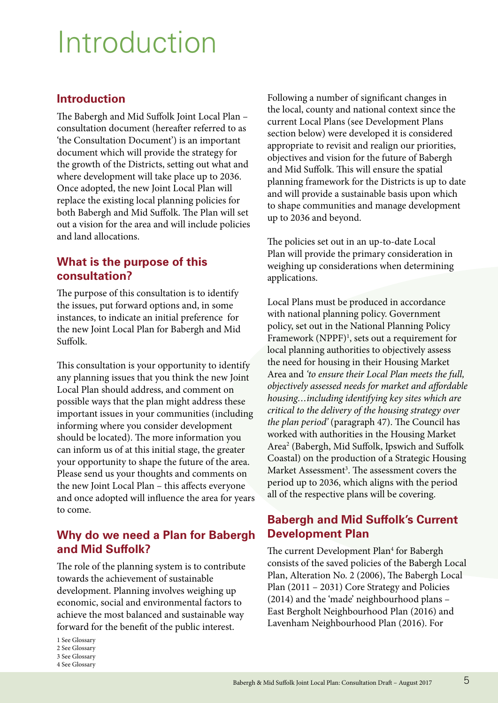## Introduction

## **Introduction**

The Babergh and Mid Suffolk Joint Local Plan – consultation document (hereafter referred to as 'the Consultation Document') is an important document which will provide the strategy for the growth of the Districts, setting out what and where development will take place up to 2036. Once adopted, the new Joint Local Plan will replace the existing local planning policies for both Babergh and Mid Suffolk. The Plan will set out a vision for the area and will include policies and land allocations.

### **What is the purpose of this consultation?**

The purpose of this consultation is to identify the issues, put forward options and, in some instances, to indicate an initial preference for the new Joint Local Plan for Babergh and Mid Suffolk.

This consultation is your opportunity to identify any planning issues that you think the new Joint Local Plan should address, and comment on possible ways that the plan might address these important issues in your communities (including informing where you consider development should be located). The more information you can inform us of at this initial stage, the greater your opportunity to shape the future of the area. Please send us your thoughts and comments on the new Joint Local Plan – this affects everyone and once adopted will influence the area for years to come.

## **Why do we need a Plan for Babergh and Mid Suffolk?**

The role of the planning system is to contribute towards the achievement of sustainable development. Planning involves weighing up economic, social and environmental factors to achieve the most balanced and sustainable way forward for the benefit of the public interest.

1 See Glossary

2 See Glossary

3 See Glossary

4 See Glossary

Following a number of significant changes in the local, county and national context since the current Local Plans (see Development Plans section below) were developed it is considered appropriate to revisit and realign our priorities, objectives and vision for the future of Babergh and Mid Suffolk. This will ensure the spatial planning framework for the Districts is up to date and will provide a sustainable basis upon which to shape communities and manage development up to 2036 and beyond.

The policies set out in an up-to-date Local Plan will provide the primary consideration in weighing up considerations when determining applications.

Local Plans must be produced in accordance with national planning policy. Government policy, set out in the National Planning Policy Framework (NPPF)<sup>1</sup>, sets out a requirement for local planning authorities to objectively assess the need for housing in their Housing Market Area and *'to ensure their Local Plan meets the full, objectively assessed needs for market and affordable housing…including identifying key sites which are critical to the delivery of the housing strategy over the plan period'* (paragraph 47). The Council has worked with authorities in the Housing Market Area2 (Babergh, Mid Suffolk, Ipswich and Suffolk Coastal) on the production of a Strategic Housing Market Assessment<sup>3</sup>. The assessment covers the period up to 2036, which aligns with the period all of the respective plans will be covering.

## **Babergh and Mid Suffolk's Current Development Plan**

The current Development Plan<sup>4</sup> for Babergh consists of the saved policies of the Babergh Local Plan, Alteration No. 2 (2006), The Babergh Local Plan (2011 – 2031) Core Strategy and Policies (2014) and the 'made' neighbourhood plans – East Bergholt Neighbourhood Plan (2016) and Lavenham Neighbourhood Plan (2016). For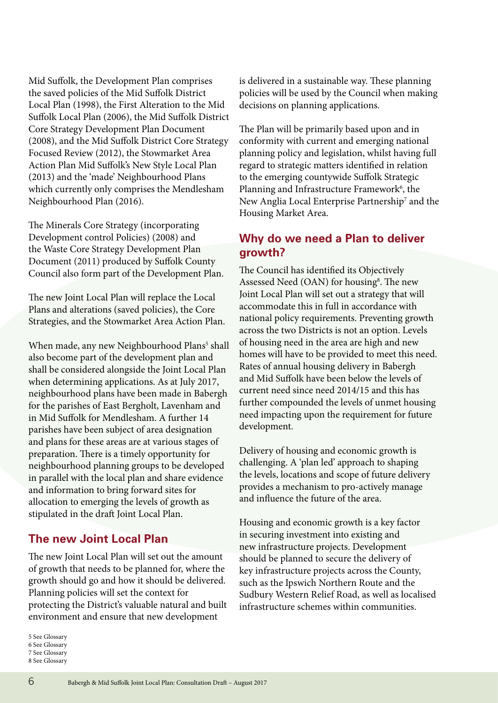Mid Suffolk, the Development Plan comprises the saved policies of the Mid Suffolk District Local Plan (1998), the First Alteration to the Mid Suffolk Local Plan (2006), the Mid Suffolk District Core Strategy Development Plan Document (2008), and the Mid Suffolk District Core Strategy Focused Review (2012), the Stowmarket Area Action Plan Mid Suffolk's New Style Local Plan (2013) and the 'made' Neighbourhood Plans which currently only comprises the Mendlesham Neighbourhood Plan (2016).

The Minerals Core Strategy (incorporating Development control Policies) (2008) and the Waste Core Strategy Development Plan Document (2011) produced by Suffolk County Council also form part of the Development Plan.

The new Joint Local Plan will replace the Local Plans and alterations (saved policies), the Core Strategies, and the Stowmarket Area Action Plan.

When made, any new Neighbourhood Plans<sup>5</sup> shall also become part of the development plan and shall be considered alongside the Joint Local Plan when determining applications. As at July 2017, neighbourhood plans have been made in Babergh for the parishes of East Bergholt, Lavenham and in Mid Suffolk for Mendlesham. A further 14 parishes have been subject of area designation and plans for these areas are at various stages of preparation. There is a timely opportunity for neighbourhood planning groups to be developed in parallel with the local plan and share evidence and information to bring forward sites for allocation to emerging the levels of growth as stipulated in the draft Joint Local Plan.

#### **The new Joint Local Plan**

The new Joint Local Plan will set out the amount of growth that needs to be planned for, where the growth should go and how it should be delivered. Planning policies will set the context for protecting the District's valuable natural and built environment and ensure that new development

is delivered in a sustainable way. These planning policies will be used by the Council when making decisions on planning applications.

The Plan will be primarily based upon and in conformity with current and emerging national planning policy and legislation, whilst having full regard to strategic matters identified in relation to the emerging countywide Suffolk Strategic Planning and Infrastructure Framework<sup>6</sup>, the New Anglia Local Enterprise Partnership<sup>7</sup> and the Housing Market Area.

### **Why do we need a Plan to deliver growth?**

The Council has identified its Objectively Assessed Need (OAN) for housing<sup>8</sup>. The new Joint Local Plan will set out a strategy that will accommodate this in full in accordance with national policy requirements. Preventing growth across the two Districts is not an option. Levels of housing need in the area are high and new homes will have to be provided to meet this need. Rates of annual housing delivery in Babergh and Mid Suffolk have been below the levels of current need since need 2014/15 and this has further compounded the levels of unmet housing need impacting upon the requirement for future development.

Delivery of housing and economic growth is challenging. A 'plan led' approach to shaping the levels, locations and scope of future delivery provides a mechanism to pro-actively manage and influence the future of the area.

Housing and economic growth is a key factor in securing investment into existing and new infrastructure projects. Development should be planned to secure the delivery of key infrastructure projects across the County, such as the Ipswich Northern Route and the Sudbury Western Relief Road, as well as localised infrastructure schemes within communities.

<sup>5</sup> See Glossary 6 See Glossary 7 See Glossary 8 See Glossary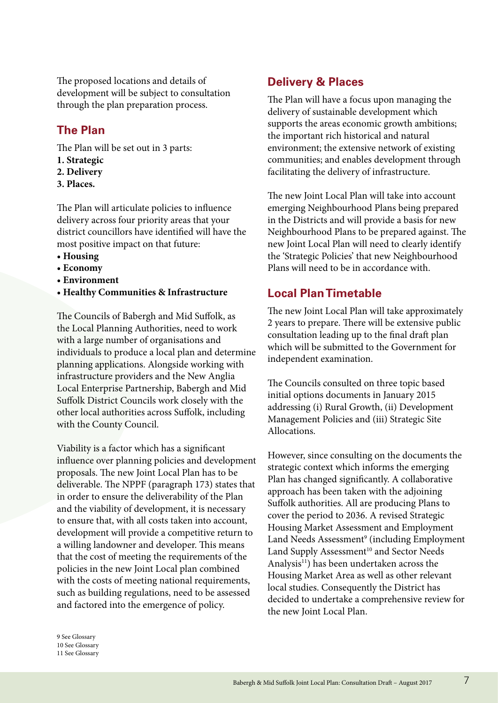The proposed locations and details of development will be subject to consultation through the plan preparation process.

#### **The Plan**

The Plan will be set out in 3 parts:

- **1. Strategic**
- **2. Delivery**
- **3. Places.**

The Plan will articulate policies to influence delivery across four priority areas that your district councillors have identified will have the most positive impact on that future:

- **Housing**
- **Economy**
- **Environment**
- **Healthy Communities & Infrastructure**

The Councils of Babergh and Mid Suffolk, as the Local Planning Authorities, need to work with a large number of organisations and individuals to produce a local plan and determine planning applications. Alongside working with infrastructure providers and the New Anglia Local Enterprise Partnership, Babergh and Mid Suffolk District Councils work closely with the other local authorities across Suffolk, including with the County Council.

Viability is a factor which has a significant influence over planning policies and development proposals. The new Joint Local Plan has to be deliverable. The NPPF (paragraph 173) states that in order to ensure the deliverability of the Plan and the viability of development, it is necessary to ensure that, with all costs taken into account, development will provide a competitive return to a willing landowner and developer. This means that the cost of meeting the requirements of the policies in the new Joint Local plan combined with the costs of meeting national requirements, such as building regulations, need to be assessed and factored into the emergence of policy.

The Plan will have a focus upon managing the delivery of sustainable development which supports the areas economic growth ambitions; the important rich historical and natural environment; the extensive network of existing communities; and enables development through facilitating the delivery of infrastructure.

The new Joint Local Plan will take into account emerging Neighbourhood Plans being prepared in the Districts and will provide a basis for new Neighbourhood Plans to be prepared against. The new Joint Local Plan will need to clearly identify the 'Strategic Policies' that new Neighbourhood Plans will need to be in accordance with.

## **Local Plan Timetable**

The new Joint Local Plan will take approximately 2 years to prepare. There will be extensive public consultation leading up to the final draft plan which will be submitted to the Government for independent examination.

The Councils consulted on three topic based initial options documents in January 2015 addressing (i) Rural Growth, (ii) Development Management Policies and (iii) Strategic Site Allocations.

However, since consulting on the documents the strategic context which informs the emerging Plan has changed significantly. A collaborative approach has been taken with the adjoining Suffolk authorities. All are producing Plans to cover the period to 2036. A revised Strategic Housing Market Assessment and Employment Land Needs Assessment<sup>9</sup> (including Employment Land Supply Assessment<sup>10</sup> and Sector Needs Analysis<sup>11</sup>) has been undertaken across the Housing Market Area as well as other relevant local studies. Consequently the District has decided to undertake a comprehensive review for the new Joint Local Plan.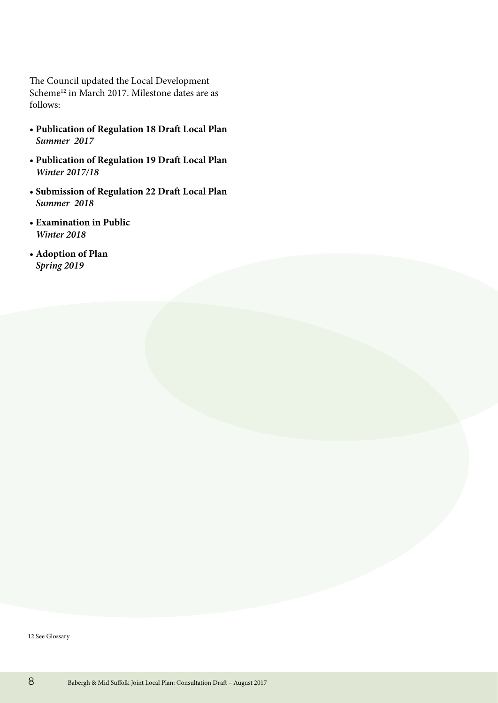The Council updated the Local Development Scheme<sup>12</sup> in March 2017. Milestone dates are as follows:

- **Publication of Regulation 18 Draft Local Plan** *Summer 2017*
- **Publication of Regulation 19 Draft Local Plan** *Winter 2017/18*
- **Submission of Regulation 22 Draft Local Plan** *Summer 2018*
- **Examination in Public** *Winter 2018*
- **Adoption of Plan**  *Spring 2019*

12 See Glossary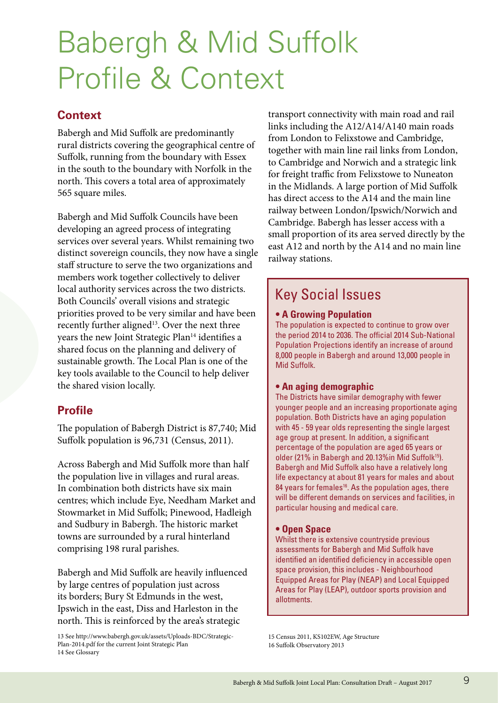## Babergh & Mid Suffolk Profile & Context

### **Context**

Babergh and Mid Suffolk are predominantly rural districts covering the geographical centre of Suffolk, running from the boundary with Essex in the south to the boundary with Norfolk in the north. This covers a total area of approximately 565 square miles.

Babergh and Mid Suffolk Councils have been developing an agreed process of integrating services over several years. Whilst remaining two distinct sovereign councils, they now have a single staff structure to serve the two organizations and members work together collectively to deliver local authority services across the two districts. Both Councils' overall visions and strategic priorities proved to be very similar and have been recently further aligned<sup>13</sup>. Over the next three years the new Joint Strategic Plan<sup>14</sup> identifies a shared focus on the planning and delivery of sustainable growth. The Local Plan is one of the key tools available to the Council to help deliver the shared vision locally.

## **Profile**

The population of Babergh District is 87,740; Mid Suffolk population is 96,731 (Census, 2011).

Across Babergh and Mid Suffolk more than half the population live in villages and rural areas. In combination both districts have six main centres; which include Eye, Needham Market and Stowmarket in Mid Suffolk; Pinewood, Hadleigh and Sudbury in Babergh. The historic market towns are surrounded by a rural hinterland comprising 198 rural parishes.

Babergh and Mid Suffolk are heavily influenced by large centres of population just across its borders; Bury St Edmunds in the west, Ipswich in the east, Diss and Harleston in the north. This is reinforced by the area's strategic

13 See http://www.babergh.gov.uk/assets/Uploads-BDC/Strategic-Plan-2014.pdf for the current Joint Strategic Plan 14 See Glossary

transport connectivity with main road and rail links including the A12/A14/A140 main roads from London to Felixstowe and Cambridge, together with main line rail links from London, to Cambridge and Norwich and a strategic link for freight traffic from Felixstowe to Nuneaton in the Midlands. A large portion of Mid Suffolk has direct access to the A14 and the main line railway between London/Ipswich/Norwich and Cambridge. Babergh has lesser access with a small proportion of its area served directly by the east A12 and north by the A14 and no main line railway stations.

## Key Social Issues

#### **• A Growing Population**

The population is expected to continue to grow over the period 2014 to 2036. The official 2014 Sub-National Population Projections identify an increase of around 8,000 people in Babergh and around 13,000 people in Mid Suffolk.

#### **• An aging demographic**

The Districts have similar demography with fewer younger people and an increasing proportionate aging population. Both Districts have an aging population with 45 - 59 year olds representing the single largest age group at present. In addition, a significant percentage of the population are aged 65 years or older (21% in Babergh and 20.13%in Mid Suffolk<sup>15</sup>). Babergh and Mid Suffolk also have a relatively long life expectancy at about 81 years for males and about 84 years for females<sup>16</sup>. As the population ages, there will be different demands on services and facilities, in particular housing and medical care.

#### **• Open Space**

Whilst there is extensive countryside previous assessments for Babergh and Mid Suffolk have identified an identified deficiency in accessible open space provision, this includes - Neighbourhood Equipped Areas for Play (NEAP) and Local Equipped Areas for Play (LEAP), outdoor sports provision and allotments.

15 Census 2011, KS102EW, Age Structure 16 Suffolk Observatory 2013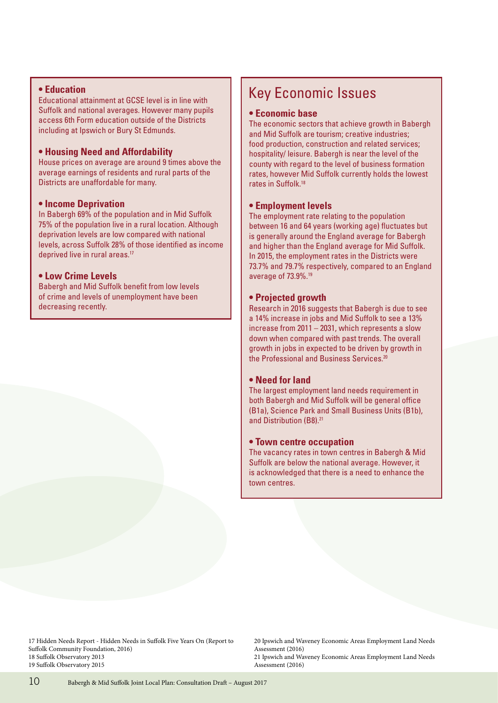#### **• Education**

Educational attainment at GCSE level is in line with Suffolk and national averages. However many pupils access 6th Form education outside of the Districts including at Ipswich or Bury St Edmunds.

#### **• Housing Need and Affordability**

House prices on average are around 9 times above the average earnings of residents and rural parts of the Districts are unaffordable for many.

#### **• Income Deprivation**

In Babergh 69% of the population and in Mid Suffolk 75% of the population live in a rural location. Although deprivation levels are low compared with national levels, across Suffolk 28% of those identified as income deprived live in rural areas.<sup>17</sup>

#### **• Low Crime Levels**

Babergh and Mid Suffolk benefit from low levels of crime and levels of unemployment have been decreasing recently.

## Key Economic Issues

#### **• Economic base**

The economic sectors that achieve growth in Babergh and Mid Suffolk are tourism; creative industries; food production, construction and related services; hospitality/ leisure. Babergh is near the level of the county with regard to the level of business formation rates, however Mid Suffolk currently holds the lowest rates in Suffolk.18

#### **• Employment levels**

The employment rate relating to the population between 16 and 64 years (working age) fluctuates but is generally around the England average for Babergh and higher than the England average for Mid Suffolk. In 2015, the employment rates in the Districts were 73.7% and 79.7% respectively, compared to an England average of 73.9%.19

#### **• Projected growth**

Research in 2016 suggests that Babergh is due to see a 14% increase in jobs and Mid Suffolk to see a 13% increase from 2011 – 2031, which represents a slow down when compared with past trends. The overall growth in jobs in expected to be driven by growth in the Professional and Business Services.<sup>20</sup>

#### **• Need for land**

The largest employment land needs requirement in both Babergh and Mid Suffolk will be general office (B1a), Science Park and Small Business Units (B1b), and Distribution (B8).<sup>21</sup>

#### **• Town centre occupation**

The vacancy rates in town centres in Babergh & Mid Suffolk are below the national average. However, it is acknowledged that there is a need to enhance the town centres.

17 Hidden Needs Report - Hidden Needs in Suffolk Five Years On (Report to Suffolk Community Foundation, 2016) 18 Suffolk Observatory 2013 19 Suffolk Observatory 2015

20 Ipswich and Waveney Economic Areas Employment Land Needs Assessment (2016) 21 Ipswich and Waveney Economic Areas Employment Land Needs Assessment (2016)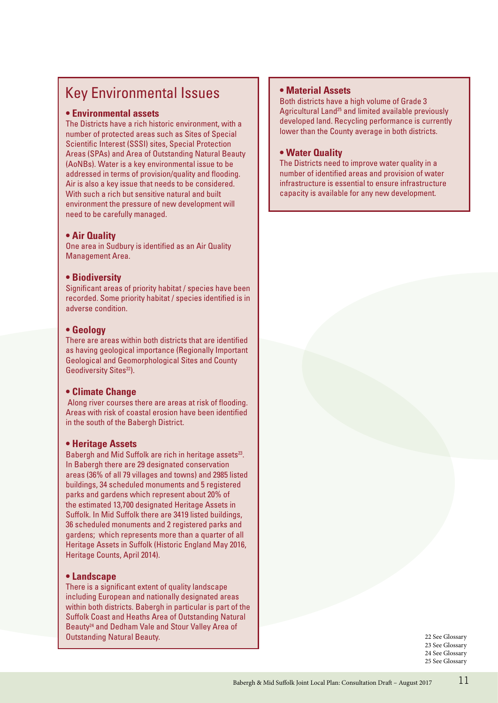## Key Environmental Issues

#### **• Environmental assets**

The Districts have a rich historic environment, with a number of protected areas such as Sites of Special Scientific Interest (SSSI) sites, Special Protection Areas (SPAs) and Area of Outstanding Natural Beauty (AoNBs). Water is a key environmental issue to be addressed in terms of provision/quality and flooding. Air is also a key issue that needs to be considered. With such a rich but sensitive natural and built environment the pressure of new development will need to be carefully managed.

#### **• Air Quality**

One area in Sudbury is identified as an Air Quality Management Area.

#### **• Biodiversity**

Significant areas of priority habitat / species have been recorded. Some priority habitat / species identified is in adverse condition.

#### **• Geology**

There are areas within both districts that are identified as having geological importance (Regionally Important Geological and Geomorphological Sites and County Geodiversity Sites<sup>22</sup>).

#### **• Climate Change**

 Along river courses there are areas at risk of flooding. Areas with risk of coastal erosion have been identified in the south of the Babergh District.

#### **• Heritage Assets**

Babergh and Mid Suffolk are rich in heritage assets<sup>23</sup>. In Babergh there are 29 designated conservation areas (36% of all 79 villages and towns) and 2985 listed buildings, 34 scheduled monuments and 5 registered parks and gardens which represent about 20% of the estimated 13,700 designated Heritage Assets in Suffolk. In Mid Suffolk there are 3419 listed buildings, 36 scheduled monuments and 2 registered parks and gardens; which represents more than a quarter of all Heritage Assets in Suffolk (Historic England May 2016, Heritage Counts, April 2014).

#### **• Landscape**

There is a significant extent of quality landscape including European and nationally designated areas within both districts. Babergh in particular is part of the Suffolk Coast and Heaths Area of Outstanding Natural Beauty24 and Dedham Vale and Stour Valley Area of Outstanding Natural Beauty.

#### **• Material Assets**

Both districts have a high volume of Grade 3 Agricultural Land25 and limited available previously developed land. Recycling performance is currently lower than the County average in both districts.

#### **• Water Quality**

The Districts need to improve water quality in a number of identified areas and provision of water infrastructure is essential to ensure infrastructure capacity is available for any new development.

> 22 See Glossary 23 See Glossary 24 See Glossary 25 See Glossary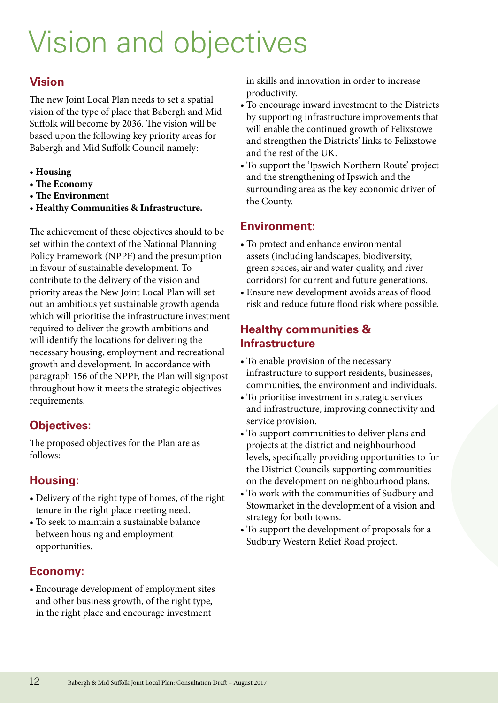## Vision and objectives

## **Vision**

The new Joint Local Plan needs to set a spatial vision of the type of place that Babergh and Mid Suffolk will become by 2036. The vision will be based upon the following key priority areas for Babergh and Mid Suffolk Council namely:

- **Housing**
- **The Economy**
- **The Environment**
- **Healthy Communities & Infrastructure.**

The achievement of these objectives should to be set within the context of the National Planning Policy Framework (NPPF) and the presumption in favour of sustainable development. To contribute to the delivery of the vision and priority areas the New Joint Local Plan will set out an ambitious yet sustainable growth agenda which will prioritise the infrastructure investment required to deliver the growth ambitions and will identify the locations for delivering the necessary housing, employment and recreational growth and development. In accordance with paragraph 156 of the NPPF, the Plan will signpost throughout how it meets the strategic objectives requirements.

## **Objectives:**

The proposed objectives for the Plan are as follows:

## **Housing:**

- Delivery of the right type of homes, of the right tenure in the right place meeting need.
- To seek to maintain a sustainable balance between housing and employment opportunities.

## **Economy:**

**•** Encourage development of employment sites and other business growth, of the right type, in the right place and encourage investment

in skills and innovation in order to increase productivity.

- To encourage inward investment to the Districts by supporting infrastructure improvements that will enable the continued growth of Felixstowe and strengthen the Districts' links to Felixstowe and the rest of the UK.
- To support the 'Ipswich Northern Route' project and the strengthening of Ipswich and the surrounding area as the key economic driver of the County.

## **Environment:**

- To protect and enhance environmental assets (including landscapes, biodiversity, green spaces, air and water quality, and river corridors) for current and future generations.
- Ensure new development avoids areas of flood risk and reduce future flood risk where possible.

## **Healthy communities & Infrastructure**

- To enable provision of the necessary infrastructure to support residents, businesses, communities, the environment and individuals.
- To prioritise investment in strategic services and infrastructure, improving connectivity and service provision.
- To support communities to deliver plans and projects at the district and neighbourhood levels, specifically providing opportunities to for the District Councils supporting communities on the development on neighbourhood plans.
- To work with the communities of Sudbury and Stowmarket in the development of a vision and strategy for both towns.
- To support the development of proposals for a Sudbury Western Relief Road project.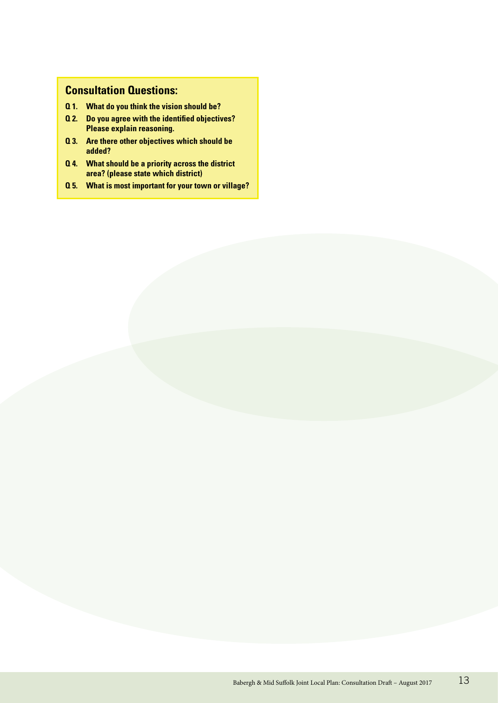### **Consultation Questions:**

- **Q 1. What do you think the vision should be?**
- **Q 2. Do you agree with the identified objectives? Please explain reasoning.**
- **Q 3. Are there other objectives which should be added?**
- **Q 4. What should be a priority across the district area? (please state which district)**
- **Q 5. What is most important for your town or village?**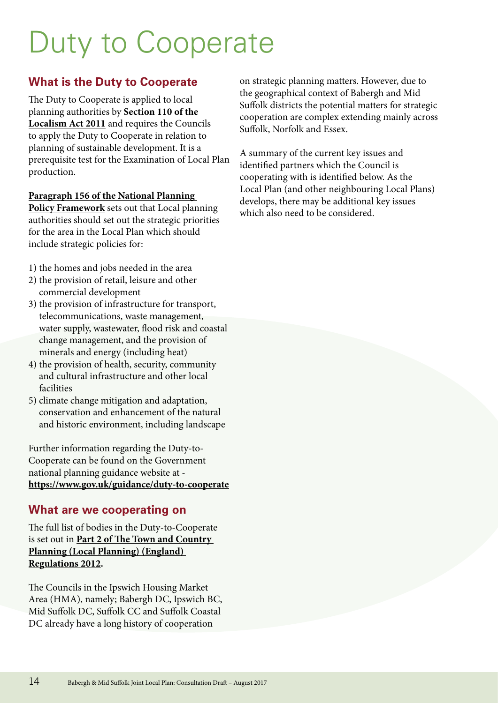## Duty to Cooperate

## **What is the Duty to Cooperate**

The Duty to Cooperate is applied to local planning authorities by **Section 110 of the Localism Act 2011** and requires the Councils to apply the Duty to Cooperate in relation to planning of sustainable development. It is a prerequisite test for the Examination of Local Plan production.

#### **Paragraph 156 of the National Planning**

**Policy Framework** sets out that Local planning authorities should set out the strategic priorities for the area in the Local Plan which should include strategic policies for:

- 1) the homes and jobs needed in the area
- 2) the provision of retail, leisure and other commercial development
- 3) the provision of infrastructure for transport, telecommunications, waste management, water supply, wastewater, flood risk and coastal change management, and the provision of minerals and energy (including heat)
- 4) the provision of health, security, community and cultural infrastructure and other local facilities
- 5) climate change mitigation and adaptation, conservation and enhancement of the natural and historic environment, including landscape

Further information regarding the Duty-to-Cooperate can be found on the Government national planning guidance website at **https://www.gov.uk/guidance/duty-to-cooperate**

#### **What are we cooperating on**

The full list of bodies in the Duty-to-Cooperate is set out in **Part 2 of The Town and Country Planning (Local Planning) (England) Regulations 2012.**

The Councils in the Ipswich Housing Market Area (HMA), namely; Babergh DC, Ipswich BC, Mid Suffolk DC, Suffolk CC and Suffolk Coastal DC already have a long history of cooperation

on strategic planning matters. However, due to the geographical context of Babergh and Mid Suffolk districts the potential matters for strategic cooperation are complex extending mainly across Suffolk, Norfolk and Essex.

A summary of the current key issues and identified partners which the Council is cooperating with is identified below. As the Local Plan (and other neighbouring Local Plans) develops, there may be additional key issues which also need to be considered.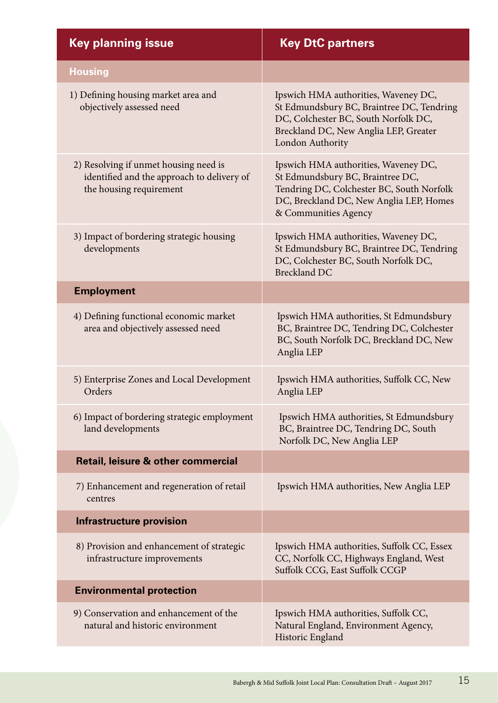| <b>Key planning issue</b>                                                                                      | <b>Key DtC partners</b>                                                                                                                                                                  |
|----------------------------------------------------------------------------------------------------------------|------------------------------------------------------------------------------------------------------------------------------------------------------------------------------------------|
| <b>Housing</b>                                                                                                 |                                                                                                                                                                                          |
| 1) Defining housing market area and<br>objectively assessed need                                               | Ipswich HMA authorities, Waveney DC,<br>St Edmundsbury BC, Braintree DC, Tendring<br>DC, Colchester BC, South Norfolk DC,<br>Breckland DC, New Anglia LEP, Greater<br>London Authority   |
| 2) Resolving if unmet housing need is<br>identified and the approach to delivery of<br>the housing requirement | Ipswich HMA authorities, Waveney DC,<br>St Edmundsbury BC, Braintree DC,<br>Tendring DC, Colchester BC, South Norfolk<br>DC, Breckland DC, New Anglia LEP, Homes<br>& Communities Agency |
| 3) Impact of bordering strategic housing<br>developments                                                       | Ipswich HMA authorities, Waveney DC,<br>St Edmundsbury BC, Braintree DC, Tendring<br>DC, Colchester BC, South Norfolk DC,<br><b>Breckland DC</b>                                         |
| <b>Employment</b>                                                                                              |                                                                                                                                                                                          |
| 4) Defining functional economic market<br>area and objectively assessed need                                   | Ipswich HMA authorities, St Edmundsbury<br>BC, Braintree DC, Tendring DC, Colchester<br>BC, South Norfolk DC, Breckland DC, New<br>Anglia LEP                                            |
| 5) Enterprise Zones and Local Development<br>Orders                                                            | Ipswich HMA authorities, Suffolk CC, New<br>Anglia LEP                                                                                                                                   |
| 6) Impact of bordering strategic employment<br>land developments                                               | Ipswich HMA authorities, St Edmundsbury<br>BC, Braintree DC, Tendring DC, South<br>Norfolk DC, New Anglia LEP                                                                            |
| Retail, leisure & other commercial                                                                             |                                                                                                                                                                                          |
| 7) Enhancement and regeneration of retail<br>centres                                                           | Ipswich HMA authorities, New Anglia LEP                                                                                                                                                  |
| <b>Infrastructure provision</b>                                                                                |                                                                                                                                                                                          |
| 8) Provision and enhancement of strategic<br>infrastructure improvements                                       | Ipswich HMA authorities, Suffolk CC, Essex<br>CC, Norfolk CC, Highways England, West<br>Suffolk CCG, East Suffolk CCGP                                                                   |
| <b>Environmental protection</b>                                                                                |                                                                                                                                                                                          |
| 9) Conservation and enhancement of the<br>natural and historic environment                                     | Ipswich HMA authorities, Suffolk CC,<br>Natural England, Environment Agency,<br>Historic England                                                                                         |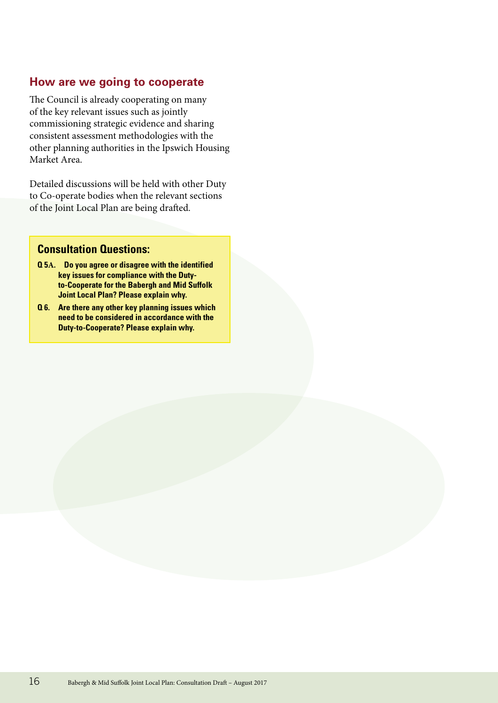#### **How are we going to cooperate**

The Council is already cooperating on many of the key relevant issues such as jointly commissioning strategic evidence and sharing consistent assessment methodologies with the other planning authorities in the Ipswich Housing Market Area.

Detailed discussions will be held with other Duty to Co-operate bodies when the relevant sections of the Joint Local Plan are being drafted.

#### **Consultation Questions:**

- **Q 5A. Do you agree or disagree with the identified key issues for compliance with the Dutyto-Cooperate for the Babergh and Mid Suffolk Joint Local Plan? Please explain why.**
- **Q 6. Are there any other key planning issues which need to be considered in accordance with the Duty-to-Cooperate? Please explain why.**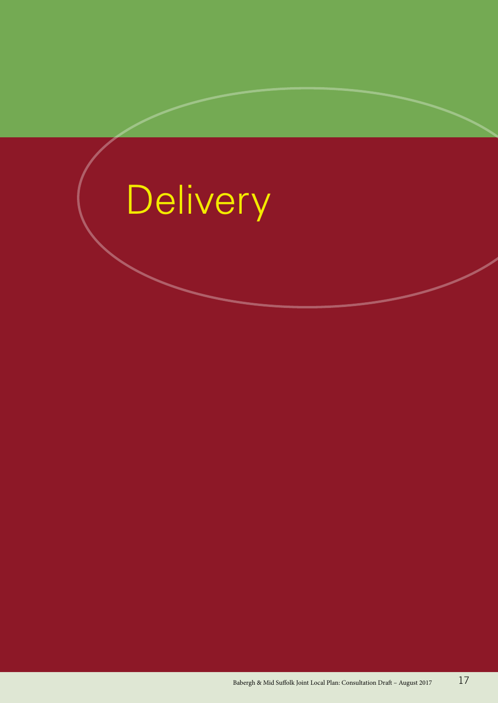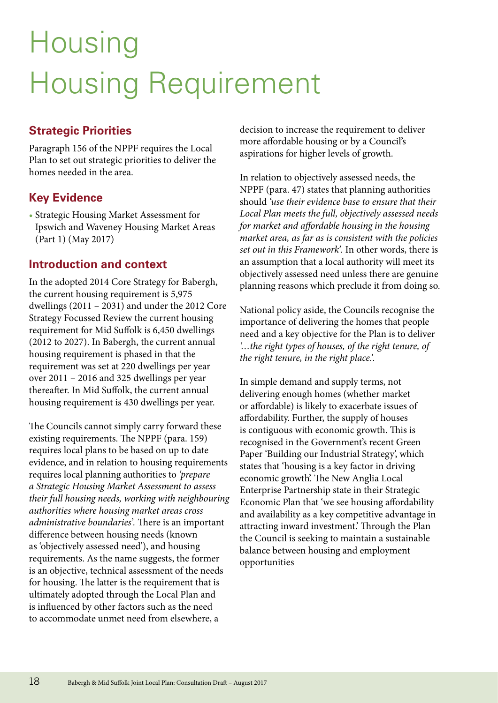## **Housing** Housing Requirement

## **Strategic Priorities**

Paragraph 156 of the NPPF requires the Local Plan to set out strategic priorities to deliver the homes needed in the area.

### **Key Evidence**

• Strategic Housing Market Assessment for Ipswich and Waveney Housing Market Areas (Part 1) (May 2017)

#### **Introduction and context**

In the adopted 2014 Core Strategy for Babergh, the current housing requirement is 5,975 dwellings (2011 – 2031) and under the 2012 Core Strategy Focussed Review the current housing requirement for Mid Suffolk is 6,450 dwellings (2012 to 2027). In Babergh, the current annual housing requirement is phased in that the requirement was set at 220 dwellings per year over 2011 – 2016 and 325 dwellings per year thereafter. In Mid Suffolk, the current annual housing requirement is 430 dwellings per year.

The Councils cannot simply carry forward these existing requirements. The NPPF (para. 159) requires local plans to be based on up to date evidence, and in relation to housing requirements requires local planning authorities to *'prepare a Strategic Housing Market Assessment to assess their full housing needs, working with neighbouring authorities where housing market areas cross administrative boundaries'.* There is an important difference between housing needs (known as 'objectively assessed need'), and housing requirements. As the name suggests, the former is an objective, technical assessment of the needs for housing. The latter is the requirement that is ultimately adopted through the Local Plan and is influenced by other factors such as the need to accommodate unmet need from elsewhere, a

decision to increase the requirement to deliver more affordable housing or by a Council's aspirations for higher levels of growth.

In relation to objectively assessed needs, the NPPF (para. 47) states that planning authorities should *'use their evidence base to ensure that their Local Plan meets the full, objectively assessed needs for market and affordable housing in the housing market area, as far as is consistent with the policies set out in this Framework'.* In other words, there is an assumption that a local authority will meet its objectively assessed need unless there are genuine planning reasons which preclude it from doing so.

National policy aside, the Councils recognise the importance of delivering the homes that people need and a key objective for the Plan is to deliver *'…the right types of houses, of the right tenure, of the right tenure, in the right place.'.*

In simple demand and supply terms, not delivering enough homes (whether market or affordable) is likely to exacerbate issues of affordability. Further, the supply of houses is contiguous with economic growth. This is recognised in the Government's recent Green Paper 'Building our Industrial Strategy', which states that 'housing is a key factor in driving economic growth'. The New Anglia Local Enterprise Partnership state in their Strategic Economic Plan that 'we see housing affordability and availability as a key competitive advantage in attracting inward investment.' Through the Plan the Council is seeking to maintain a sustainable balance between housing and employment opportunities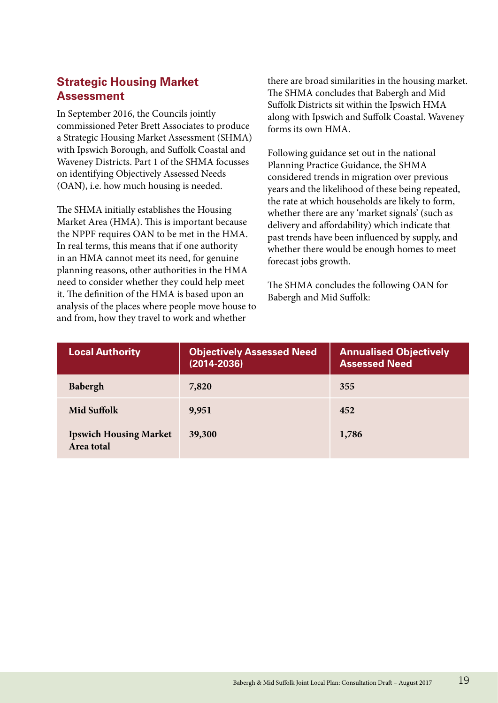## **Strategic Housing Market Assessment**

In September 2016, the Councils jointly commissioned Peter Brett Associates to produce a Strategic Housing Market Assessment (SHMA) with Ipswich Borough, and Suffolk Coastal and Waveney Districts. Part 1 of the SHMA focusses on identifying Objectively Assessed Needs (OAN), i.e. how much housing is needed.

The SHMA initially establishes the Housing Market Area (HMA). This is important because the NPPF requires OAN to be met in the HMA. In real terms, this means that if one authority in an HMA cannot meet its need, for genuine planning reasons, other authorities in the HMA need to consider whether they could help meet it. The definition of the HMA is based upon an analysis of the places where people move house to and from, how they travel to work and whether

there are broad similarities in the housing market. The SHMA concludes that Babergh and Mid Suffolk Districts sit within the Ipswich HMA along with Ipswich and Suffolk Coastal. Waveney forms its own HMA.

Following guidance set out in the national Planning Practice Guidance, the SHMA considered trends in migration over previous years and the likelihood of these being repeated, the rate at which households are likely to form, whether there are any 'market signals' (such as delivery and affordability) which indicate that past trends have been influenced by supply, and whether there would be enough homes to meet forecast jobs growth.

The SHMA concludes the following OAN for Babergh and Mid Suffolk:

| <b>Local Authority</b>                      | <b>Objectively Assessed Need</b><br>$(2014 - 2036)$ | <b>Annualised Objectively</b><br><b>Assessed Need</b> |
|---------------------------------------------|-----------------------------------------------------|-------------------------------------------------------|
| <b>Babergh</b>                              | 7,820                                               | 355                                                   |
| Mid Suffolk                                 | 9,951                                               | 452                                                   |
| <b>Ipswich Housing Market</b><br>Area total | 39,300                                              | 1,786                                                 |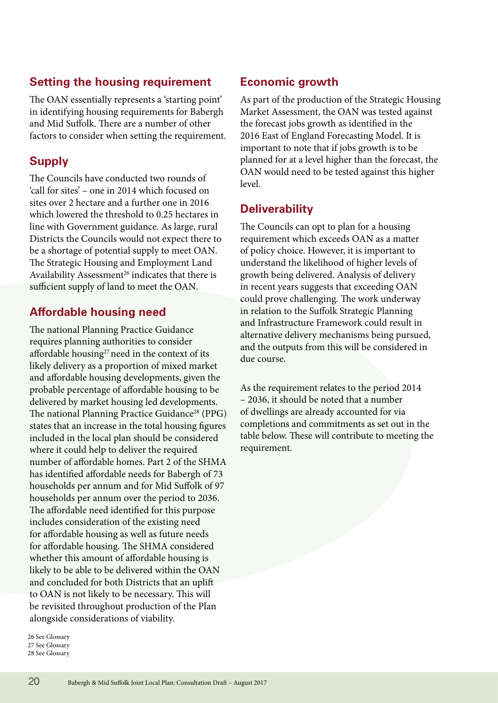## **Setting the housing requirement**

The OAN essentially represents a 'starting point' in identifying housing requirements for Babergh and Mid Suffolk. There are a number of other factors to consider when setting the requirement.

## **Supply**

The Councils have conducted two rounds of 'call for sites' – one in 2014 which focused on sites over 2 hectare and a further one in 2016 which lowered the threshold to 0.25 hectares in line with Government guidance. As large, rural Districts the Councils would not expect there to be a shortage of potential supply to meet OAN. The Strategic Housing and Employment Land Availability Assessment<sup>26</sup> indicates that there is sufficient supply of land to meet the OAN.

## **Affordable housing need**

The national Planning Practice Guidance requires planning authorities to consider affordable housing<sup>27</sup> need in the context of its likely delivery as a proportion of mixed market and affordable housing developments, given the probable percentage of affordable housing to be delivered by market housing led developments. The national Planning Practice Guidance<sup>28</sup> (PPG) states that an increase in the total housing figures included in the local plan should be considered where it could help to deliver the required number of affordable homes. Part 2 of the SHMA has identified affordable needs for Babergh of 73 households per annum and for Mid Suffolk of 97 households per annum over the period to 2036. The affordable need identified for this purpose includes consideration of the existing need for affordable housing as well as future needs for affordable housing. The SHMA considered whether this amount of affordable housing is likely to be able to be delivered within the OAN and concluded for both Districts that an uplift to OAN is not likely to be necessary. This will be revisited throughout production of the Plan alongside considerations of viability.

26 See Glossary 27 See Glossary 28 See Glossary

### **Economic growth**

As part of the production of the Strategic Housing Market Assessment, the OAN was tested against the forecast jobs growth as identified in the 2016 East of England Forecasting Model. It is important to note that if jobs growth is to be planned for at a level higher than the forecast, the OAN would need to be tested against this higher level.

## **Deliverability**

The Councils can opt to plan for a housing requirement which exceeds OAN as a matter of policy choice. However, it is important to understand the likelihood of higher levels of growth being delivered. Analysis of delivery in recent years suggests that exceeding OAN could prove challenging. The work underway in relation to the Suffolk Strategic Planning and Infrastructure Framework could result in alternative delivery mechanisms being pursued, and the outputs from this will be considered in due course.

As the requirement relates to the period 2014 – 2036, it should be noted that a number of dwellings are already accounted for via completions and commitments as set out in the table below. These will contribute to meeting the requirement.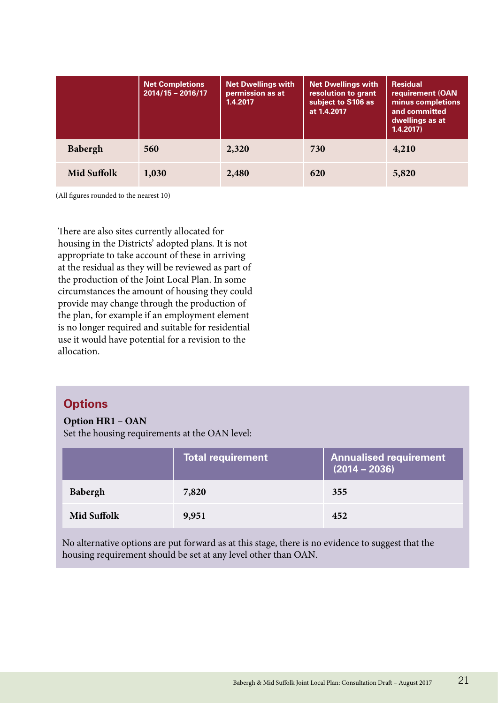|                | <b>Net Completions</b><br>$2014/15 - 2016/17$ | <b>Net Dwellings with</b><br>permission as at<br>1.4.2017 | <b>Net Dwellings with</b><br>resolution to grant<br>subject to S106 as<br>at 1.4.2017 | <b>Residual</b><br>requirement (OAN<br>minus completions<br>and committed<br>dwellings as at<br>1.4.2017 |
|----------------|-----------------------------------------------|-----------------------------------------------------------|---------------------------------------------------------------------------------------|----------------------------------------------------------------------------------------------------------|
| <b>Babergh</b> | 560                                           | 2,320                                                     | 730                                                                                   | 4,210                                                                                                    |
| Mid Suffolk    | 1,030                                         | 2,480                                                     | 620                                                                                   | 5,820                                                                                                    |

(All figures rounded to the nearest 10)

There are also sites currently allocated for housing in the Districts' adopted plans. It is not appropriate to take account of these in arriving at the residual as they will be reviewed as part of the production of the Joint Local Plan. In some circumstances the amount of housing they could provide may change through the production of the plan, for example if an employment element is no longer required and suitable for residential use it would have potential for a revision to the allocation.

#### **Options**

#### **Option HR1 – OAN**

Set the housing requirements at the OAN level:

|             | <b>Total requirement</b> | <b>Annualised requirement</b><br>$(2014 - 2036)^{1}$ |
|-------------|--------------------------|------------------------------------------------------|
| Babergh     | 7,820                    | 355                                                  |
| Mid Suffolk | 9,951                    | 452                                                  |

No alternative options are put forward as at this stage, there is no evidence to suggest that the housing requirement should be set at any level other than OAN.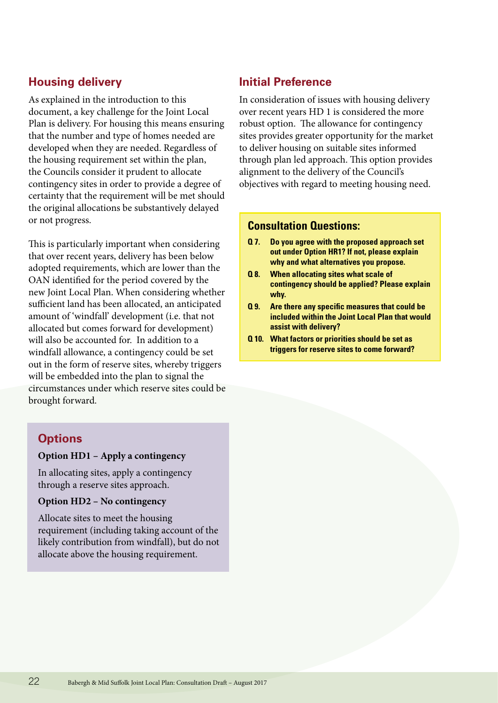### **Housing delivery**

As explained in the introduction to this document, a key challenge for the Joint Local Plan is delivery. For housing this means ensuring that the number and type of homes needed are developed when they are needed. Regardless of the housing requirement set within the plan, the Councils consider it prudent to allocate contingency sites in order to provide a degree of certainty that the requirement will be met should the original allocations be substantively delayed or not progress.

This is particularly important when considering that over recent years, delivery has been below adopted requirements, which are lower than the OAN identified for the period covered by the new Joint Local Plan. When considering whether sufficient land has been allocated, an anticipated amount of 'windfall' development (i.e. that not allocated but comes forward for development) will also be accounted for. In addition to a windfall allowance, a contingency could be set out in the form of reserve sites, whereby triggers will be embedded into the plan to signal the circumstances under which reserve sites could be brought forward.

### **Initial Preference**

In consideration of issues with housing delivery over recent years HD 1 is considered the more robust option. The allowance for contingency sites provides greater opportunity for the market to deliver housing on suitable sites informed through plan led approach. This option provides alignment to the delivery of the Council's objectives with regard to meeting housing need.

#### **Consultation Questions:**

- **Q 7. Do you agree with the proposed approach set out under Option HR1? If not, please explain why and what alternatives you propose.**
- **Q 8. When allocating sites what scale of contingency should be applied? Please explain why.**
- **Q 9. Are there any specific measures that could be included within the Joint Local Plan that would assist with delivery?**
- **Q 10. What factors or priorities should be set as triggers for reserve sites to come forward?**

## **Options**

#### **Option HD1 – Apply a contingency**

In allocating sites, apply a contingency through a reserve sites approach.

#### **Option HD2 – No contingency**

Allocate sites to meet the housing requirement (including taking account of the likely contribution from windfall), but do not allocate above the housing requirement.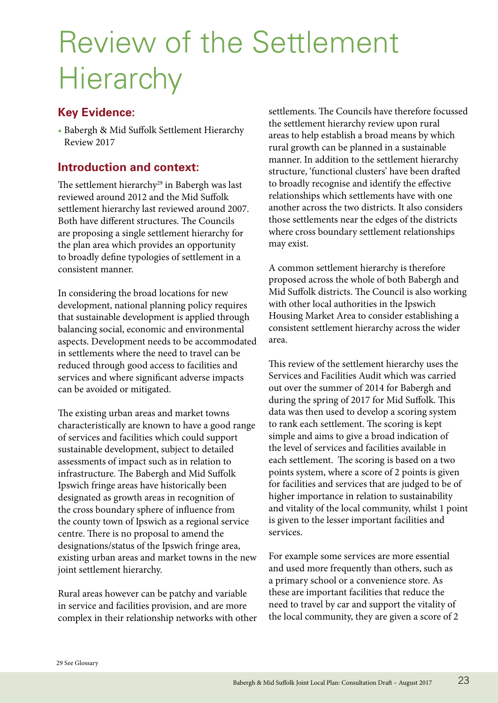## Review of the Settlement **Hierarchy**

#### **Key Evidence:**

• Babergh & Mid Suffolk Settlement Hierarchy Review 2017

### **Introduction and context:**

The settlement hierarchy<sup>29</sup> in Babergh was last reviewed around 2012 and the Mid Suffolk settlement hierarchy last reviewed around 2007. Both have different structures. The Councils are proposing a single settlement hierarchy for the plan area which provides an opportunity to broadly define typologies of settlement in a consistent manner.

In considering the broad locations for new development, national planning policy requires that sustainable development is applied through balancing social, economic and environmental aspects. Development needs to be accommodated in settlements where the need to travel can be reduced through good access to facilities and services and where significant adverse impacts can be avoided or mitigated.

The existing urban areas and market towns characteristically are known to have a good range of services and facilities which could support sustainable development, subject to detailed assessments of impact such as in relation to infrastructure. The Babergh and Mid Suffolk Ipswich fringe areas have historically been designated as growth areas in recognition of the cross boundary sphere of influence from the county town of Ipswich as a regional service centre. There is no proposal to amend the designations/status of the Ipswich fringe area, existing urban areas and market towns in the new joint settlement hierarchy.

Rural areas however can be patchy and variable in service and facilities provision, and are more complex in their relationship networks with other settlements. The Councils have therefore focussed the settlement hierarchy review upon rural areas to help establish a broad means by which rural growth can be planned in a sustainable manner. In addition to the settlement hierarchy structure, 'functional clusters' have been drafted to broadly recognise and identify the effective relationships which settlements have with one another across the two districts. It also considers those settlements near the edges of the districts where cross boundary settlement relationships may exist.

A common settlement hierarchy is therefore proposed across the whole of both Babergh and Mid Suffolk districts. The Council is also working with other local authorities in the Ipswich Housing Market Area to consider establishing a consistent settlement hierarchy across the wider area.

This review of the settlement hierarchy uses the Services and Facilities Audit which was carried out over the summer of 2014 for Babergh and during the spring of 2017 for Mid Suffolk. This data was then used to develop a scoring system to rank each settlement. The scoring is kept simple and aims to give a broad indication of the level of services and facilities available in each settlement. The scoring is based on a two points system, where a score of 2 points is given for facilities and services that are judged to be of higher importance in relation to sustainability and vitality of the local community, whilst 1 point is given to the lesser important facilities and services.

For example some services are more essential and used more frequently than others, such as a primary school or a convenience store. As these are important facilities that reduce the need to travel by car and support the vitality of the local community, they are given a score of 2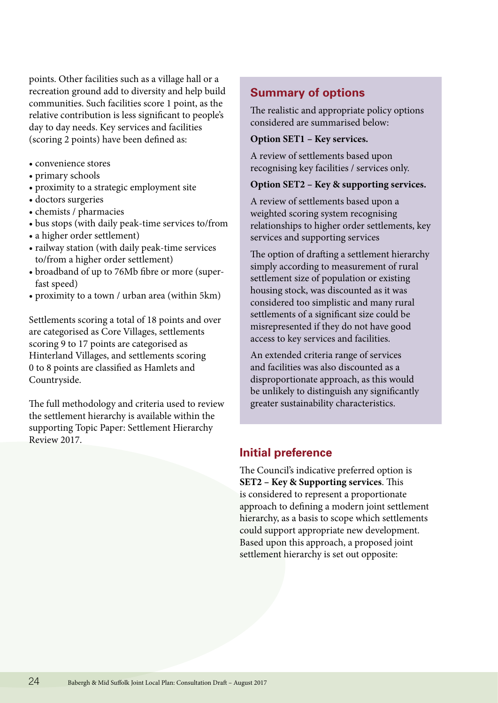points. Other facilities such as a village hall or a recreation ground add to diversity and help build communities. Such facilities score 1 point, as the relative contribution is less significant to people's day to day needs. Key services and facilities (scoring 2 points) have been defined as:

- convenience stores
- primary schools
- proximity to a strategic employment site
- doctors surgeries
- chemists / pharmacies
- bus stops (with daily peak-time services to/from
- a higher order settlement)
- railway station (with daily peak-time services to/from a higher order settlement)
- broadband of up to 76Mb fibre or more (superfast speed)
- proximity to a town / urban area (within 5km)

Settlements scoring a total of 18 points and over are categorised as Core Villages, settlements scoring 9 to 17 points are categorised as Hinterland Villages, and settlements scoring 0 to 8 points are classified as Hamlets and Countryside.

The full methodology and criteria used to review the settlement hierarchy is available within the supporting Topic Paper: Settlement Hierarchy Review 2017.

#### **Summary of options**

The realistic and appropriate policy options considered are summarised below:

#### **Option SET1 – Key services.**

A review of settlements based upon recognising key facilities / services only.

#### **Option SET2 – Key & supporting services.**

A review of settlements based upon a weighted scoring system recognising relationships to higher order settlements, key services and supporting services

The option of drafting a settlement hierarchy simply according to measurement of rural settlement size of population or existing housing stock, was discounted as it was considered too simplistic and many rural settlements of a significant size could be misrepresented if they do not have good access to key services and facilities.

An extended criteria range of services and facilities was also discounted as a disproportionate approach, as this would be unlikely to distinguish any significantly greater sustainability characteristics.

#### **Initial preference**

The Council's indicative preferred option is **SET2 – Key & Supporting services**. This is considered to represent a proportionate approach to defining a modern joint settlement hierarchy, as a basis to scope which settlements could support appropriate new development. Based upon this approach, a proposed joint settlement hierarchy is set out opposite: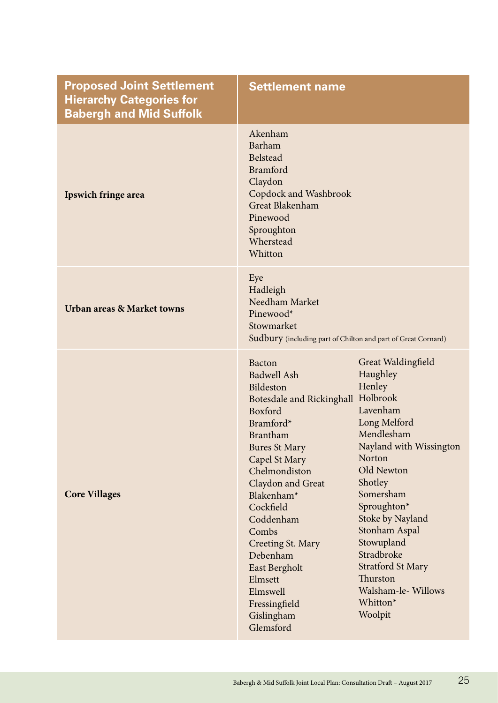| <b>Proposed Joint Settlement</b><br><b>Hierarchy Categories for</b><br><b>Babergh and Mid Suffolk</b> | <b>Settlement name</b>                                                                                                                                                                                                                                                                                                                                                                      |                                                                                                                                                                                                                                                                                                                                                |
|-------------------------------------------------------------------------------------------------------|---------------------------------------------------------------------------------------------------------------------------------------------------------------------------------------------------------------------------------------------------------------------------------------------------------------------------------------------------------------------------------------------|------------------------------------------------------------------------------------------------------------------------------------------------------------------------------------------------------------------------------------------------------------------------------------------------------------------------------------------------|
| Ipswich fringe area                                                                                   | Akenham<br>Barham<br><b>Belstead</b><br><b>Bramford</b><br>Claydon<br>Copdock and Washbrook<br>Great Blakenham<br>Pinewood<br>Sproughton<br>Wherstead<br>Whitton                                                                                                                                                                                                                            |                                                                                                                                                                                                                                                                                                                                                |
| <b>Urban areas &amp; Market towns</b>                                                                 | Eye<br>Hadleigh<br>Needham Market<br>Pinewood*<br>Stowmarket<br>Sudbury (including part of Chilton and part of Great Cornard)                                                                                                                                                                                                                                                               |                                                                                                                                                                                                                                                                                                                                                |
| <b>Core Villages</b>                                                                                  | <b>Bacton</b><br><b>Badwell Ash</b><br>Bildeston<br>Botesdale and Rickinghall Holbrook<br>Boxford<br>Bramford*<br>Brantham<br><b>Bures St Mary</b><br>Capel St Mary<br>Chelmondiston<br>Claydon and Great<br>Blakenham <sup>*</sup><br>Cockfield<br>Coddenham<br>Combs<br>Creeting St. Mary<br>Debenham<br>East Bergholt<br>Elmsett<br>Elmswell<br>Fressingfield<br>Gislingham<br>Glemsford | Great Waldingfield<br>Haughley<br>Henley<br>Lavenham<br>Long Melford<br>Mendlesham<br>Nayland with Wissington<br>Norton<br>Old Newton<br>Shotley<br>Somersham<br>Sproughton*<br>Stoke by Nayland<br>Stonham Aspal<br>Stowupland<br>Stradbroke<br><b>Stratford St Mary</b><br>Thurston<br>Walsham-le-Willows<br>Whitton <sup>*</sup><br>Woolpit |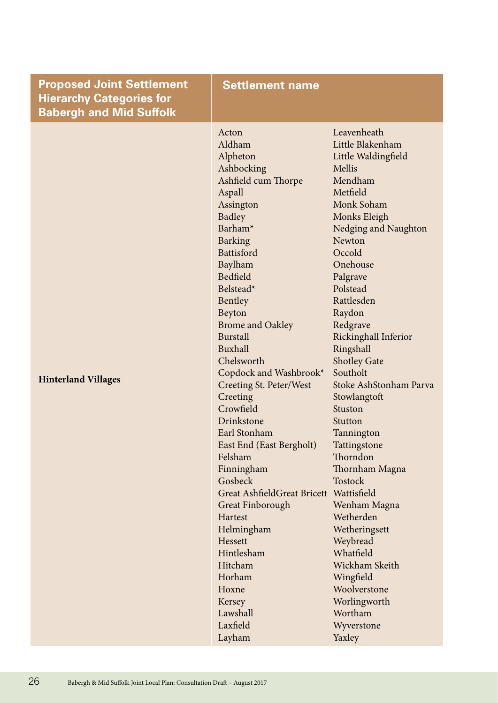| <b>Proposed Joint Settlement</b><br><b>Hierarchy Categories for</b><br><b>Babergh and Mid Suffolk</b> | <b>Settlement name</b>                                                                                                                                                                                                                                                                                                                                                                                                                                                                                                                                                                                                                            |                                                                                                                                                                                                                                                                                                                                                                                                                                                                                                                                                                                                                                          |
|-------------------------------------------------------------------------------------------------------|---------------------------------------------------------------------------------------------------------------------------------------------------------------------------------------------------------------------------------------------------------------------------------------------------------------------------------------------------------------------------------------------------------------------------------------------------------------------------------------------------------------------------------------------------------------------------------------------------------------------------------------------------|------------------------------------------------------------------------------------------------------------------------------------------------------------------------------------------------------------------------------------------------------------------------------------------------------------------------------------------------------------------------------------------------------------------------------------------------------------------------------------------------------------------------------------------------------------------------------------------------------------------------------------------|
| <b>Hinterland Villages</b>                                                                            | Acton<br>Aldham<br>Alpheton<br>Ashbocking<br>Ashfield cum Thorpe<br>Aspall<br>Assington<br>Badley<br>Barham <sup>*</sup><br>Barking<br>Battisford<br>Baylham<br>Bedfield<br>Belstead*<br>Bentley<br>Beyton<br><b>Brome and Oakley</b><br>Burstall<br>Buxhall<br>Chelsworth<br>Copdock and Washbrook*<br>Creeting St. Peter/West<br>Creeting<br>Crowfield<br>Drinkstone<br>Earl Stonham<br>East End (East Bergholt)<br>Felsham<br>Finningham<br>Gosbeck<br>Great AshfieldGreat Bricett Wattisfield<br>Great Finborough<br>Hartest<br>Helmingham<br>Hessett<br>Hintlesham<br>Hitcham<br>Horham<br>Hoxne<br>Kersey<br>Lawshall<br>Laxfield<br>Layham | Leavenheath<br>Little Blakenham<br>Little Waldingfield<br>Mellis<br>Mendham<br>Metfield<br>Monk Soham<br>Monks Eleigh<br>Nedging and Naughton<br><b>Newton</b><br>Occold<br>Onehouse<br>Palgrave<br>Polstead<br>Rattlesden<br>Raydon<br>Redgrave<br>Rickinghall Inferior<br>Ringshall<br><b>Shotley Gate</b><br>Southolt<br>Stoke AshStonham Parva<br>Stowlangtoft<br>Stuston<br>Stutton<br>Tannington<br>Tattingstone<br>Thorndon<br>Thornham Magna<br>Tostock<br>Wenham Magna<br>Wetherden<br>Wetheringsett<br>Weybread<br>Whatfield<br>Wickham Skeith<br>Wingfield<br>Woolverstone<br>Worlingworth<br>Wortham<br>Wyverstone<br>Yaxley |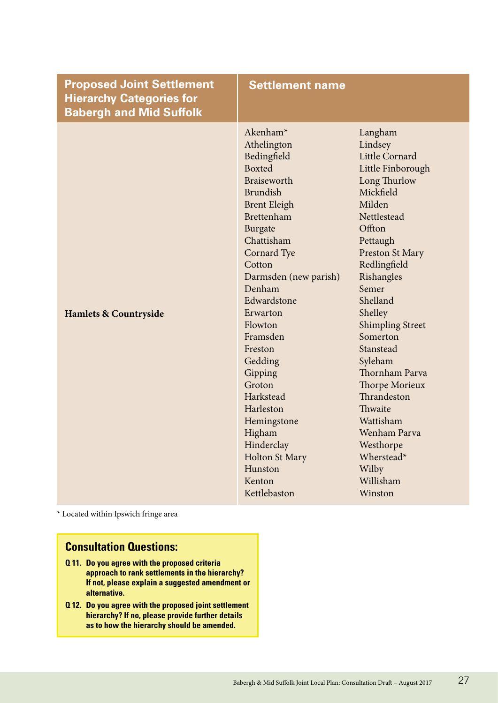| <b>Proposed Joint Settlement</b> |
|----------------------------------|
| <b>Hierarchy Categories for</b>  |
| <b>Babergh and Mid Suffolk</b>   |

#### **Settlement name**

Akenham\* Athelington Bedingfield Boxted Braiseworth Brundish Brent Eleigh Brettenham Burgate Chattisham Cornard Tye **Cotton** Darmsden (new parish) Denham Edwardstone Erwarton Flowton Framsden Freston Gedding Gipping Groton Harkstead Harleston Hemingstone Higham Hinderclay Holton St Mary Hunston Kenton Kettlebaston

Langham Lindsey Little Cornard Little Finborough Long Thurlow Mickfield Milden Nettlestead Offton Pettaugh Preston St Mary Redlingfield Rishangles Semer Shelland Shelley Shimpling Street Somerton Stanstead Syleham Thornham Parva Thorpe Morieux Thrandeston **Thwaite** Wattisham Wenham Parva Westhorpe Wherstead\* Wilby Willisham Winston

\* Located within Ipswich fringe area

**Hamlets & Countryside**

#### **Consultation Questions:**

- **Q 11. Do you agree with the proposed criteria approach to rank settlements in the hierarchy? If not, please explain a suggested amendment or alternative.**
- **Q 12. Do you agree with the proposed joint settlement hierarchy? If no, please provide further details as to how the hierarchy should be amended.**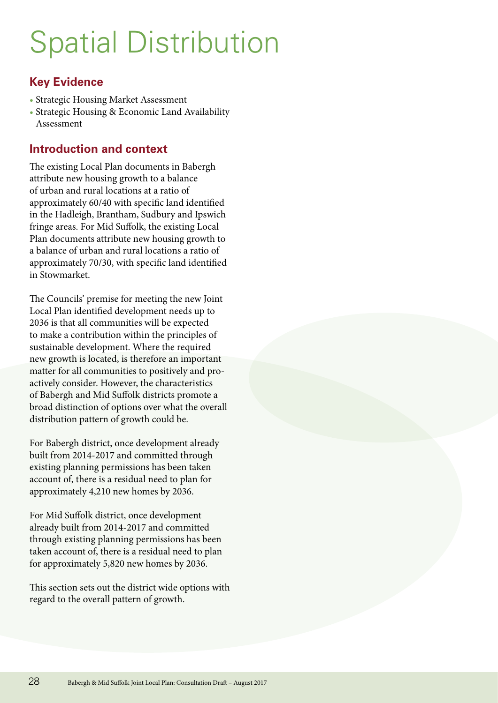## Spatial Distribution

## **Key Evidence**

- Strategic Housing Market Assessment
- Strategic Housing & Economic Land Availability Assessment

## **Introduction and context**

The existing Local Plan documents in Babergh attribute new housing growth to a balance of urban and rural locations at a ratio of approximately 60/40 with specific land identified in the Hadleigh, Brantham, Sudbury and Ipswich fringe areas. For Mid Suffolk, the existing Local Plan documents attribute new housing growth to a balance of urban and rural locations a ratio of approximately 70/30, with specific land identified in Stowmarket.

The Councils' premise for meeting the new Joint Local Plan identified development needs up to 2036 is that all communities will be expected to make a contribution within the principles of sustainable development. Where the required new growth is located, is therefore an important matter for all communities to positively and proactively consider. However, the characteristics of Babergh and Mid Suffolk districts promote a broad distinction of options over what the overall distribution pattern of growth could be.

For Babergh district, once development already built from 2014-2017 and committed through existing planning permissions has been taken account of, there is a residual need to plan for approximately 4,210 new homes by 2036.

For Mid Suffolk district, once development already built from 2014-2017 and committed through existing planning permissions has been taken account of, there is a residual need to plan for approximately 5,820 new homes by 2036.

This section sets out the district wide options with regard to the overall pattern of growth.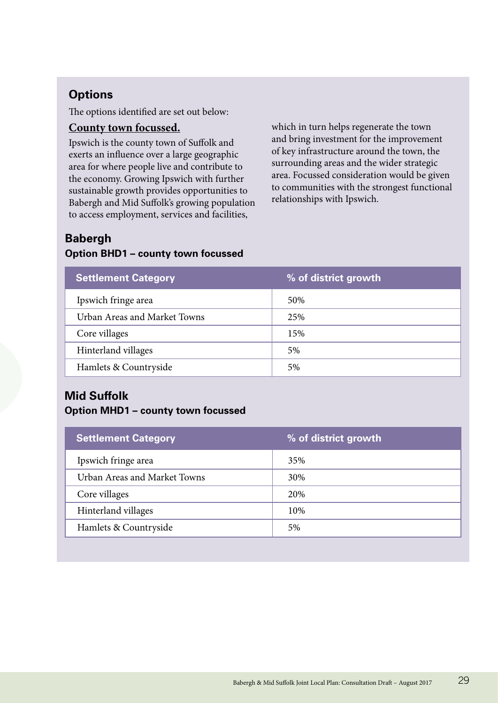## **Options**

The options identified are set out below:

#### **County town focussed.**

Ipswich is the county town of Suffolk and exerts an influence over a large geographic area for where people live and contribute to the economy. Growing Ipswich with further sustainable growth provides opportunities to Babergh and Mid Suffolk's growing population to access employment, services and facilities,

which in turn helps regenerate the town and bring investment for the improvement of key infrastructure around the town, the surrounding areas and the wider strategic area. Focussed consideration would be given to communities with the strongest functional relationships with Ipswich.

#### **Babergh**

#### **Option BHD1 – county town focussed**

| <b>Settlement Category</b>   | % of district growth |
|------------------------------|----------------------|
| Ipswich fringe area          | 50%                  |
| Urban Areas and Market Towns | 25%                  |
| Core villages                | 15%                  |
| Hinterland villages          | 5%                   |
| Hamlets & Countryside        | 5%                   |

## **Mid Suffolk**

#### **Option MHD1 – county town focussed**

| <b>Settlement Category</b>   | % of district growth |
|------------------------------|----------------------|
| Ipswich fringe area          | 35%                  |
| Urban Areas and Market Towns | 30%                  |
| Core villages                | 20%                  |
| Hinterland villages          | 10%                  |
| Hamlets & Countryside        | 5%                   |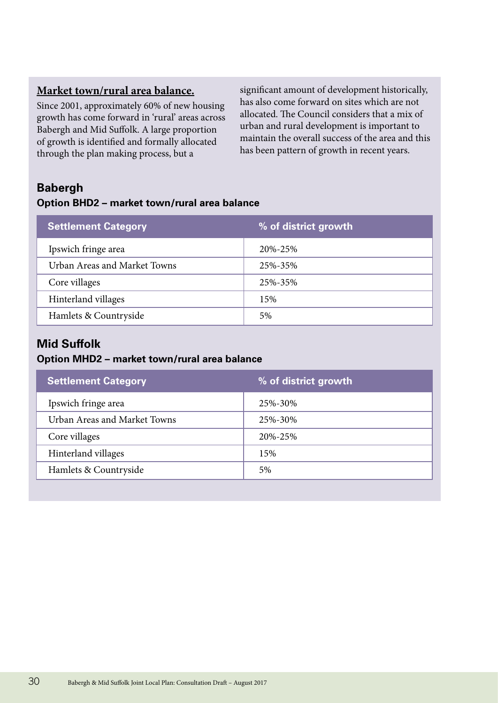#### **Market town/rural area balance.**

Since 2001, approximately 60% of new housing growth has come forward in 'rural' areas across Babergh and Mid Suffolk. A large proportion of growth is identified and formally allocated through the plan making process, but a

significant amount of development historically, has also come forward on sites which are not allocated. The Council considers that a mix of urban and rural development is important to maintain the overall success of the area and this has been pattern of growth in recent years.

## **Babergh Option BHD2 – market town/rural area balance**

| <b>Settlement Category</b>   | % of district growth |
|------------------------------|----------------------|
| Ipswich fringe area          | 20\%-25\%            |
| Urban Areas and Market Towns | 25%-35%              |
| Core villages                | 25%-35%              |
| Hinterland villages          | 15%                  |
| Hamlets & Countryside        | 5%                   |

### **Mid Suffolk**

#### **Option MHD2 – market town/rural area balance**

| <b>Settlement Category</b>   | % of district growth |
|------------------------------|----------------------|
| Ipswich fringe area          | 25%-30%              |
| Urban Areas and Market Towns | 25%-30%              |
| Core villages                | 20%-25%              |
| Hinterland villages          | 15%                  |
| Hamlets & Countryside        | 5%                   |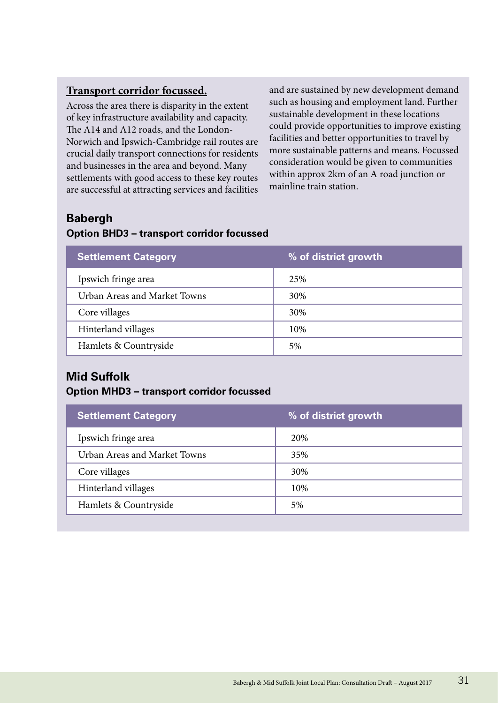## **Transport corridor focussed.**

Across the area there is disparity in the extent of key infrastructure availability and capacity. The A14 and A12 roads, and the London-Norwich and Ipswich-Cambridge rail routes are crucial daily transport connections for residents and businesses in the area and beyond. Many settlements with good access to these key routes are successful at attracting services and facilities and are sustained by new development demand such as housing and employment land. Further sustainable development in these locations could provide opportunities to improve existing facilities and better opportunities to travel by more sustainable patterns and means. Focussed consideration would be given to communities within approx 2km of an A road junction or mainline train station.

## **Babergh**

#### **Option BHD3 – transport corridor focussed**

| <b>Settlement Category</b>   | % of district growth |
|------------------------------|----------------------|
| Ipswich fringe area          | 25%                  |
| Urban Areas and Market Towns | 30%                  |
| Core villages                | 30%                  |
| Hinterland villages          | 10%                  |
| Hamlets & Countryside        | 5%                   |

#### **Mid Suffolk Option MHD3 – transport corridor focussed**

| <b>Settlement Category</b>   | % of district growth |
|------------------------------|----------------------|
| Ipswich fringe area          | 20%                  |
| Urban Areas and Market Towns | 35%                  |
| Core villages                | 30%                  |
| Hinterland villages          | 10%                  |
| Hamlets & Countryside        | 5%                   |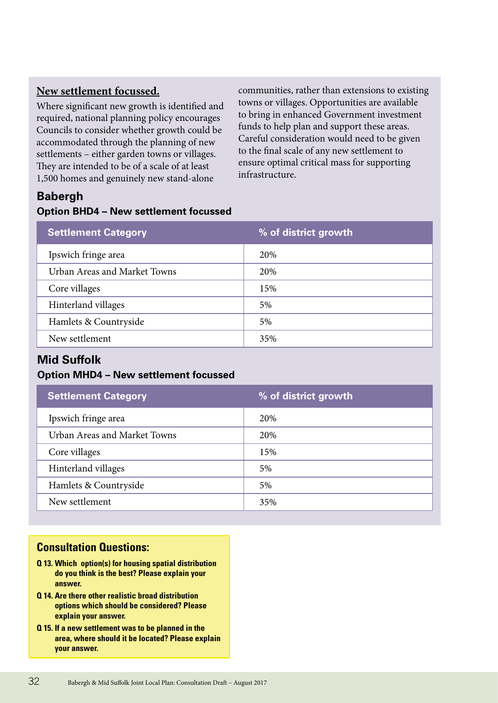#### **New settlement focussed.**

Where significant new growth is identified and required, national planning policy encourages Councils to consider whether growth could be accommodated through the planning of new settlements – either garden towns or villages. They are intended to be of a scale of at least 1,500 homes and genuinely new stand-alone

communities, rather than extensions to existing towns or villages. Opportunities are available to bring in enhanced Government investment funds to help plan and support these areas. Careful consideration would need to be given to the final scale of any new settlement to ensure optimal critical mass for supporting infrastructure.

#### **Babergh**

#### **Option BHD4 – New settlement focussed**

| <b>Settlement Category</b>   | % of district growth |
|------------------------------|----------------------|
| Ipswich fringe area          | 20%                  |
| Urban Areas and Market Towns | 20%                  |
| Core villages                | 15%                  |
| Hinterland villages          | 5%                   |
| Hamlets & Countryside        | 5%                   |
| New settlement               | 35%                  |

## **Mid Suffolk**

#### **Option MHD4 – New settlement focussed**

| <b>Settlement Category</b>   | % of district growth |
|------------------------------|----------------------|
| Ipswich fringe area          | 20%                  |
| Urban Areas and Market Towns | 20%                  |
| Core villages                | 15%                  |
| Hinterland villages          | 5%                   |
| Hamlets & Countryside        | 5%                   |
| New settlement               | 35%                  |

## **Consultation Questions:**

- **Q 13. Which option(s) for housing spatial distribution do you think is the best? Please explain your answer.**
- **Q 14. Are there other realistic broad distribution options which should be considered? Please explain your answer.**
- **Q 15. If a new settlement was to be planned in the area, where should it be located? Please explain your answer.**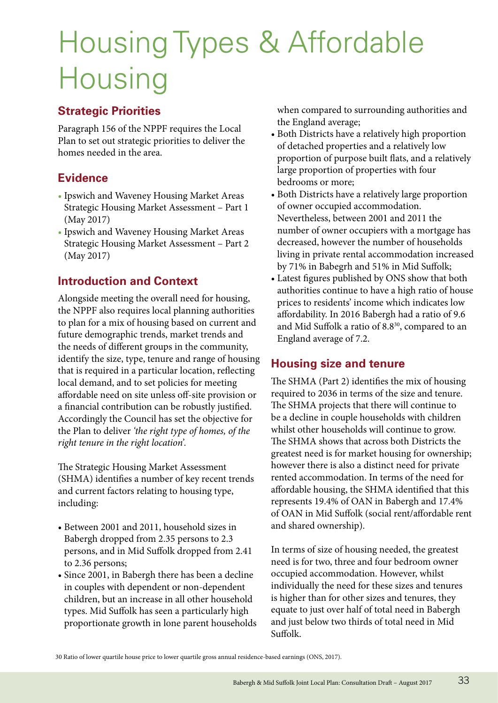## Housing Types & Affordable **Housing**

## **Strategic Priorities**

Paragraph 156 of the NPPF requires the Local Plan to set out strategic priorities to deliver the homes needed in the area.

## **Evidence**

- Ipswich and Waveney Housing Market Areas Strategic Housing Market Assessment – Part 1 (May 2017)
- Ipswich and Waveney Housing Market Areas Strategic Housing Market Assessment – Part 2 (May 2017)

## **Introduction and Context**

Alongside meeting the overall need for housing, the NPPF also requires local planning authorities to plan for a mix of housing based on current and future demographic trends, market trends and the needs of different groups in the community, identify the size, type, tenure and range of housing that is required in a particular location, reflecting local demand, and to set policies for meeting affordable need on site unless off-site provision or a financial contribution can be robustly justified. Accordingly the Council has set the objective for the Plan to deliver *'the right type of homes, of the right tenure in the right location'.*

The Strategic Housing Market Assessment (SHMA) identifies a number of key recent trends and current factors relating to housing type, including:

- Between 2001 and 2011, household sizes in Babergh dropped from 2.35 persons to 2.3 persons, and in Mid Suffolk dropped from 2.41 to 2.36 persons;
- Since 2001, in Babergh there has been a decline in couples with dependent or non-dependent children, but an increase in all other household types. Mid Suffolk has seen a particularly high proportionate growth in lone parent households

when compared to surrounding authorities and the England average;

- Both Districts have a relatively high proportion of detached properties and a relatively low proportion of purpose built flats, and a relatively large proportion of properties with four bedrooms or more;
- Both Districts have a relatively large proportion of owner occupied accommodation. Nevertheless, between 2001 and 2011 the number of owner occupiers with a mortgage has decreased, however the number of households living in private rental accommodation increased by 71% in Babegrh and 51% in Mid Suffolk;
- Latest figures published by ONS show that both authorities continue to have a high ratio of house prices to residents' income which indicates low affordability. In 2016 Babergh had a ratio of 9.6 and Mid Suffolk a ratio of 8.830, compared to an England average of 7.2.

## **Housing size and tenure**

The SHMA (Part 2) identifies the mix of housing required to 2036 in terms of the size and tenure. The SHMA projects that there will continue to be a decline in couple households with children whilst other households will continue to grow. The SHMA shows that across both Districts the greatest need is for market housing for ownership; however there is also a distinct need for private rented accommodation. In terms of the need for affordable housing, the SHMA identified that this represents 19.4% of OAN in Babergh and 17.4% of OAN in Mid Suffolk (social rent/affordable rent and shared ownership).

In terms of size of housing needed, the greatest need is for two, three and four bedroom owner occupied accommodation. However, whilst individually the need for these sizes and tenures is higher than for other sizes and tenures, they equate to just over half of total need in Babergh and just below two thirds of total need in Mid Suffolk.

<sup>30</sup> Ratio of lower quartile house price to lower quartile gross annual residence-based earnings (ONS, 2017).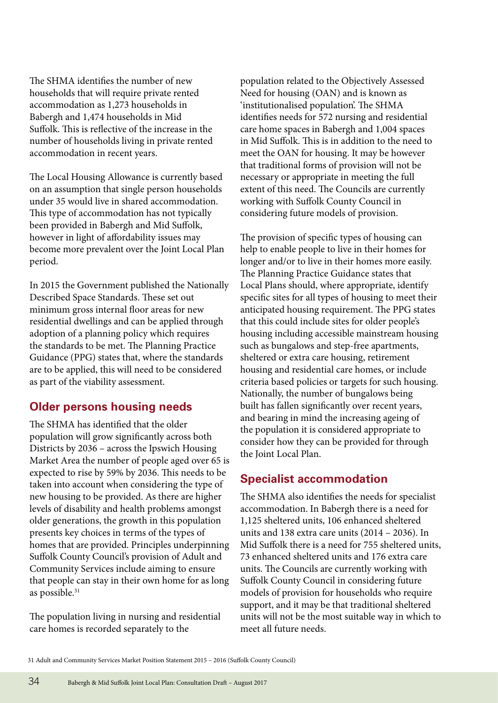The SHMA identifies the number of new households that will require private rented accommodation as 1,273 households in Babergh and 1,474 households in Mid Suffolk. This is reflective of the increase in the number of households living in private rented accommodation in recent years.

The Local Housing Allowance is currently based on an assumption that single person households under 35 would live in shared accommodation. This type of accommodation has not typically been provided in Babergh and Mid Suffolk, however in light of affordability issues may become more prevalent over the Joint Local Plan period.

In 2015 the Government published the Nationally Described Space Standards. These set out minimum gross internal floor areas for new residential dwellings and can be applied through adoption of a planning policy which requires the standards to be met. The Planning Practice Guidance (PPG) states that, where the standards are to be applied, this will need to be considered as part of the viability assessment.

#### **Older persons housing needs**

The SHMA has identified that the older population will grow significantly across both Districts by 2036 – across the Ipswich Housing Market Area the number of people aged over 65 is expected to rise by 59% by 2036. This needs to be taken into account when considering the type of new housing to be provided. As there are higher levels of disability and health problems amongst older generations, the growth in this population presents key choices in terms of the types of homes that are provided. Principles underpinning Suffolk County Council's provision of Adult and Community Services include aiming to ensure that people can stay in their own home for as long as possible.<sup>31</sup>

The population living in nursing and residential care homes is recorded separately to the

population related to the Objectively Assessed Need for housing (OAN) and is known as 'institutionalised population'. The SHMA identifies needs for 572 nursing and residential care home spaces in Babergh and 1,004 spaces in Mid Suffolk. This is in addition to the need to meet the OAN for housing. It may be however that traditional forms of provision will not be necessary or appropriate in meeting the full extent of this need. The Councils are currently working with Suffolk County Council in considering future models of provision.

The provision of specific types of housing can help to enable people to live in their homes for longer and/or to live in their homes more easily. The Planning Practice Guidance states that Local Plans should, where appropriate, identify specific sites for all types of housing to meet their anticipated housing requirement. The PPG states that this could include sites for older people's housing including accessible mainstream housing such as bungalows and step-free apartments, sheltered or extra care housing, retirement housing and residential care homes, or include criteria based policies or targets for such housing. Nationally, the number of bungalows being built has fallen significantly over recent years, and bearing in mind the increasing ageing of the population it is considered appropriate to consider how they can be provided for through the Joint Local Plan.

#### **Specialist accommodation**

The SHMA also identifies the needs for specialist accommodation. In Babergh there is a need for 1,125 sheltered units, 106 enhanced sheltered units and 138 extra care units (2014 – 2036). In Mid Suffolk there is a need for 755 sheltered units, 73 enhanced sheltered units and 176 extra care units. The Councils are currently working with Suffolk County Council in considering future models of provision for households who require support, and it may be that traditional sheltered units will not be the most suitable way in which to meet all future needs.

31 Adult and Community Services Market Position Statement 2015 – 2016 (Suffolk County Council)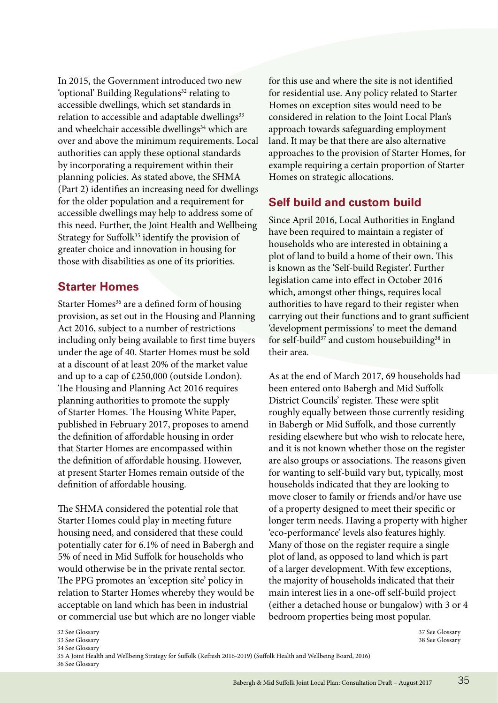In 2015, the Government introduced two new 'optional' Building Regulations<sup>32</sup> relating to accessible dwellings, which set standards in relation to accessible and adaptable dwellings<sup>33</sup> and wheelchair accessible dwellings<sup>34</sup> which are over and above the minimum requirements. Local authorities can apply these optional standards by incorporating a requirement within their planning policies. As stated above, the SHMA (Part 2) identifies an increasing need for dwellings for the older population and a requirement for accessible dwellings may help to address some of this need. Further, the Joint Health and Wellbeing Strategy for Suffolk<sup>35</sup> identify the provision of greater choice and innovation in housing for those with disabilities as one of its priorities.

#### **Starter Homes**

Starter Homes<sup>36</sup> are a defined form of housing provision, as set out in the Housing and Planning Act 2016, subject to a number of restrictions including only being available to first time buyers under the age of 40. Starter Homes must be sold at a discount of at least 20% of the market value and up to a cap of £250,000 (outside London). The Housing and Planning Act 2016 requires planning authorities to promote the supply of Starter Homes. The Housing White Paper, published in February 2017, proposes to amend the definition of affordable housing in order that Starter Homes are encompassed within the definition of affordable housing. However, at present Starter Homes remain outside of the definition of affordable housing.

The SHMA considered the potential role that Starter Homes could play in meeting future housing need, and considered that these could potentially cater for 6.1% of need in Babergh and 5% of need in Mid Suffolk for households who would otherwise be in the private rental sector. The PPG promotes an 'exception site' policy in relation to Starter Homes whereby they would be acceptable on land which has been in industrial or commercial use but which are no longer viable

for this use and where the site is not identified for residential use. Any policy related to Starter Homes on exception sites would need to be considered in relation to the Joint Local Plan's approach towards safeguarding employment land. It may be that there are also alternative approaches to the provision of Starter Homes, for example requiring a certain proportion of Starter Homes on strategic allocations.

## **Self build and custom build**

Since April 2016, Local Authorities in England have been required to maintain a register of households who are interested in obtaining a plot of land to build a home of their own. This is known as the 'Self-build Register'. Further legislation came into effect in October 2016 which, amongst other things, requires local authorities to have regard to their register when carrying out their functions and to grant sufficient 'development permissions' to meet the demand for self-build<sup>37</sup> and custom housebuilding<sup>38</sup> in their area.

As at the end of March 2017, 69 households had been entered onto Babergh and Mid Suffolk District Councils' register. These were split roughly equally between those currently residing in Babergh or Mid Suffolk, and those currently residing elsewhere but who wish to relocate here, and it is not known whether those on the register are also groups or associations. The reasons given for wanting to self-build vary but, typically, most households indicated that they are looking to move closer to family or friends and/or have use of a property designed to meet their specific or longer term needs. Having a property with higher 'eco-performance' levels also features highly. Many of those on the register require a single plot of land, as opposed to land which is part of a larger development. With few exceptions, the majority of households indicated that their main interest lies in a one-off self-build project (either a detached house or bungalow) with 3 or 4 bedroom properties being most popular.

> 37 See Glossary 38 See Glossary

32 See Glossary

36 See Glossary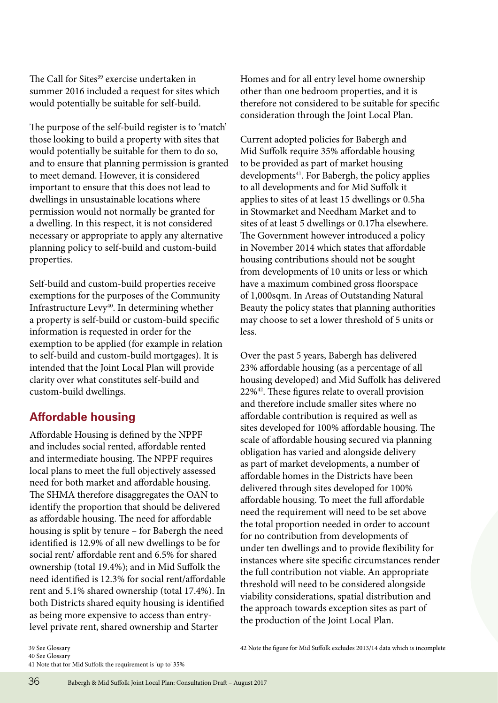The Call for Sites<sup>39</sup> exercise undertaken in summer 2016 included a request for sites which would potentially be suitable for self-build.

The purpose of the self-build register is to 'match' those looking to build a property with sites that would potentially be suitable for them to do so, and to ensure that planning permission is granted to meet demand. However, it is considered important to ensure that this does not lead to dwellings in unsustainable locations where permission would not normally be granted for a dwelling. In this respect, it is not considered necessary or appropriate to apply any alternative planning policy to self-build and custom-build properties.

Self-build and custom-build properties receive exemptions for the purposes of the Community Infrastructure Levy<sup>40</sup>. In determining whether a property is self-build or custom-build specific information is requested in order for the exemption to be applied (for example in relation to self-build and custom-build mortgages). It is intended that the Joint Local Plan will provide clarity over what constitutes self-build and custom-build dwellings.

#### **Affordable housing**

Affordable Housing is defined by the NPPF and includes social rented, affordable rented and intermediate housing. The NPPF requires local plans to meet the full objectively assessed need for both market and affordable housing. The SHMA therefore disaggregates the OAN to identify the proportion that should be delivered as affordable housing. The need for affordable housing is split by tenure – for Babergh the need identified is 12.9% of all new dwellings to be for social rent/ affordable rent and 6.5% for shared ownership (total 19.4%); and in Mid Suffolk the need identified is 12.3% for social rent/affordable rent and 5.1% shared ownership (total 17.4%). In both Districts shared equity housing is identified as being more expensive to access than entrylevel private rent, shared ownership and Starter

Homes and for all entry level home ownership other than one bedroom properties, and it is therefore not considered to be suitable for specific consideration through the Joint Local Plan.

Current adopted policies for Babergh and Mid Suffolk require 35% affordable housing to be provided as part of market housing developments<sup>41</sup>. For Babergh, the policy applies to all developments and for Mid Suffolk it applies to sites of at least 15 dwellings or 0.5ha in Stowmarket and Needham Market and to sites of at least 5 dwellings or 0.17ha elsewhere. The Government however introduced a policy in November 2014 which states that affordable housing contributions should not be sought from developments of 10 units or less or which have a maximum combined gross floorspace of 1,000sqm. In Areas of Outstanding Natural Beauty the policy states that planning authorities may choose to set a lower threshold of 5 units or less.

Over the past 5 years, Babergh has delivered 23% affordable housing (as a percentage of all housing developed) and Mid Suffolk has delivered 22%42. These figures relate to overall provision and therefore include smaller sites where no affordable contribution is required as well as sites developed for 100% affordable housing. The scale of affordable housing secured via planning obligation has varied and alongside delivery as part of market developments, a number of affordable homes in the Districts have been delivered through sites developed for 100% affordable housing. To meet the full affordable need the requirement will need to be set above the total proportion needed in order to account for no contribution from developments of under ten dwellings and to provide flexibility for instances where site specific circumstances render the full contribution not viable. An appropriate threshold will need to be considered alongside viability considerations, spatial distribution and the approach towards exception sites as part of the production of the Joint Local Plan.

42 Note the figure for Mid Suffolk excludes 2013/14 data which is incomplete

<sup>39</sup> See Glossary 40 See Glossary

<sup>41</sup> Note that for Mid Suffolk the requirement is 'up to' 35%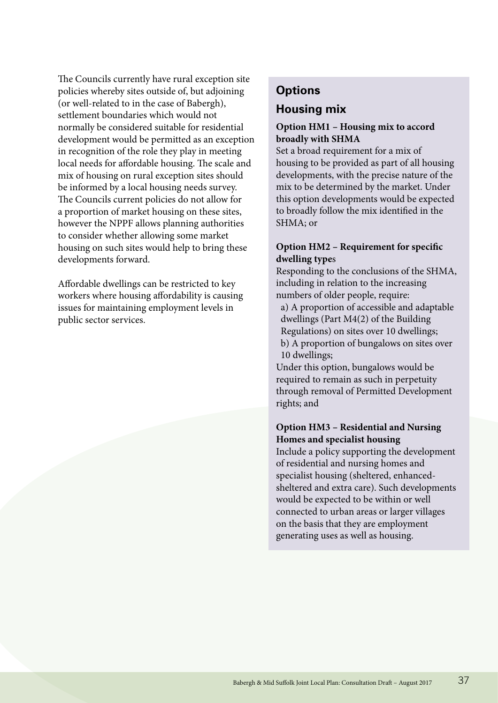The Councils currently have rural exception site policies whereby sites outside of, but adjoining (or well-related to in the case of Babergh), settlement boundaries which would not normally be considered suitable for residential development would be permitted as an exception in recognition of the role they play in meeting local needs for affordable housing. The scale and mix of housing on rural exception sites should be informed by a local housing needs survey. The Councils current policies do not allow for a proportion of market housing on these sites, however the NPPF allows planning authorities to consider whether allowing some market housing on such sites would help to bring these developments forward.

Affordable dwellings can be restricted to key workers where housing affordability is causing issues for maintaining employment levels in public sector services.

## **Options**

## **Housing mix**

#### **Option HM1 – Housing mix to accord broadly with SHMA**

Set a broad requirement for a mix of housing to be provided as part of all housing developments, with the precise nature of the mix to be determined by the market. Under this option developments would be expected to broadly follow the mix identified in the SHMA; or

#### **Option HM2 – Requirement for specific dwelling type**s

Responding to the conclusions of the SHMA, including in relation to the increasing numbers of older people, require:

a) A proportion of accessible and adaptable dwellings (Part M4(2) of the Building Regulations) on sites over 10 dwellings; b) A proportion of bungalows on sites over 10 dwellings;

Under this option, bungalows would be required to remain as such in perpetuity through removal of Permitted Development rights; and

#### **Option HM3 – Residential and Nursing Homes and specialist housing**

Include a policy supporting the development of residential and nursing homes and specialist housing (sheltered, enhancedsheltered and extra care). Such developments would be expected to be within or well connected to urban areas or larger villages on the basis that they are employment generating uses as well as housing.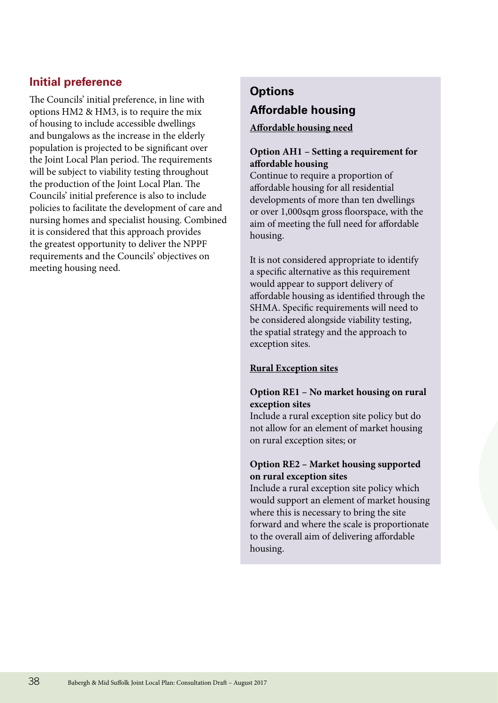## **Initial preference**

The Councils' initial preference, in line with options HM2 & HM3, is to require the mix of housing to include accessible dwellings and bungalows as the increase in the elderly population is projected to be significant over the Joint Local Plan period. The requirements will be subject to viability testing throughout the production of the Joint Local Plan. The Councils' initial preference is also to include policies to facilitate the development of care and nursing homes and specialist housing. Combined it is considered that this approach provides the greatest opportunity to deliver the NPPF requirements and the Councils' objectives on meeting housing need.

## **Options Affordable housing Affordable housing need**

#### **Option AH1 – Setting a requirement for affordable housing**

Continue to require a proportion of affordable housing for all residential developments of more than ten dwellings or over 1,000sqm gross floorspace, with the aim of meeting the full need for affordable housing.

It is not considered appropriate to identify a specific alternative as this requirement would appear to support delivery of affordable housing as identified through the SHMA. Specific requirements will need to be considered alongside viability testing, the spatial strategy and the approach to exception sites.

#### **Rural Exception sites**

#### **Option RE1 – No market housing on rural exception sites**

Include a rural exception site policy but do not allow for an element of market housing on rural exception sites; or

#### **Option RE2 – Market housing supported on rural exception sites**

Include a rural exception site policy which would support an element of market housing where this is necessary to bring the site forward and where the scale is proportionate to the overall aim of delivering affordable housing.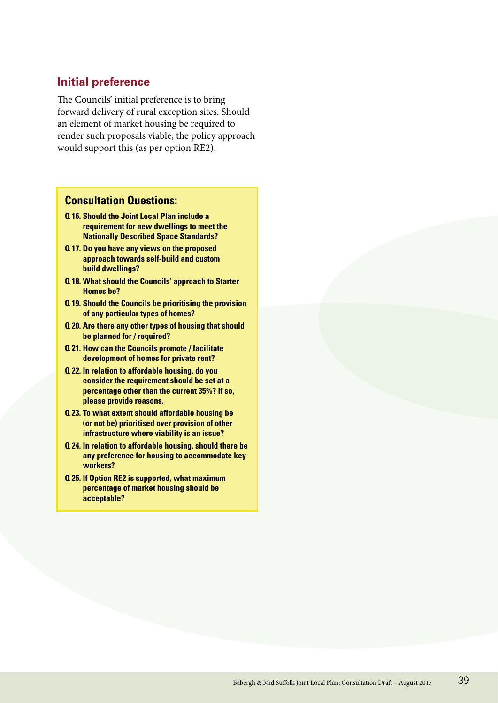#### **Initial preference**

The Councils' initial preference is to bring forward delivery of rural exception sites. Should an element of market housing be required to render such proposals viable, the policy approach would support this (as per option RE2).

- **Q 16. Should the Joint Local Plan include a requirement for new dwellings to meet the Nationally Described Space Standards?**
- **Q 17. Do you have any views on the proposed approach towards self-build and custom build dwellings?**
- **Q 18. What should the Councils' approach to Starter Homes be?**
- **Q 19. Should the Councils be prioritising the provision of any particular types of homes?**
- **Q 20. Are there any other types of housing that should be planned for / required?**
- **Q 21. How can the Councils promote / facilitate development of homes for private rent?**
- **Q 22. In relation to affordable housing, do you consider the requirement should be set at a percentage other than the current 35%? If so, please provide reasons.**
- **Q 23. To what extent should affordable housing be (or not be) prioritised over provision of other infrastructure where viability is an issue?**
- **Q 24. In relation to affordable housing, should there be any preference for housing to accommodate key workers?**
- **Q 25. If Option RE2 is supported, what maximum percentage of market housing should be acceptable?**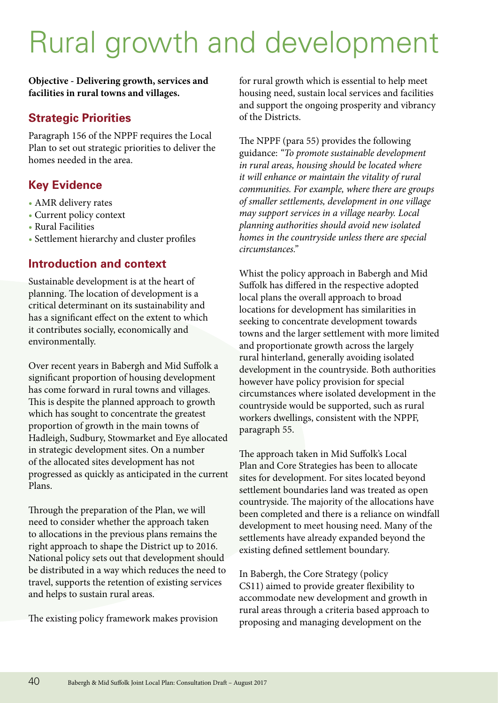## Rural growth and development

**Objective - Delivering growth, services and facilities in rural towns and villages.**

## **Strategic Priorities**

Paragraph 156 of the NPPF requires the Local Plan to set out strategic priorities to deliver the homes needed in the area.

## **Key Evidence**

- AMR delivery rates
- Current policy context
- Rural Facilities
- Settlement hierarchy and cluster profiles

## **Introduction and context**

Sustainable development is at the heart of planning. The location of development is a critical determinant on its sustainability and has a significant effect on the extent to which it contributes socially, economically and environmentally.

Over recent years in Babergh and Mid Suffolk a significant proportion of housing development has come forward in rural towns and villages. This is despite the planned approach to growth which has sought to concentrate the greatest proportion of growth in the main towns of Hadleigh, Sudbury, Stowmarket and Eye allocated in strategic development sites. On a number of the allocated sites development has not progressed as quickly as anticipated in the current Plans.

Through the preparation of the Plan, we will need to consider whether the approach taken to allocations in the previous plans remains the right approach to shape the District up to 2016. National policy sets out that development should be distributed in a way which reduces the need to travel, supports the retention of existing services and helps to sustain rural areas.

The existing policy framework makes provision

for rural growth which is essential to help meet housing need, sustain local services and facilities and support the ongoing prosperity and vibrancy of the Districts.

The NPPF (para 55) provides the following guidance: *"To promote sustainable development in rural areas, housing should be located where it will enhance or maintain the vitality of rural communities. For example, where there are groups of smaller settlements, development in one village may support services in a village nearby. Local planning authorities should avoid new isolated homes in the countryside unless there are special circumstances."*

Whist the policy approach in Babergh and Mid Suffolk has differed in the respective adopted local plans the overall approach to broad locations for development has similarities in seeking to concentrate development towards towns and the larger settlement with more limited and proportionate growth across the largely rural hinterland, generally avoiding isolated development in the countryside. Both authorities however have policy provision for special circumstances where isolated development in the countryside would be supported, such as rural workers dwellings, consistent with the NPPF, paragraph 55.

The approach taken in Mid Suffolk's Local Plan and Core Strategies has been to allocate sites for development. For sites located beyond settlement boundaries land was treated as open countryside. The majority of the allocations have been completed and there is a reliance on windfall development to meet housing need. Many of the settlements have already expanded beyond the existing defined settlement boundary.

In Babergh, the Core Strategy (policy CS11) aimed to provide greater flexibility to accommodate new development and growth in rural areas through a criteria based approach to proposing and managing development on the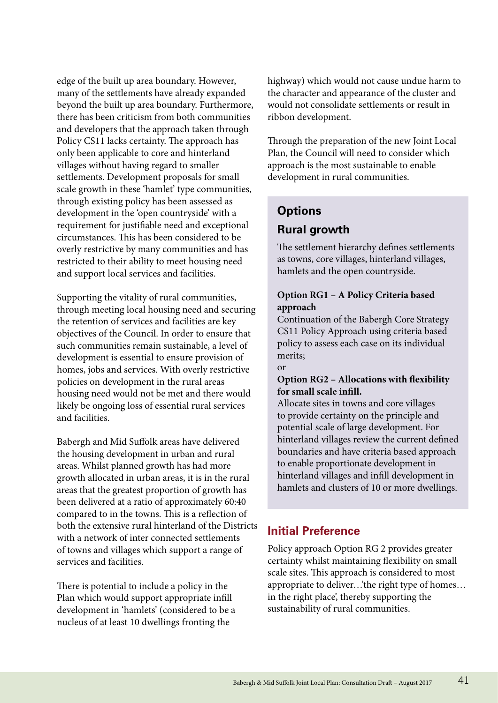edge of the built up area boundary. However, many of the settlements have already expanded beyond the built up area boundary. Furthermore, there has been criticism from both communities and developers that the approach taken through Policy CS11 lacks certainty. The approach has only been applicable to core and hinterland villages without having regard to smaller settlements. Development proposals for small scale growth in these 'hamlet' type communities, through existing policy has been assessed as development in the 'open countryside' with a requirement for justifiable need and exceptional circumstances. This has been considered to be overly restrictive by many communities and has restricted to their ability to meet housing need and support local services and facilities.

Supporting the vitality of rural communities, through meeting local housing need and securing the retention of services and facilities are key objectives of the Council. In order to ensure that such communities remain sustainable, a level of development is essential to ensure provision of homes, jobs and services. With overly restrictive policies on development in the rural areas housing need would not be met and there would likely be ongoing loss of essential rural services and facilities.

Babergh and Mid Suffolk areas have delivered the housing development in urban and rural areas. Whilst planned growth has had more growth allocated in urban areas, it is in the rural areas that the greatest proportion of growth has been delivered at a ratio of approximately 60:40 compared to in the towns. This is a reflection of both the extensive rural hinterland of the Districts with a network of inter connected settlements of towns and villages which support a range of services and facilities.

There is potential to include a policy in the Plan which would support appropriate infill development in 'hamlets' (considered to be a nucleus of at least 10 dwellings fronting the

highway) which would not cause undue harm to the character and appearance of the cluster and would not consolidate settlements or result in ribbon development.

Through the preparation of the new Joint Local Plan, the Council will need to consider which approach is the most sustainable to enable development in rural communities.

## **Options**

## **Rural growth**

The settlement hierarchy defines settlements as towns, core villages, hinterland villages, hamlets and the open countryside.

#### **Option RG1 – A Policy Criteria based approach**

Continuation of the Babergh Core Strategy CS11 Policy Approach using criteria based policy to assess each case on its individual merits; or

#### **Option RG2 – Allocations with flexibility for small scale infill.**

Allocate sites in towns and core villages to provide certainty on the principle and potential scale of large development. For hinterland villages review the current defined boundaries and have criteria based approach to enable proportionate development in hinterland villages and infill development in hamlets and clusters of 10 or more dwellings.

## **Initial Preference**

Policy approach Option RG 2 provides greater certainty whilst maintaining flexibility on small scale sites. This approach is considered to most appropriate to deliver…'the right type of homes… in the right place', thereby supporting the sustainability of rural communities.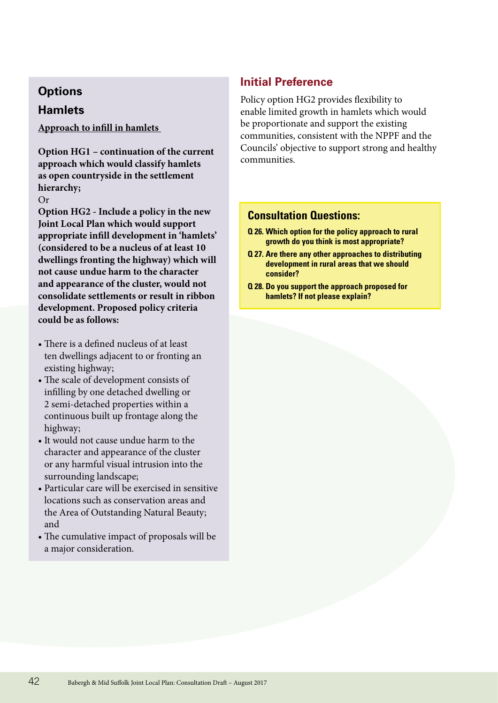## **Options**

### **Hamlets**

**Approach to infill in hamlets** 

**Option HG1 – continuation of the current approach which would classify hamlets as open countryside in the settlement hierarchy;** Or

**Option HG2 - Include a policy in the new Joint Local Plan which would support appropriate infill development in 'hamlets' (considered to be a nucleus of at least 10 dwellings fronting the highway) which will not cause undue harm to the character and appearance of the cluster, would not consolidate settlements or result in ribbon development. Proposed policy criteria could be as follows:**

- There is a defined nucleus of at least ten dwellings adjacent to or fronting an existing highway;
- The scale of development consists of infilling by one detached dwelling or 2 semi-detached properties within a continuous built up frontage along the highway;
- It would not cause undue harm to the character and appearance of the cluster or any harmful visual intrusion into the surrounding landscape;
- Particular care will be exercised in sensitive locations such as conservation areas and the Area of Outstanding Natural Beauty; and
- The cumulative impact of proposals will be a major consideration.

## **Initial Preference**

Policy option HG2 provides flexibility to enable limited growth in hamlets which would be proportionate and support the existing communities, consistent with the NPPF and the Councils' objective to support strong and healthy communities.

- **Q 26. Which option for the policy approach to rural growth do you think is most appropriate?**
- **Q 27. Are there any other approaches to distributing development in rural areas that we should consider?**
- **Q 28. Do you support the approach proposed for hamlets? If not please explain?**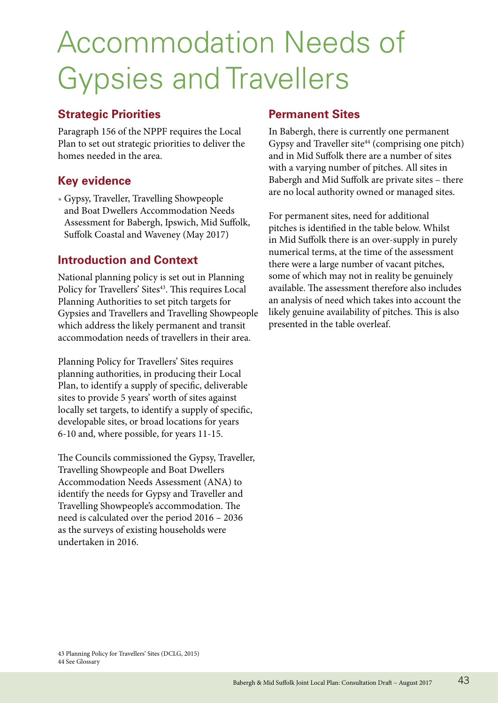## Accommodation Needs of Gypsies and Travellers

## **Strategic Priorities**

Paragraph 156 of the NPPF requires the Local Plan to set out strategic priorities to deliver the homes needed in the area.

## **Key evidence**

• Gypsy, Traveller, Travelling Showpeople and Boat Dwellers Accommodation Needs Assessment for Babergh, Ipswich, Mid Suffolk, Suffolk Coastal and Waveney (May 2017)

## **Introduction and Context**

National planning policy is set out in Planning Policy for Travellers' Sites<sup>43</sup>. This requires Local Planning Authorities to set pitch targets for Gypsies and Travellers and Travelling Showpeople which address the likely permanent and transit accommodation needs of travellers in their area.

Planning Policy for Travellers' Sites requires planning authorities, in producing their Local Plan, to identify a supply of specific, deliverable sites to provide 5 years' worth of sites against locally set targets, to identify a supply of specific, developable sites, or broad locations for years 6-10 and, where possible, for years 11-15.

The Councils commissioned the Gypsy, Traveller, Travelling Showpeople and Boat Dwellers Accommodation Needs Assessment (ANA) to identify the needs for Gypsy and Traveller and Travelling Showpeople's accommodation. The need is calculated over the period 2016 – 2036 as the surveys of existing households were undertaken in 2016.

## **Permanent Sites**

In Babergh, there is currently one permanent Gypsy and Traveller site<sup>44</sup> (comprising one pitch) and in Mid Suffolk there are a number of sites with a varying number of pitches. All sites in Babergh and Mid Suffolk are private sites – there are no local authority owned or managed sites.

For permanent sites, need for additional pitches is identified in the table below. Whilst in Mid Suffolk there is an over-supply in purely numerical terms, at the time of the assessment there were a large number of vacant pitches, some of which may not in reality be genuinely available. The assessment therefore also includes an analysis of need which takes into account the likely genuine availability of pitches. This is also presented in the table overleaf.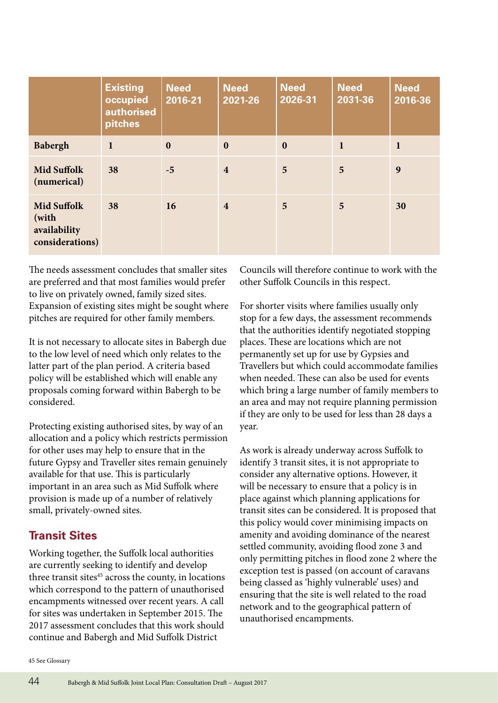|                                                                | <b>Existing</b><br>occupied<br>authorised<br><b>pitches</b> | <b>Need</b><br>2016-21 | <b>Need</b><br>2021-26  | <b>Need</b><br>2026-31 | <b>Need</b><br>2031-36 | <b>Need</b><br>2016-36 |
|----------------------------------------------------------------|-------------------------------------------------------------|------------------------|-------------------------|------------------------|------------------------|------------------------|
| <b>Babergh</b>                                                 | $\mathbf{1}$                                                | $\bf{0}$               | $\bf{0}$                | $\bf{0}$               | $\mathbf{1}$           | 1                      |
| <b>Mid Suffolk</b><br>(numerical)                              | 38                                                          | $-5$                   | $\overline{\mathbf{4}}$ | 5                      | 5                      | 9                      |
| <b>Mid Suffolk</b><br>(with<br>availability<br>considerations) | 38                                                          | 16                     | $\overline{\mathbf{4}}$ | 5                      | 5                      | 30                     |

The needs assessment concludes that smaller sites are preferred and that most families would prefer to live on privately owned, family sized sites. Expansion of existing sites might be sought where pitches are required for other family members.

It is not necessary to allocate sites in Babergh due to the low level of need which only relates to the latter part of the plan period. A criteria based policy will be established which will enable any proposals coming forward within Babergh to be considered.

Protecting existing authorised sites, by way of an allocation and a policy which restricts permission for other uses may help to ensure that in the future Gypsy and Traveller sites remain genuinely available for that use. This is particularly important in an area such as Mid Suffolk where provision is made up of a number of relatively small, privately-owned sites.

### **Transit Sites**

Working together, the Suffolk local authorities are currently seeking to identify and develop three transit sites<sup>45</sup> across the county, in locations which correspond to the pattern of unauthorised encampments witnessed over recent years. A call for sites was undertaken in September 2015. The 2017 assessment concludes that this work should continue and Babergh and Mid Suffolk District

Councils will therefore continue to work with the other Suffolk Councils in this respect.

For shorter visits where families usually only stop for a few days, the assessment recommends that the authorities identify negotiated stopping places. These are locations which are not permanently set up for use by Gypsies and Travellers but which could accommodate families when needed. These can also be used for events which bring a large number of family members to an area and may not require planning permission if they are only to be used for less than 28 days a year.

As work is already underway across Suffolk to identify 3 transit sites, it is not appropriate to consider any alternative options. However, it will be necessary to ensure that a policy is in place against which planning applications for transit sites can be considered. It is proposed that this policy would cover minimising impacts on amenity and avoiding dominance of the nearest settled community, avoiding flood zone 3 and only permitting pitches in flood zone 2 where the exception test is passed (on account of caravans being classed as 'highly vulnerable' uses) and ensuring that the site is well related to the road network and to the geographical pattern of unauthorised encampments.

45 See Glossary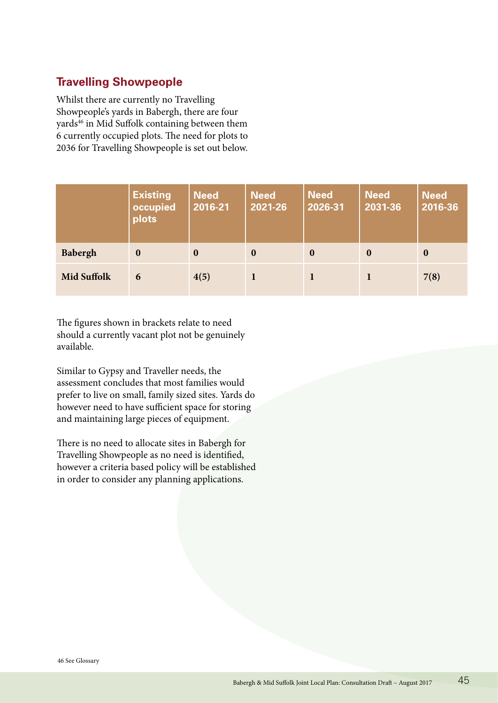## **Travelling Showpeople**

Whilst there are currently no Travelling Showpeople's yards in Babergh, there are four yards<sup>46</sup> in Mid Suffolk containing between them 6 currently occupied plots. The need for plots to 2036 for Travelling Showpeople is set out below.

|                    | <b>Existing</b><br>occupied<br>plots | <b>Need</b><br>2016-21 | <b>Need</b><br>2021-26 | <b>Need</b><br>2026-31 | <b>Need</b><br>2031-36 | <b>Need</b><br>2016-36 |
|--------------------|--------------------------------------|------------------------|------------------------|------------------------|------------------------|------------------------|
| <b>Babergh</b>     | $\bf{0}$                             | $\bf{0}$               | $\bf{0}$               | $\bf{0}$               | $\bf{0}$               | $\bf{0}$               |
| <b>Mid Suffolk</b> | 6                                    | 4(5)                   |                        |                        |                        | 7(8)                   |

The figures shown in brackets relate to need should a currently vacant plot not be genuinely available.

Similar to Gypsy and Traveller needs, the assessment concludes that most families would prefer to live on small, family sized sites. Yards do however need to have sufficient space for storing and maintaining large pieces of equipment.

There is no need to allocate sites in Babergh for Travelling Showpeople as no need is identified, however a criteria based policy will be established in order to consider any planning applications.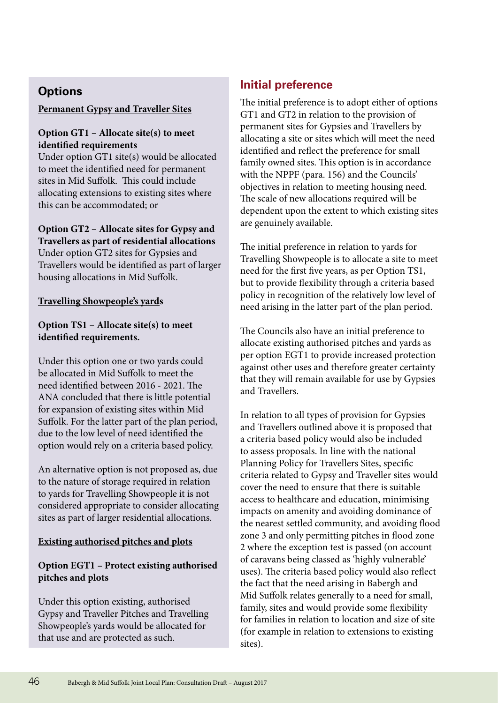## **Options**

#### **Permanent Gypsy and Traveller Sites**

#### **Option GT1 – Allocate site(s) to meet identified requirements**

Under option GT1 site(s) would be allocated to meet the identified need for permanent sites in Mid Suffolk. This could include allocating extensions to existing sites where this can be accommodated; or

#### **Option GT2 – Allocate sites for Gypsy and Travellers as part of residential allocations**

Under option GT2 sites for Gypsies and Travellers would be identified as part of larger housing allocations in Mid Suffolk.

#### **Travelling Showpeople's yards**

#### **Option TS1 – Allocate site(s) to meet identified requirements.**

Under this option one or two yards could be allocated in Mid Suffolk to meet the need identified between 2016 - 2021. The ANA concluded that there is little potential for expansion of existing sites within Mid Suffolk. For the latter part of the plan period, due to the low level of need identified the option would rely on a criteria based policy.

An alternative option is not proposed as, due to the nature of storage required in relation to yards for Travelling Showpeople it is not considered appropriate to consider allocating sites as part of larger residential allocations.

#### **Existing authorised pitches and plots**

#### **Option EGT1 – Protect existing authorised pitches and plots**

Under this option existing, authorised Gypsy and Traveller Pitches and Travelling Showpeople's yards would be allocated for that use and are protected as such.

## **Initial preference**

The initial preference is to adopt either of options GT1 and GT2 in relation to the provision of permanent sites for Gypsies and Travellers by allocating a site or sites which will meet the need identified and reflect the preference for small family owned sites. This option is in accordance with the NPPF (para. 156) and the Councils' objectives in relation to meeting housing need. The scale of new allocations required will be dependent upon the extent to which existing sites are genuinely available.

The initial preference in relation to yards for Travelling Showpeople is to allocate a site to meet need for the first five years, as per Option TS1, but to provide flexibility through a criteria based policy in recognition of the relatively low level of need arising in the latter part of the plan period.

The Councils also have an initial preference to allocate existing authorised pitches and yards as per option EGT1 to provide increased protection against other uses and therefore greater certainty that they will remain available for use by Gypsies and Travellers.

In relation to all types of provision for Gypsies and Travellers outlined above it is proposed that a criteria based policy would also be included to assess proposals. In line with the national Planning Policy for Travellers Sites, specific criteria related to Gypsy and Traveller sites would cover the need to ensure that there is suitable access to healthcare and education, minimising impacts on amenity and avoiding dominance of the nearest settled community, and avoiding flood zone 3 and only permitting pitches in flood zone 2 where the exception test is passed (on account of caravans being classed as 'highly vulnerable' uses). The criteria based policy would also reflect the fact that the need arising in Babergh and Mid Suffolk relates generally to a need for small, family, sites and would provide some flexibility for families in relation to location and size of site (for example in relation to extensions to existing sites).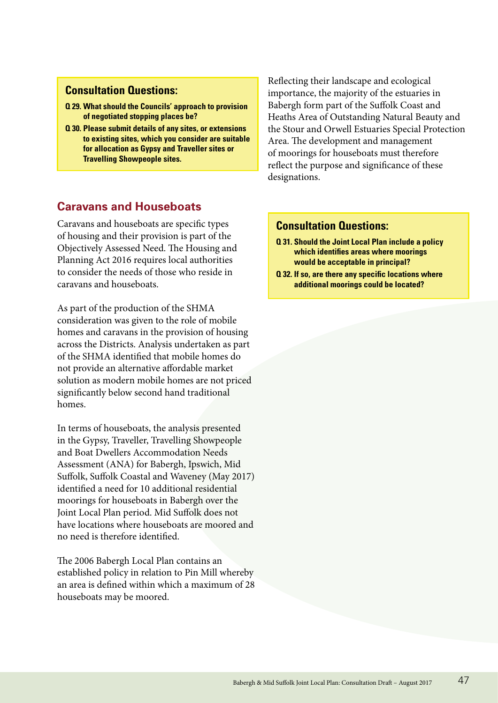#### **Consultation Questions:**

- **Q 29. What should the Councils' approach to provision of negotiated stopping places be?**
- **Q 30. Please submit details of any sites, or extensions to existing sites, which you consider are suitable for allocation as Gypsy and Traveller sites or Travelling Showpeople sites.**

### **Caravans and Houseboats**

Caravans and houseboats are specific types of housing and their provision is part of the Objectively Assessed Need. The Housing and Planning Act 2016 requires local authorities to consider the needs of those who reside in caravans and houseboats.

As part of the production of the SHMA consideration was given to the role of mobile homes and caravans in the provision of housing across the Districts. Analysis undertaken as part of the SHMA identified that mobile homes do not provide an alternative affordable market solution as modern mobile homes are not priced significantly below second hand traditional homes.

In terms of houseboats, the analysis presented in the Gypsy, Traveller, Travelling Showpeople and Boat Dwellers Accommodation Needs Assessment (ANA) for Babergh, Ipswich, Mid Suffolk, Suffolk Coastal and Waveney (May 2017) identified a need for 10 additional residential moorings for houseboats in Babergh over the Joint Local Plan period. Mid Suffolk does not have locations where houseboats are moored and no need is therefore identified.

The 2006 Babergh Local Plan contains an established policy in relation to Pin Mill whereby an area is defined within which a maximum of 28 houseboats may be moored.

Reflecting their landscape and ecological importance, the majority of the estuaries in Babergh form part of the Suffolk Coast and Heaths Area of Outstanding Natural Beauty and the Stour and Orwell Estuaries Special Protection Area. The development and management of moorings for houseboats must therefore reflect the purpose and significance of these designations.

- **Q 31. Should the Joint Local Plan include a policy which identifies areas where moorings would be acceptable in principal?**
- **Q 32. If so, are there any specific locations where additional moorings could be located?**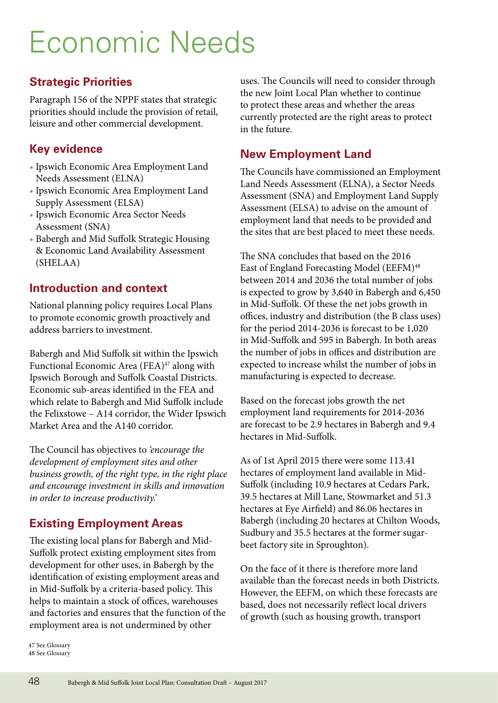## Economic Needs

## **Strategic Priorities**

Paragraph 156 of the NPPF states that strategic priorities should include the provision of retail, leisure and other commercial development.

## **Key evidence**

- Ipswich Economic Area Employment Land Needs Assessment (ELNA)
- Ipswich Economic Area Employment Land Supply Assessment (ELSA)
- Ipswich Economic Area Sector Needs Assessment (SNA)
- Babergh and Mid Suffolk Strategic Housing & Economic Land Availability Assessment (SHELAA)

## **Introduction and context**

National planning policy requires Local Plans to promote economic growth proactively and address barriers to investment.

Babergh and Mid Suffolk sit within the Ipswich Functional Economic Area (FEA)<sup>47</sup> along with Ipswich Borough and Suffolk Coastal Districts. Economic sub-areas identified in the FEA and which relate to Babergh and Mid Suffolk include the Felixstowe – A14 corridor, the Wider Ipswich Market Area and the A140 corridor.

The Council has objectives to *'encourage the development of employment sites and other business growth, of the right type, in the right place and encourage investment in skills and innovation in order to increase productivity.'*

## **Existing Employment Areas**

The existing local plans for Babergh and Mid-Suffolk protect existing employment sites from development for other uses, in Babergh by the identification of existing employment areas and in Mid-Suffolk by a criteria-based policy. This helps to maintain a stock of offices, warehouses and factories and ensures that the function of the employment area is not undermined by other

47 See Glossary 48 See Glossary

uses. The Councils will need to consider through the new Joint Local Plan whether to continue to protect these areas and whether the areas currently protected are the right areas to protect in the future.

## **New Employment Land**

The Councils have commissioned an Employment Land Needs Assessment (ELNA), a Sector Needs Assessment (SNA) and Employment Land Supply Assessment (ELSA) to advise on the amount of employment land that needs to be provided and the sites that are best placed to meet these needs.

The SNA concludes that based on the 2016 East of England Forecasting Model (EEFM)<sup>48</sup> between 2014 and 2036 the total number of jobs is expected to grow by 3,640 in Babergh and 6,450 in Mid-Suffolk. Of these the net jobs growth in offices, industry and distribution (the B class uses) for the period 2014-2036 is forecast to be 1,020 in Mid-Suffolk and 595 in Babergh. In both areas the number of jobs in offices and distribution are expected to increase whilst the number of jobs in manufacturing is expected to decrease.

Based on the forecast jobs growth the net employment land requirements for 2014-2036 are forecast to be 2.9 hectares in Babergh and 9.4 hectares in Mid-Suffolk.

As of 1st April 2015 there were some 113.41 hectares of employment land available in Mid-Suffolk (including 10.9 hectares at Cedars Park, 39.5 hectares at Mill Lane, Stowmarket and 51.3 hectares at Eye Airfield) and 86.06 hectares in Babergh (including 20 hectares at Chilton Woods, Sudbury and 35.5 hectares at the former sugarbeet factory site in Sproughton).

On the face of it there is therefore more land available than the forecast needs in both Districts. However, the EEFM, on which these forecasts are based, does not necessarily reflect local drivers of growth (such as housing growth, transport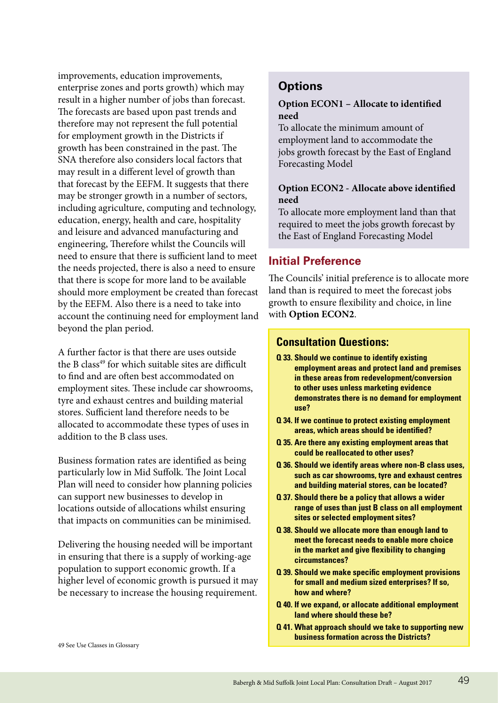improvements, education improvements, enterprise zones and ports growth) which may result in a higher number of jobs than forecast. The forecasts are based upon past trends and therefore may not represent the full potential for employment growth in the Districts if growth has been constrained in the past. The SNA therefore also considers local factors that may result in a different level of growth than that forecast by the EEFM. It suggests that there may be stronger growth in a number of sectors, including agriculture, computing and technology, education, energy, health and care, hospitality and leisure and advanced manufacturing and engineering, Therefore whilst the Councils will need to ensure that there is sufficient land to meet the needs projected, there is also a need to ensure that there is scope for more land to be available should more employment be created than forecast by the EEFM. Also there is a need to take into account the continuing need for employment land beyond the plan period.

A further factor is that there are uses outside the B class<sup>49</sup> for which suitable sites are difficult to find and are often best accommodated on employment sites. These include car showrooms, tyre and exhaust centres and building material stores. Sufficient land therefore needs to be allocated to accommodate these types of uses in addition to the B class uses.

Business formation rates are identified as being particularly low in Mid Suffolk. The Joint Local Plan will need to consider how planning policies can support new businesses to develop in locations outside of allocations whilst ensuring that impacts on communities can be minimised.

Delivering the housing needed will be important in ensuring that there is a supply of working-age population to support economic growth. If a higher level of economic growth is pursued it may be necessary to increase the housing requirement.

### **Options**

#### **Option ECON1 – Allocate to identified need**

To allocate the minimum amount of employment land to accommodate the jobs growth forecast by the East of England Forecasting Model

#### **Option ECON2 - Allocate above identified need**

To allocate more employment land than that required to meet the jobs growth forecast by the East of England Forecasting Model

## **Initial Preference**

The Councils' initial preference is to allocate more land than is required to meet the forecast jobs growth to ensure flexibility and choice, in line with **Option ECON2**.

- **Q 33. Should we continue to identify existing employment areas and protect land and premises in these areas from redevelopment/conversion to other uses unless marketing evidence demonstrates there is no demand for employment use?**
- **Q 34. If we continue to protect existing employment areas, which areas should be identified?**
- **Q 35. Are there any existing employment areas that could be reallocated to other uses?**
- **Q 36. Should we identify areas where non-B class uses, such as car showrooms, tyre and exhaust centres and building material stores, can be located?**
- **Q 37. Should there be a policy that allows a wider range of uses than just B class on all employment sites or selected employment sites?**
- **Q 38. Should we allocate more than enough land to meet the forecast needs to enable more choice in the market and give flexibility to changing circumstances?**
- **Q 39. Should we make specific employment provisions for small and medium sized enterprises? If so, how and where?**
- **Q 40. If we expand, or allocate additional employment land where should these be?**
- **Q 41. What approach should we take to supporting new business formation across the Districts?**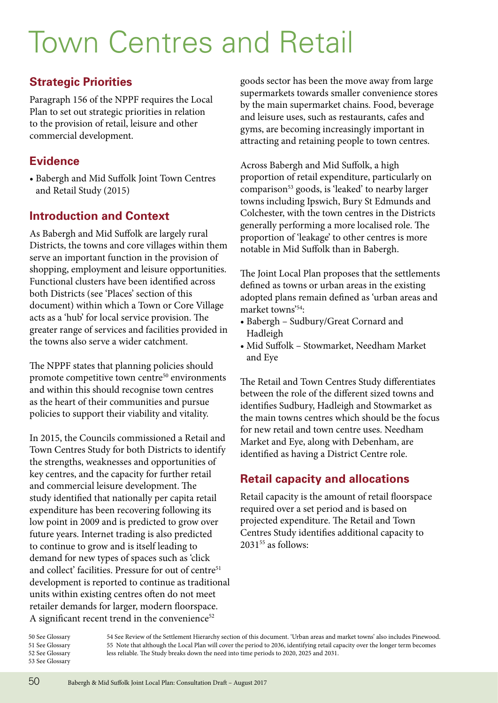## Town Centres and Retail

## **Strategic Priorities**

Paragraph 156 of the NPPF requires the Local Plan to set out strategic priorities in relation to the provision of retail, leisure and other commercial development.

## **Evidence**

• Babergh and Mid Suffolk Joint Town Centres and Retail Study (2015)

## **Introduction and Context**

As Babergh and Mid Suffolk are largely rural Districts, the towns and core villages within them serve an important function in the provision of shopping, employment and leisure opportunities. Functional clusters have been identified across both Districts (see 'Places' section of this document) within which a Town or Core Village acts as a 'hub' for local service provision. The greater range of services and facilities provided in the towns also serve a wider catchment.

The NPPF states that planning policies should promote competitive town centre<sup>50</sup> environments and within this should recognise town centres as the heart of their communities and pursue policies to support their viability and vitality.

In 2015, the Councils commissioned a Retail and Town Centres Study for both Districts to identify the strengths, weaknesses and opportunities of key centres, and the capacity for further retail and commercial leisure development. The study identified that nationally per capita retail expenditure has been recovering following its low point in 2009 and is predicted to grow over future years. Internet trading is also predicted to continue to grow and is itself leading to demand for new types of spaces such as 'click and collect' facilities. Pressure for out of centre<sup>51</sup> development is reported to continue as traditional units within existing centres often do not meet retailer demands for larger, modern floorspace. A significant recent trend in the convenience<sup>52</sup>

goods sector has been the move away from large supermarkets towards smaller convenience stores by the main supermarket chains. Food, beverage and leisure uses, such as restaurants, cafes and gyms, are becoming increasingly important in attracting and retaining people to town centres.

Across Babergh and Mid Suffolk, a high proportion of retail expenditure, particularly on comparison<sup>53</sup> goods, is 'leaked' to nearby larger towns including Ipswich, Bury St Edmunds and Colchester, with the town centres in the Districts generally performing a more localised role. The proportion of 'leakage' to other centres is more notable in Mid Suffolk than in Babergh.

The Joint Local Plan proposes that the settlements defined as towns or urban areas in the existing adopted plans remain defined as 'urban areas and market towns'54:

- Babergh Sudbury/Great Cornard and Hadleigh
- Mid Suffolk Stowmarket, Needham Market and Eye

The Retail and Town Centres Study differentiates between the role of the different sized towns and identifies Sudbury, Hadleigh and Stowmarket as the main towns centres which should be the focus for new retail and town centre uses. Needham Market and Eye, along with Debenham, are identified as having a District Centre role.

## **Retail capacity and allocations**

Retail capacity is the amount of retail floorspace required over a set period and is based on projected expenditure. The Retail and Town Centres Study identifies additional capacity to  $2031^{55}$  as follows:

54 See Review of the Settlement Hierarchy section of this document. 'Urban areas and market towns' also includes Pinewood. 55 Note that although the Local Plan will cover the period to 2036, identifying retail capacity over the longer term becomes less reliable. The Study breaks down the need into time periods to 2020, 2025 and 2031.

<sup>50</sup> See Glossary 51 See Glossary 52 See Glossary 53 See Glossary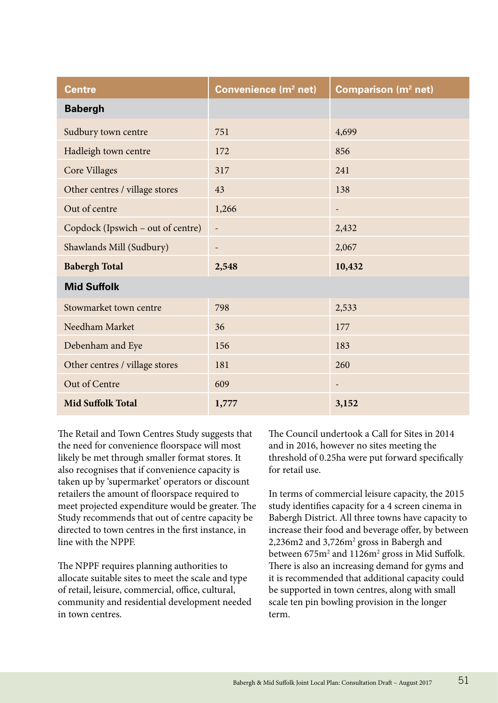| <b>Centre</b>                     | Convenience (m <sup>2</sup> net) | <b>Comparison (m<sup>2</sup> net)</b> |  |  |  |  |
|-----------------------------------|----------------------------------|---------------------------------------|--|--|--|--|
| <b>Babergh</b>                    |                                  |                                       |  |  |  |  |
| Sudbury town centre               | 751                              | 4,699                                 |  |  |  |  |
| Hadleigh town centre              | 172                              | 856                                   |  |  |  |  |
| <b>Core Villages</b>              | 317                              | 241                                   |  |  |  |  |
| Other centres / village stores    | 43                               | 138                                   |  |  |  |  |
| Out of centre                     | 1,266                            | $\overline{\phantom{a}}$              |  |  |  |  |
| Copdock (Ipswich – out of centre) | $\frac{1}{2}$                    | 2,432                                 |  |  |  |  |
| Shawlands Mill (Sudbury)          | $\overline{\phantom{a}}$         | 2,067                                 |  |  |  |  |
| <b>Babergh Total</b>              | 2,548                            | 10,432                                |  |  |  |  |
| <b>Mid Suffolk</b>                |                                  |                                       |  |  |  |  |
| Stowmarket town centre            | 798                              | 2,533                                 |  |  |  |  |
| Needham Market                    | 36                               | 177                                   |  |  |  |  |
| Debenham and Eye                  | 156                              | 183                                   |  |  |  |  |
| Other centres / village stores    | 181                              | 260                                   |  |  |  |  |
| Out of Centre                     | 609                              | $\overline{\phantom{a}}$              |  |  |  |  |
| <b>Mid Suffolk Total</b>          | 1,777                            | 3,152                                 |  |  |  |  |

The Retail and Town Centres Study suggests that the need for convenience floorspace will most likely be met through smaller format stores. It also recognises that if convenience capacity is taken up by 'supermarket' operators or discount retailers the amount of floorspace required to meet projected expenditure would be greater. The Study recommends that out of centre capacity be directed to town centres in the first instance, in line with the NPPF.

The NPPF requires planning authorities to allocate suitable sites to meet the scale and type of retail, leisure, commercial, office, cultural, community and residential development needed in town centres.

The Council undertook a Call for Sites in 2014 and in 2016, however no sites meeting the threshold of 0.25ha were put forward specifically for retail use.

In terms of commercial leisure capacity, the 2015 study identifies capacity for a 4 screen cinema in Babergh District. All three towns have capacity to increase their food and beverage offer, by between 2,236m2 and 3,726m<sup>2</sup> gross in Babergh and between 675m<sup>2</sup> and 1126m<sup>2</sup> gross in Mid Suffolk. There is also an increasing demand for gyms and it is recommended that additional capacity could be supported in town centres, along with small scale ten pin bowling provision in the longer term.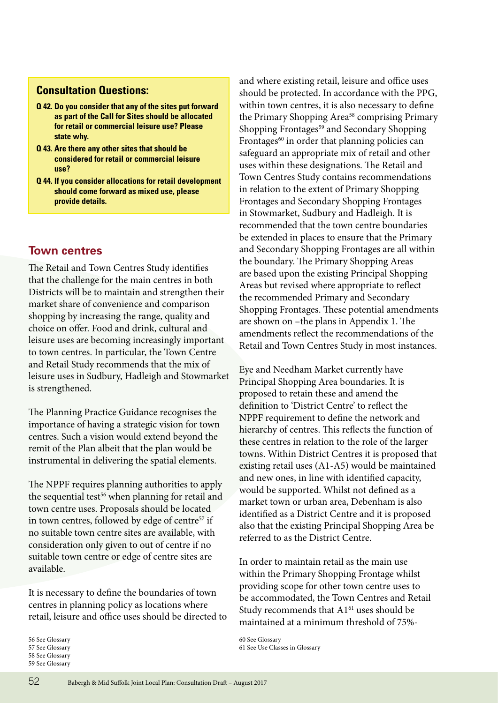#### **Consultation Questions:**

- **Q 42. Do you consider that any of the sites put forward as part of the Call for Sites should be allocated for retail or commercial leisure use? Please state why.**
- **Q 43. Are there any other sites that should be considered for retail or commercial leisure use?**
- **Q 44. If you consider allocations for retail development should come forward as mixed use, please provide details.**

#### **Town centres**

The Retail and Town Centres Study identifies that the challenge for the main centres in both Districts will be to maintain and strengthen their market share of convenience and comparison shopping by increasing the range, quality and choice on offer. Food and drink, cultural and leisure uses are becoming increasingly important to town centres. In particular, the Town Centre and Retail Study recommends that the mix of leisure uses in Sudbury, Hadleigh and Stowmarket is strengthened.

The Planning Practice Guidance recognises the importance of having a strategic vision for town centres. Such a vision would extend beyond the remit of the Plan albeit that the plan would be instrumental in delivering the spatial elements.

The NPPF requires planning authorities to apply the sequential test<sup>56</sup> when planning for retail and town centre uses. Proposals should be located in town centres, followed by edge of centre<sup>57</sup> if no suitable town centre sites are available, with consideration only given to out of centre if no suitable town centre or edge of centre sites are available.

It is necessary to define the boundaries of town centres in planning policy as locations where retail, leisure and office uses should be directed to

56 See Glossary 57 See Glossary 58 See Glossary 59 See Glossary

and where existing retail, leisure and office uses should be protected. In accordance with the PPG, within town centres, it is also necessary to define the Primary Shopping Area<sup>58</sup> comprising Primary Shopping Frontages<sup>59</sup> and Secondary Shopping Frontages<sup>60</sup> in order that planning policies can safeguard an appropriate mix of retail and other uses within these designations. The Retail and Town Centres Study contains recommendations in relation to the extent of Primary Shopping Frontages and Secondary Shopping Frontages in Stowmarket, Sudbury and Hadleigh. It is recommended that the town centre boundaries be extended in places to ensure that the Primary and Secondary Shopping Frontages are all within the boundary. The Primary Shopping Areas are based upon the existing Principal Shopping Areas but revised where appropriate to reflect the recommended Primary and Secondary Shopping Frontages. These potential amendments are shown on –the plans in Appendix 1. The amendments reflect the recommendations of the Retail and Town Centres Study in most instances.

Eye and Needham Market currently have Principal Shopping Area boundaries. It is proposed to retain these and amend the definition to 'District Centre' to reflect the NPPF requirement to define the network and hierarchy of centres. This reflects the function of these centres in relation to the role of the larger towns. Within District Centres it is proposed that existing retail uses (A1-A5) would be maintained and new ones, in line with identified capacity, would be supported. Whilst not defined as a market town or urban area, Debenham is also identified as a District Centre and it is proposed also that the existing Principal Shopping Area be referred to as the District Centre.

In order to maintain retail as the main use within the Primary Shopping Frontage whilst providing scope for other town centre uses to be accommodated, the Town Centres and Retail Study recommends that A1<sup>61</sup> uses should be maintained at a minimum threshold of 75%-

60 See Glossary 61 See Use Classes in Glossary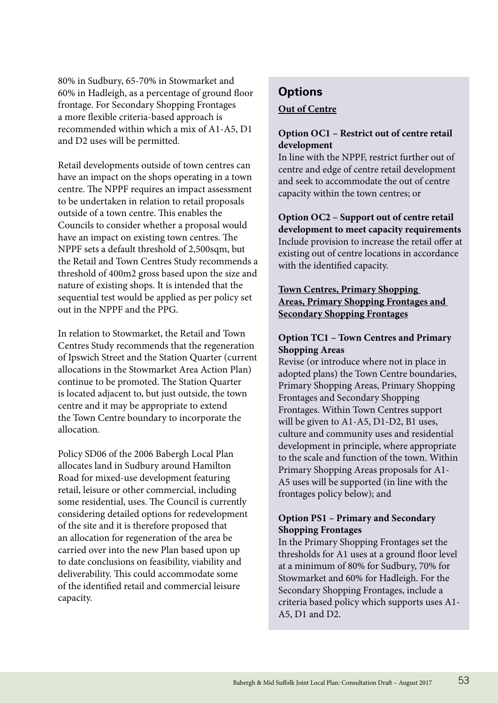80% in Sudbury, 65-70% in Stowmarket and 60% in Hadleigh, as a percentage of ground floor frontage. For Secondary Shopping Frontages a more flexible criteria-based approach is recommended within which a mix of A1-A5, D1 and D2 uses will be permitted.

Retail developments outside of town centres can have an impact on the shops operating in a town centre. The NPPF requires an impact assessment to be undertaken in relation to retail proposals outside of a town centre. This enables the Councils to consider whether a proposal would have an impact on existing town centres. The NPPF sets a default threshold of 2,500sqm, but the Retail and Town Centres Study recommends a threshold of 400m2 gross based upon the size and nature of existing shops. It is intended that the sequential test would be applied as per policy set out in the NPPF and the PPG.

In relation to Stowmarket, the Retail and Town Centres Study recommends that the regeneration of Ipswich Street and the Station Quarter (current allocations in the Stowmarket Area Action Plan) continue to be promoted. The Station Quarter is located adjacent to, but just outside, the town centre and it may be appropriate to extend the Town Centre boundary to incorporate the allocation.

Policy SD06 of the 2006 Babergh Local Plan allocates land in Sudbury around Hamilton Road for mixed-use development featuring retail, leisure or other commercial, including some residential, uses. The Council is currently considering detailed options for redevelopment of the site and it is therefore proposed that an allocation for regeneration of the area be carried over into the new Plan based upon up to date conclusions on feasibility, viability and deliverability. This could accommodate some of the identified retail and commercial leisure capacity.

## **Options**

#### **Out of Centre**

#### **Option OC1 – Restrict out of centre retail development**

In line with the NPPF, restrict further out of centre and edge of centre retail development and seek to accommodate the out of centre capacity within the town centres; or

**Option OC2 – Support out of centre retail development to meet capacity requirements** Include provision to increase the retail offer at existing out of centre locations in accordance with the identified capacity.

#### **Town Centres, Primary Shopping Areas, Primary Shopping Frontages and Secondary Shopping Frontages**

#### **Option TC1 – Town Centres and Primary Shopping Areas**

Revise (or introduce where not in place in adopted plans) the Town Centre boundaries, Primary Shopping Areas, Primary Shopping Frontages and Secondary Shopping Frontages. Within Town Centres support will be given to A1-A5, D1-D2, B1 uses, culture and community uses and residential development in principle, where appropriate to the scale and function of the town. Within Primary Shopping Areas proposals for A1- A5 uses will be supported (in line with the frontages policy below); and

#### **Option PS1 – Primary and Secondary Shopping Frontages**

In the Primary Shopping Frontages set the thresholds for A1 uses at a ground floor level at a minimum of 80% for Sudbury, 70% for Stowmarket and 60% for Hadleigh. For the Secondary Shopping Frontages, include a criteria based policy which supports uses A1- A5, D1 and D2.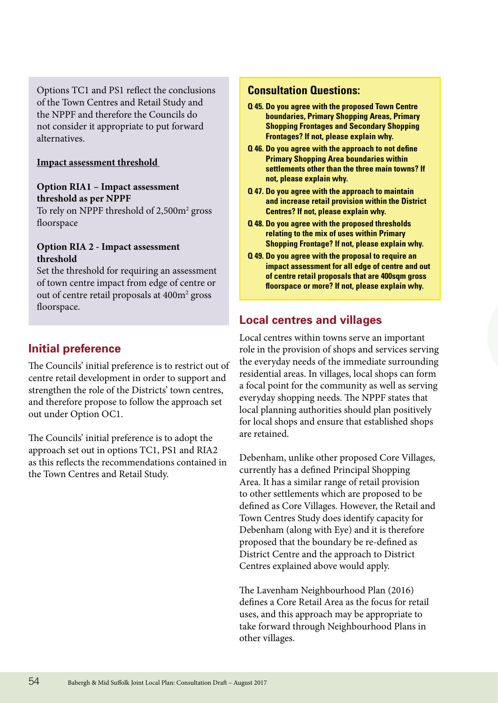Options TC1 and PS1 reflect the conclusions of the Town Centres and Retail Study and the NPPF and therefore the Councils do not consider it appropriate to put forward alternatives.

#### **Impact assessment threshold**

#### **Option RIA1 – Impact assessment threshold as per NPPF**

To rely on NPPF threshold of 2,500m<sup>2</sup> gross floorspace

#### **Option RIA 2 - Impact assessment threshold**

Set the threshold for requiring an assessment of town centre impact from edge of centre or out of centre retail proposals at 400m<sup>2</sup> gross floorspace.

## **Initial preference**

The Councils' initial preference is to restrict out of centre retail development in order to support and strengthen the role of the Districts' town centres, and therefore propose to follow the approach set out under Option OC1.

The Councils' initial preference is to adopt the approach set out in options TC1, PS1 and RIA2 as this reflects the recommendations contained in the Town Centres and Retail Study.

#### **Consultation Questions:**

- **Q 45. Do you agree with the proposed Town Centre boundaries, Primary Shopping Areas, Primary Shopping Frontages and Secondary Shopping Frontages? If not, please explain why.**
- **Q 46. Do you agree with the approach to not define Primary Shopping Area boundaries within settlements other than the three main towns? If not, please explain why.**
- **Q 47. Do you agree with the approach to maintain and increase retail provision within the District Centres? If not, please explain why.**
- **Q 48. Do you agree with the proposed thresholds relating to the mix of uses within Primary Shopping Frontage? If not, please explain why.**
- **Q 49. Do you agree with the proposal to require an impact assessment for all edge of centre and out of centre retail proposals that are 400sqm gross floorspace or more? If not, please explain why.**

## **Local centres and villages**

Local centres within towns serve an important role in the provision of shops and services serving the everyday needs of the immediate surrounding residential areas. In villages, local shops can form a focal point for the community as well as serving everyday shopping needs. The NPPF states that local planning authorities should plan positively for local shops and ensure that established shops are retained.

Debenham, unlike other proposed Core Villages, currently has a defined Principal Shopping Area. It has a similar range of retail provision to other settlements which are proposed to be defined as Core Villages. However, the Retail and Town Centres Study does identify capacity for Debenham (along with Eye) and it is therefore proposed that the boundary be re-defined as District Centre and the approach to District Centres explained above would apply.

The Lavenham Neighbourhood Plan (2016) defines a Core Retail Area as the focus for retail uses, and this approach may be appropriate to take forward through Neighbourhood Plans in other villages.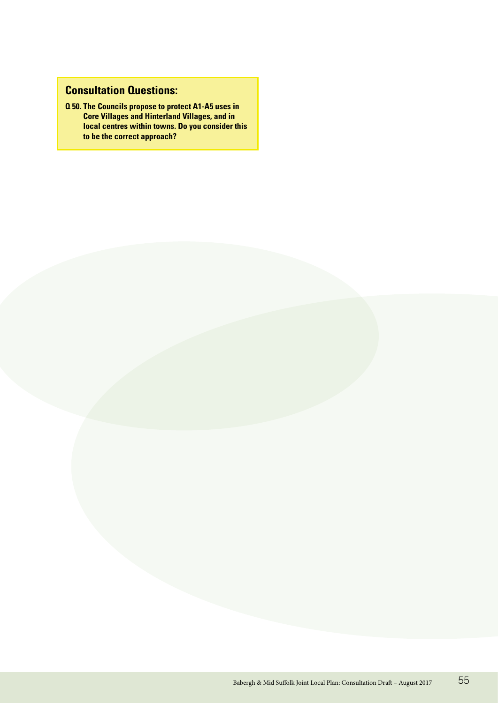## **Consultation Questions:**

**Q 50. The Councils propose to protect A1-A5 uses in Core Villages and Hinterland Villages, and in local centres within towns. Do you consider this to be the correct approach?**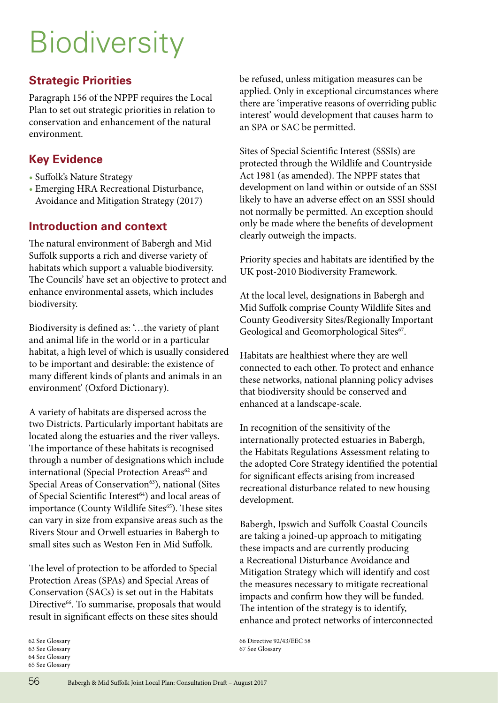# **Biodiversity**

## **Strategic Priorities**

Paragraph 156 of the NPPF requires the Local Plan to set out strategic priorities in relation to conservation and enhancement of the natural environment.

## **Key Evidence**

- Suffolk's Nature Strategy
- Emerging HRA Recreational Disturbance, Avoidance and Mitigation Strategy (2017)

## **Introduction and context**

The natural environment of Babergh and Mid Suffolk supports a rich and diverse variety of habitats which support a valuable biodiversity. The Councils' have set an objective to protect and enhance environmental assets, which includes biodiversity.

Biodiversity is defined as: '…the variety of plant and animal life in the world or in a particular habitat, a high level of which is usually considered to be important and desirable: the existence of many different kinds of plants and animals in an environment' (Oxford Dictionary).

A variety of habitats are dispersed across the two Districts. Particularly important habitats are located along the estuaries and the river valleys. The importance of these habitats is recognised through a number of designations which include international (Special Protection Areas<sup>62</sup> and Special Areas of Conservation<sup>63</sup>), national (Sites of Special Scientific Interest<sup>64</sup>) and local areas of importance (County Wildlife Sites<sup>65</sup>). These sites can vary in size from expansive areas such as the Rivers Stour and Orwell estuaries in Babergh to small sites such as Weston Fen in Mid Suffolk.

The level of protection to be afforded to Special Protection Areas (SPAs) and Special Areas of Conservation (SACs) is set out in the Habitats Directive<sup>66</sup>. To summarise, proposals that would result in significant effects on these sites should

62 See Glossary 63 See Glossary 64 See Glossary 65 See Glossary be refused, unless mitigation measures can be applied. Only in exceptional circumstances where there are 'imperative reasons of overriding public interest' would development that causes harm to an SPA or SAC be permitted.

Sites of Special Scientific Interest (SSSIs) are protected through the Wildlife and Countryside Act 1981 (as amended). The NPPF states that development on land within or outside of an SSSI likely to have an adverse effect on an SSSI should not normally be permitted. An exception should only be made where the benefits of development clearly outweigh the impacts.

Priority species and habitats are identified by the UK post-2010 Biodiversity Framework.

At the local level, designations in Babergh and Mid Suffolk comprise County Wildlife Sites and County Geodiversity Sites/Regionally Important Geological and Geomorphological Sites<sup>67</sup>.

Habitats are healthiest where they are well connected to each other. To protect and enhance these networks, national planning policy advises that biodiversity should be conserved and enhanced at a landscape-scale.

In recognition of the sensitivity of the internationally protected estuaries in Babergh, the Habitats Regulations Assessment relating to the adopted Core Strategy identified the potential for significant effects arising from increased recreational disturbance related to new housing development.

Babergh, Ipswich and Suffolk Coastal Councils are taking a joined-up approach to mitigating these impacts and are currently producing a Recreational Disturbance Avoidance and Mitigation Strategy which will identify and cost the measures necessary to mitigate recreational impacts and confirm how they will be funded. The intention of the strategy is to identify, enhance and protect networks of interconnected

66 Directive 92/43/EEC 58 67 See Glossary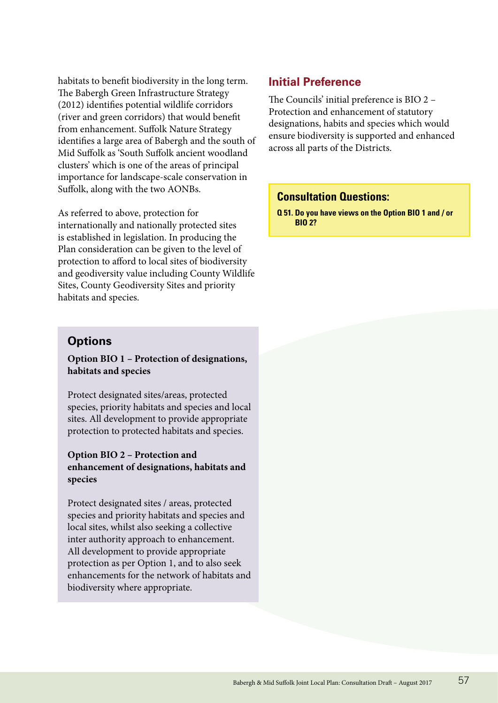habitats to benefit biodiversity in the long term. The Babergh Green Infrastructure Strategy (2012) identifies potential wildlife corridors (river and green corridors) that would benefit from enhancement. Suffolk Nature Strategy identifies a large area of Babergh and the south of Mid Suffolk as 'South Suffolk ancient woodland clusters' which is one of the areas of principal importance for landscape-scale conservation in Suffolk, along with the two AONBs.

As referred to above, protection for internationally and nationally protected sites is established in legislation. In producing the Plan consideration can be given to the level of protection to afford to local sites of biodiversity and geodiversity value including County Wildlife Sites, County Geodiversity Sites and priority habitats and species.

#### **Options**

**Option BIO 1 – Protection of designations, habitats and species**

Protect designated sites/areas, protected species, priority habitats and species and local sites. All development to provide appropriate protection to protected habitats and species.

#### **Option BIO 2 – Protection and enhancement of designations, habitats and species**

Protect designated sites / areas, protected species and priority habitats and species and local sites, whilst also seeking a collective inter authority approach to enhancement. All development to provide appropriate protection as per Option 1, and to also seek enhancements for the network of habitats and biodiversity where appropriate.

#### **Initial Preference**

The Councils' initial preference is BIO 2 – Protection and enhancement of statutory designations, habits and species which would ensure biodiversity is supported and enhanced across all parts of the Districts.

#### **Consultation Questions:**

**Q 51. Do you have views on the Option BIO 1 and / or BIO 2?**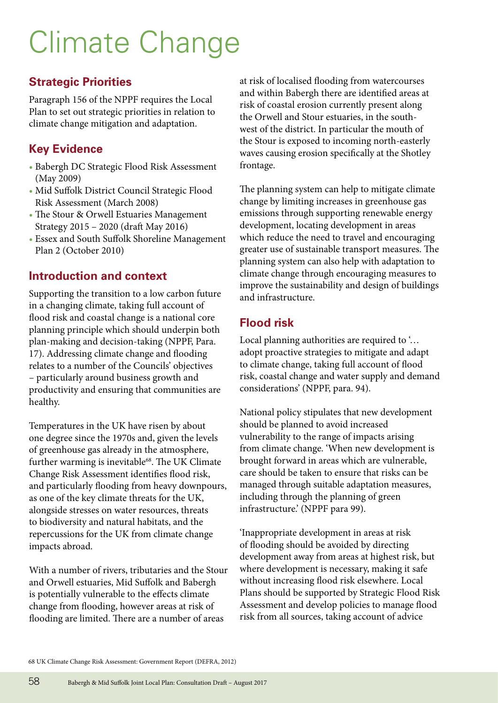# Climate Change

## **Strategic Priorities**

Paragraph 156 of the NPPF requires the Local Plan to set out strategic priorities in relation to climate change mitigation and adaptation.

## **Key Evidence**

- Babergh DC Strategic Flood Risk Assessment (May 2009)
- Mid Suffolk District Council Strategic Flood Risk Assessment (March 2008)
- The Stour & Orwell Estuaries Management Strategy 2015 – 2020 (draft May 2016)
- Essex and South Suffolk Shoreline Management Plan 2 (October 2010)

## **Introduction and context**

Supporting the transition to a low carbon future in a changing climate, taking full account of flood risk and coastal change is a national core planning principle which should underpin both plan-making and decision-taking (NPPF, Para. 17). Addressing climate change and flooding relates to a number of the Councils' objectives – particularly around business growth and productivity and ensuring that communities are healthy.

Temperatures in the UK have risen by about one degree since the 1970s and, given the levels of greenhouse gas already in the atmosphere, further warming is inevitable<sup>68</sup>. The UK Climate Change Risk Assessment identifies flood risk, and particularly flooding from heavy downpours, as one of the key climate threats for the UK, alongside stresses on water resources, threats to biodiversity and natural habitats, and the repercussions for the UK from climate change impacts abroad.

With a number of rivers, tributaries and the Stour and Orwell estuaries, Mid Suffolk and Babergh is potentially vulnerable to the effects climate change from flooding, however areas at risk of flooding are limited. There are a number of areas

at risk of localised flooding from watercourses and within Babergh there are identified areas at risk of coastal erosion currently present along the Orwell and Stour estuaries, in the southwest of the district. In particular the mouth of the Stour is exposed to incoming north-easterly waves causing erosion specifically at the Shotley frontage.

The planning system can help to mitigate climate change by limiting increases in greenhouse gas emissions through supporting renewable energy development, locating development in areas which reduce the need to travel and encouraging greater use of sustainable transport measures. The planning system can also help with adaptation to climate change through encouraging measures to improve the sustainability and design of buildings and infrastructure.

## **Flood risk**

Local planning authorities are required to '… adopt proactive strategies to mitigate and adapt to climate change, taking full account of flood risk, coastal change and water supply and demand considerations' (NPPF, para. 94).

National policy stipulates that new development should be planned to avoid increased vulnerability to the range of impacts arising from climate change. 'When new development is brought forward in areas which are vulnerable, care should be taken to ensure that risks can be managed through suitable adaptation measures, including through the planning of green infrastructure.' (NPPF para 99).

'Inappropriate development in areas at risk of flooding should be avoided by directing development away from areas at highest risk, but where development is necessary, making it safe without increasing flood risk elsewhere. Local Plans should be supported by Strategic Flood Risk Assessment and develop policies to manage flood risk from all sources, taking account of advice

68 UK Climate Change Risk Assessment: Government Report (DEFRA, 2012)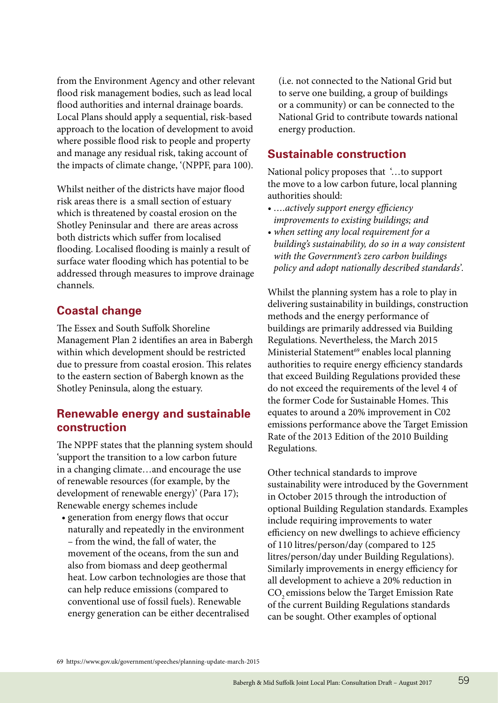from the Environment Agency and other relevant flood risk management bodies, such as lead local flood authorities and internal drainage boards. Local Plans should apply a sequential, risk-based approach to the location of development to avoid where possible flood risk to people and property and manage any residual risk, taking account of the impacts of climate change, '(NPPF, para 100).

Whilst neither of the districts have major flood risk areas there is a small section of estuary which is threatened by coastal erosion on the Shotley Peninsular and there are areas across both districts which suffer from localised flooding. Localised flooding is mainly a result of surface water flooding which has potential to be addressed through measures to improve drainage channels.

## **Coastal change**

The Essex and South Suffolk Shoreline Management Plan 2 identifies an area in Babergh within which development should be restricted due to pressure from coastal erosion. This relates to the eastern section of Babergh known as the Shotley Peninsula, along the estuary.

## **Renewable energy and sustainable construction**

The NPPF states that the planning system should 'support the transition to a low carbon future in a changing climate…and encourage the use of renewable resources (for example, by the development of renewable energy)' (Para 17); Renewable energy schemes include

• generation from energy flows that occur naturally and repeatedly in the environment – from the wind, the fall of water, the movement of the oceans, from the sun and also from biomass and deep geothermal heat. Low carbon technologies are those that can help reduce emissions (compared to conventional use of fossil fuels). Renewable energy generation can be either decentralised

(i.e. not connected to the National Grid but to serve one building, a group of buildings or a community) or can be connected to the National Grid to contribute towards national energy production.

## **Sustainable construction**

National policy proposes that '…to support the move to a low carbon future, local planning authorities should:

- *….actively support energy efficiency improvements to existing buildings; and*
- *when setting any local requirement for a building's sustainability, do so in a way consistent with the Government's zero carbon buildings policy and adopt nationally described standards'.*

Whilst the planning system has a role to play in delivering sustainability in buildings, construction methods and the energy performance of buildings are primarily addressed via Building Regulations. Nevertheless, the March 2015 Ministerial Statement<sup>69</sup> enables local planning authorities to require energy efficiency standards that exceed Building Regulations provided these do not exceed the requirements of the level 4 of the former Code for Sustainable Homes. This equates to around a 20% improvement in C02 emissions performance above the Target Emission Rate of the 2013 Edition of the 2010 Building Regulations.

Other technical standards to improve sustainability were introduced by the Government in October 2015 through the introduction of optional Building Regulation standards. Examples include requiring improvements to water efficiency on new dwellings to achieve efficiency of 110 litres/person/day (compared to 125 litres/person/day under Building Regulations). Similarly improvements in energy efficiency for all development to achieve a 20% reduction in CO<sub>2</sub> emissions below the Target Emission Rate of the current Building Regulations standards can be sought. Other examples of optional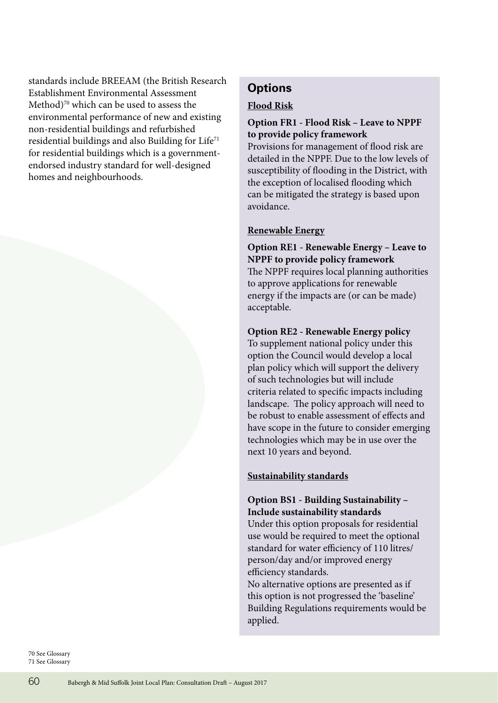standards include BREEAM (the British Research Establishment Environmental Assessment Method)<sup>70</sup> which can be used to assess the environmental performance of new and existing non-residential buildings and refurbished residential buildings and also Building for Life<sup>71</sup> for residential buildings which is a governmentendorsed industry standard for well-designed homes and neighbourhoods.

## **Options**

#### **Flood Risk**

#### **Option FR1 - Flood Risk – Leave to NPPF to provide policy framework**

Provisions for management of flood risk are detailed in the NPPF. Due to the low levels of susceptibility of flooding in the District, with the exception of localised flooding which can be mitigated the strategy is based upon avoidance.

#### **Renewable Energy**

**Option RE1 - Renewable Energy – Leave to NPPF to provide policy framework** The NPPF requires local planning authorities to approve applications for renewable energy if the impacts are (or can be made) acceptable.

#### **Option RE2 - Renewable Energy policy**

To supplement national policy under this option the Council would develop a local plan policy which will support the delivery of such technologies but will include criteria related to specific impacts including landscape. The policy approach will need to be robust to enable assessment of effects and have scope in the future to consider emerging technologies which may be in use over the next 10 years and beyond.

#### **Sustainability standards**

#### **Option BS1 - Building Sustainability – Include sustainability standards**

Under this option proposals for residential use would be required to meet the optional standard for water efficiency of 110 litres/ person/day and/or improved energy efficiency standards.

No alternative options are presented as if this option is not progressed the 'baseline' Building Regulations requirements would be applied.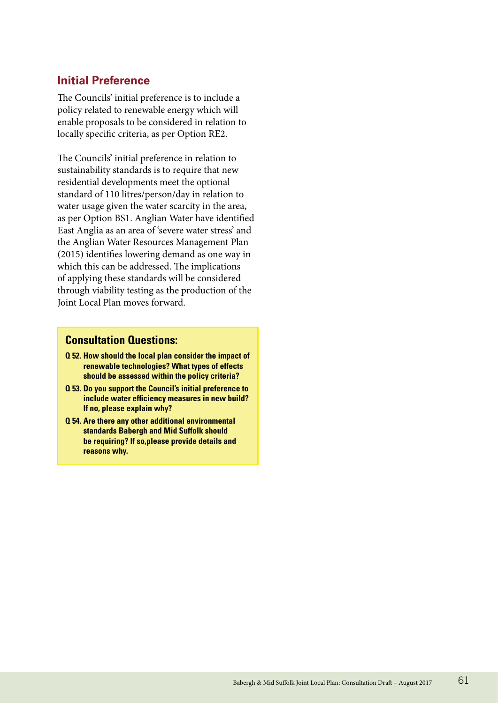#### **Initial Preference**

The Councils' initial preference is to include a policy related to renewable energy which will enable proposals to be considered in relation to locally specific criteria, as per Option RE2.

The Councils' initial preference in relation to sustainability standards is to require that new residential developments meet the optional standard of 110 litres/person/day in relation to water usage given the water scarcity in the area, as per Option BS1. Anglian Water have identified East Anglia as an area of 'severe water stress' and the Anglian Water Resources Management Plan (2015) identifies lowering demand as one way in which this can be addressed. The implications of applying these standards will be considered through viability testing as the production of the Joint Local Plan moves forward.

- **Q 52. How should the local plan consider the impact of renewable technologies? What types of effects should be assessed within the policy criteria?**
- **Q 53. Do you support the Council's initial preference to include water efficiency measures in new build? If no, please explain why?**
- **Q 54. Are there any other additional environmental standards Babergh and Mid Suffolk should be requiring? If so,please provide details and reasons why.**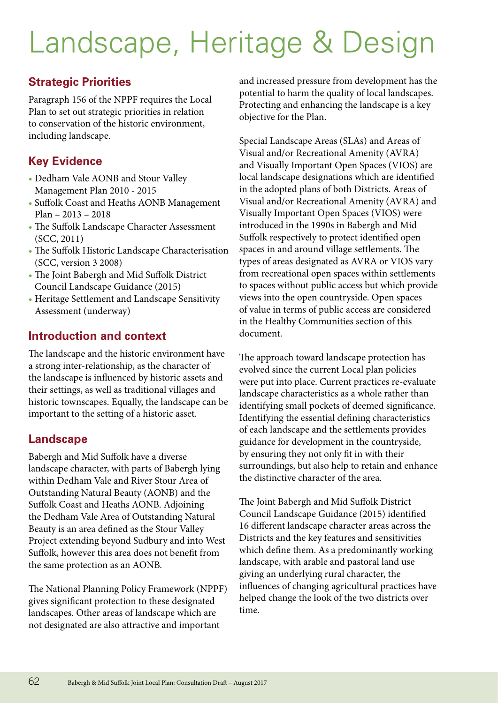## Landscape, Heritage & Design

## **Strategic Priorities**

Paragraph 156 of the NPPF requires the Local Plan to set out strategic priorities in relation to conservation of the historic environment, including landscape.

## **Key Evidence**

- Dedham Vale AONB and Stour Valley Management Plan 2010 - 2015
- Suffolk Coast and Heaths AONB Management Plan – 2013 – 2018
- The Suffolk Landscape Character Assessment (SCC, 2011)
- The Suffolk Historic Landscape Characterisation (SCC, version 3 2008)
- The Joint Babergh and Mid Suffolk District Council Landscape Guidance (2015)
- Heritage Settlement and Landscape Sensitivity Assessment (underway)

## **Introduction and context**

The landscape and the historic environment have a strong inter-relationship, as the character of the landscape is influenced by historic assets and their settings, as well as traditional villages and historic townscapes. Equally, the landscape can be important to the setting of a historic asset.

## **Landscape**

Babergh and Mid Suffolk have a diverse landscape character, with parts of Babergh lying within Dedham Vale and River Stour Area of Outstanding Natural Beauty (AONB) and the Suffolk Coast and Heaths AONB. Adjoining the Dedham Vale Area of Outstanding Natural Beauty is an area defined as the Stour Valley Project extending beyond Sudbury and into West Suffolk, however this area does not benefit from the same protection as an AONB.

The National Planning Policy Framework (NPPF) gives significant protection to these designated landscapes. Other areas of landscape which are not designated are also attractive and important

and increased pressure from development has the potential to harm the quality of local landscapes. Protecting and enhancing the landscape is a key objective for the Plan.

Special Landscape Areas (SLAs) and Areas of Visual and/or Recreational Amenity (AVRA) and Visually Important Open Spaces (VIOS) are local landscape designations which are identified in the adopted plans of both Districts. Areas of Visual and/or Recreational Amenity (AVRA) and Visually Important Open Spaces (VIOS) were introduced in the 1990s in Babergh and Mid Suffolk respectively to protect identified open spaces in and around village settlements. The types of areas designated as AVRA or VIOS vary from recreational open spaces within settlements to spaces without public access but which provide views into the open countryside. Open spaces of value in terms of public access are considered in the Healthy Communities section of this document.

The approach toward landscape protection has evolved since the current Local plan policies were put into place. Current practices re-evaluate landscape characteristics as a whole rather than identifying small pockets of deemed significance. Identifying the essential defining characteristics of each landscape and the settlements provides guidance for development in the countryside, by ensuring they not only fit in with their surroundings, but also help to retain and enhance the distinctive character of the area.

The Joint Babergh and Mid Suffolk District Council Landscape Guidance (2015) identified 16 different landscape character areas across the Districts and the key features and sensitivities which define them. As a predominantly working landscape, with arable and pastoral land use giving an underlying rural character, the influences of changing agricultural practices have helped change the look of the two districts over time.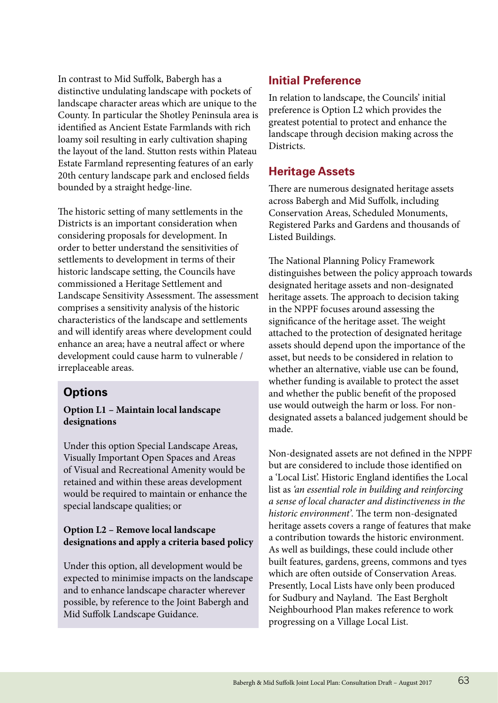In contrast to Mid Suffolk, Babergh has a distinctive undulating landscape with pockets of landscape character areas which are unique to the County. In particular the Shotley Peninsula area is identified as Ancient Estate Farmlands with rich loamy soil resulting in early cultivation shaping the layout of the land. Stutton rests within Plateau Estate Farmland representing features of an early 20th century landscape park and enclosed fields bounded by a straight hedge-line.

The historic setting of many settlements in the Districts is an important consideration when considering proposals for development. In order to better understand the sensitivities of settlements to development in terms of their historic landscape setting, the Councils have commissioned a Heritage Settlement and Landscape Sensitivity Assessment. The assessment comprises a sensitivity analysis of the historic characteristics of the landscape and settlements and will identify areas where development could enhance an area; have a neutral affect or where development could cause harm to vulnerable / irreplaceable areas.

## **Options**

#### **Option L1 – Maintain local landscape designations**

Under this option Special Landscape Areas, Visually Important Open Spaces and Areas of Visual and Recreational Amenity would be retained and within these areas development would be required to maintain or enhance the special landscape qualities; or

#### **Option L2 – Remove local landscape designations and apply a criteria based policy**

Under this option, all development would be expected to minimise impacts on the landscape and to enhance landscape character wherever possible, by reference to the Joint Babergh and Mid Suffolk Landscape Guidance.

## **Initial Preference**

In relation to landscape, the Councils' initial preference is Option L2 which provides the greatest potential to protect and enhance the landscape through decision making across the **Districts** 

## **Heritage Assets**

There are numerous designated heritage assets across Babergh and Mid Suffolk, including Conservation Areas, Scheduled Monuments, Registered Parks and Gardens and thousands of Listed Buildings.

The National Planning Policy Framework distinguishes between the policy approach towards designated heritage assets and non-designated heritage assets. The approach to decision taking in the NPPF focuses around assessing the significance of the heritage asset. The weight attached to the protection of designated heritage assets should depend upon the importance of the asset, but needs to be considered in relation to whether an alternative, viable use can be found, whether funding is available to protect the asset and whether the public benefit of the proposed use would outweigh the harm or loss. For nondesignated assets a balanced judgement should be made.

Non-designated assets are not defined in the NPPF but are considered to include those identified on a 'Local List'. Historic England identifies the Local list as *'an essential role in building and reinforcing a sense of local character and distinctiveness in the historic environment'.* The term non-designated heritage assets covers a range of features that make a contribution towards the historic environment. As well as buildings, these could include other built features, gardens, greens, commons and tyes which are often outside of Conservation Areas. Presently, Local Lists have only been produced for Sudbury and Nayland. The East Bergholt Neighbourhood Plan makes reference to work progressing on a Village Local List.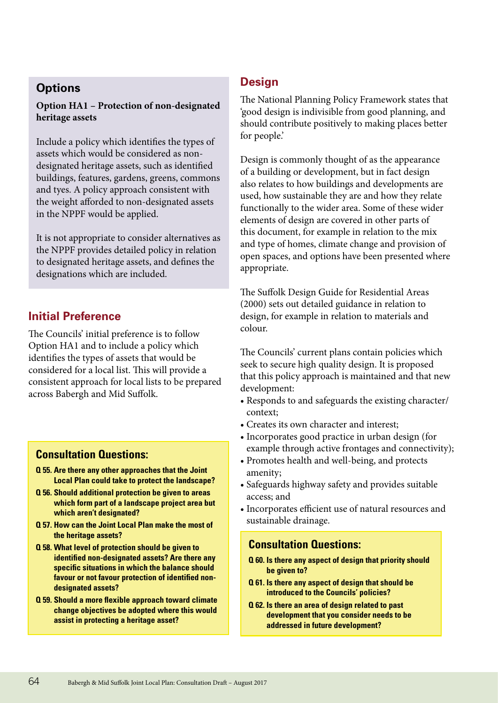## **Options**

#### **Option HA1 – Protection of non-designated heritage assets**

Include a policy which identifies the types of assets which would be considered as nondesignated heritage assets, such as identified buildings, features, gardens, greens, commons and tyes. A policy approach consistent with the weight afforded to non-designated assets in the NPPF would be applied.

It is not appropriate to consider alternatives as the NPPF provides detailed policy in relation to designated heritage assets, and defines the designations which are included.

## **Initial Preference**

The Councils' initial preference is to follow Option HA1 and to include a policy which identifies the types of assets that would be considered for a local list. This will provide a consistent approach for local lists to be prepared across Babergh and Mid Suffolk.

#### **Consultation Questions:**

- **Q 55. Are there any other approaches that the Joint Local Plan could take to protect the landscape?**
- **Q 56. Should additional protection be given to areas which form part of a landscape project area but which aren't designated?**
- **Q 57. How can the Joint Local Plan make the most of the heritage assets?**
- **Q 58. What level of protection should be given to identified non-designated assets? Are there any specific situations in which the balance should favour or not favour protection of identified nondesignated assets?**
- **Q 59. Should a more flexible approach toward climate change objectives be adopted where this would assist in protecting a heritage asset?**

### **Design**

The National Planning Policy Framework states that 'good design is indivisible from good planning, and should contribute positively to making places better for people.'

Design is commonly thought of as the appearance of a building or development, but in fact design also relates to how buildings and developments are used, how sustainable they are and how they relate functionally to the wider area. Some of these wider elements of design are covered in other parts of this document, for example in relation to the mix and type of homes, climate change and provision of open spaces, and options have been presented where appropriate.

The Suffolk Design Guide for Residential Areas (2000) sets out detailed guidance in relation to design, for example in relation to materials and colour.

The Councils' current plans contain policies which seek to secure high quality design. It is proposed that this policy approach is maintained and that new development:

- Responds to and safeguards the existing character/ context;
- Creates its own character and interest;
- Incorporates good practice in urban design (for example through active frontages and connectivity);
- Promotes health and well-being, and protects amenity;
- Safeguards highway safety and provides suitable access; and
- Incorporates efficient use of natural resources and sustainable drainage.

- **Q 60. Is there any aspect of design that priority should be given to?**
- **Q 61. Is there any aspect of design that should be introduced to the Councils' policies?**
- **Q 62. Is there an area of design related to past development that you consider needs to be addressed in future development?**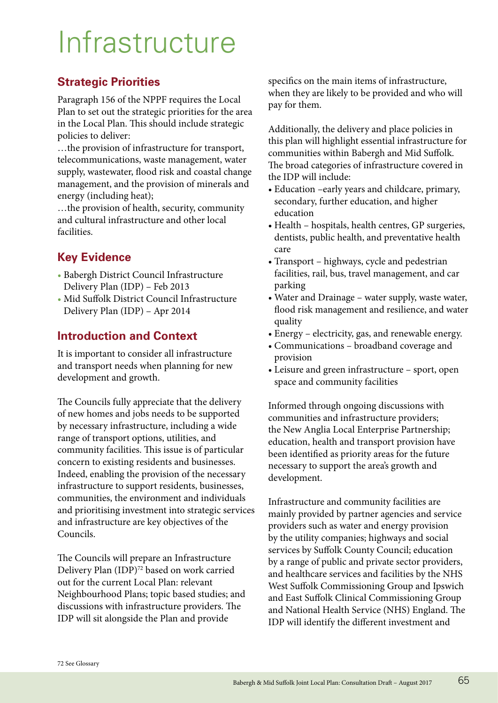## Infrastructure

## **Strategic Priorities**

Paragraph 156 of the NPPF requires the Local Plan to set out the strategic priorities for the area in the Local Plan. This should include strategic policies to deliver:

…the provision of infrastructure for transport, telecommunications, waste management, water supply, wastewater, flood risk and coastal change management, and the provision of minerals and energy (including heat);

…the provision of health, security, community and cultural infrastructure and other local facilities.

## **Key Evidence**

- Babergh District Council Infrastructure Delivery Plan (IDP) – Feb 2013
- Mid Suffolk District Council Infrastructure Delivery Plan (IDP) – Apr 2014

## **Introduction and Context**

It is important to consider all infrastructure and transport needs when planning for new development and growth.

The Councils fully appreciate that the delivery of new homes and jobs needs to be supported by necessary infrastructure, including a wide range of transport options, utilities, and community facilities. This issue is of particular concern to existing residents and businesses. Indeed, enabling the provision of the necessary infrastructure to support residents, businesses, communities, the environment and individuals and prioritising investment into strategic services and infrastructure are key objectives of the Councils.

The Councils will prepare an Infrastructure Delivery Plan (IDP)<sup>72</sup> based on work carried out for the current Local Plan: relevant Neighbourhood Plans; topic based studies; and discussions with infrastructure providers. The IDP will sit alongside the Plan and provide

specifics on the main items of infrastructure, when they are likely to be provided and who will pay for them.

Additionally, the delivery and place policies in this plan will highlight essential infrastructure for communities within Babergh and Mid Suffolk. The broad categories of infrastructure covered in the IDP will include:

- Education –early years and childcare, primary, secondary, further education, and higher education
- Health hospitals, health centres, GP surgeries, dentists, public health, and preventative health care
- Transport highways, cycle and pedestrian facilities, rail, bus, travel management, and car parking
- Water and Drainage water supply, waste water, flood risk management and resilience, and water quality
- Energy electricity, gas, and renewable energy.
- Communications broadband coverage and provision
- Leisure and green infrastructure sport, open space and community facilities

Informed through ongoing discussions with communities and infrastructure providers; the New Anglia Local Enterprise Partnership; education, health and transport provision have been identified as priority areas for the future necessary to support the area's growth and development.

Infrastructure and community facilities are mainly provided by partner agencies and service providers such as water and energy provision by the utility companies; highways and social services by Suffolk County Council; education by a range of public and private sector providers, and healthcare services and facilities by the NHS West Suffolk Commissioning Group and Ipswich and East Suffolk Clinical Commissioning Group and National Health Service (NHS) England. The IDP will identify the different investment and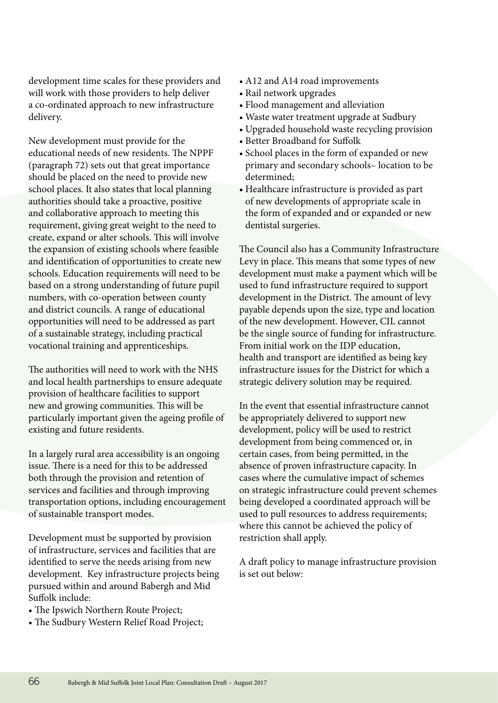development time scales for these providers and will work with those providers to help deliver a co-ordinated approach to new infrastructure delivery.

New development must provide for the educational needs of new residents. The NPPF (paragraph 72) sets out that great importance should be placed on the need to provide new school places. It also states that local planning authorities should take a proactive, positive and collaborative approach to meeting this requirement, giving great weight to the need to create, expand or alter schools. This will involve the expansion of existing schools where feasible and identification of opportunities to create new schools. Education requirements will need to be based on a strong understanding of future pupil numbers, with co-operation between county and district councils. A range of educational opportunities will need to be addressed as part of a sustainable strategy, including practical vocational training and apprenticeships.

The authorities will need to work with the NHS and local health partnerships to ensure adequate provision of healthcare facilities to support new and growing communities. This will be particularly important given the ageing profile of existing and future residents.

In a largely rural area accessibility is an ongoing issue. There is a need for this to be addressed both through the provision and retention of services and facilities and through improving transportation options, including encouragement of sustainable transport modes.

Development must be supported by provision of infrastructure, services and facilities that are identified to serve the needs arising from new development. Key infrastructure projects being pursued within and around Babergh and Mid Suffolk include:

- The Ipswich Northern Route Project;
- The Sudbury Western Relief Road Project;
- A12 and A14 road improvements
- Rail network upgrades
- Flood management and alleviation
- Waste water treatment upgrade at Sudbury
- Upgraded household waste recycling provision
- Better Broadband for Suffolk
- School places in the form of expanded or new primary and secondary schools– location to be determined;
- Healthcare infrastructure is provided as part of new developments of appropriate scale in the form of expanded and or expanded or new dentistal surgeries.

The Council also has a Community Infrastructure Levy in place. This means that some types of new development must make a payment which will be used to fund infrastructure required to support development in the District. The amount of levy payable depends upon the size, type and location of the new development. However, CIL cannot be the single source of funding for infrastructure. From initial work on the IDP education, health and transport are identified as being key infrastructure issues for the District for which a strategic delivery solution may be required.

In the event that essential infrastructure cannot be appropriately delivered to support new development, policy will be used to restrict development from being commenced or, in certain cases, from being permitted, in the absence of proven infrastructure capacity. In cases where the cumulative impact of schemes on strategic infrastructure could prevent schemes being developed a coordinated approach will be used to pull resources to address requirements; where this cannot be achieved the policy of restriction shall apply.

A draft policy to manage infrastructure provision is set out below: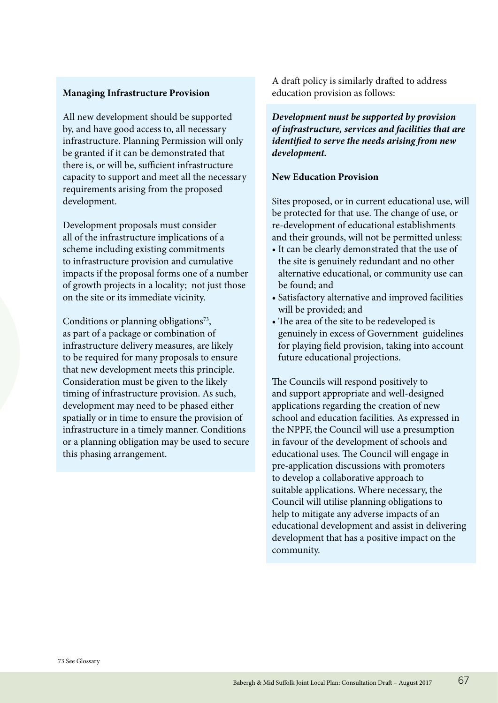#### **Managing Infrastructure Provision**

All new development should be supported by, and have good access to, all necessary infrastructure. Planning Permission will only be granted if it can be demonstrated that there is, or will be, sufficient infrastructure capacity to support and meet all the necessary requirements arising from the proposed development.

Development proposals must consider all of the infrastructure implications of a scheme including existing commitments to infrastructure provision and cumulative impacts if the proposal forms one of a number of growth projects in a locality; not just those on the site or its immediate vicinity.

Conditions or planning obligations<sup>73</sup>, as part of a package or combination of infrastructure delivery measures, are likely to be required for many proposals to ensure that new development meets this principle. Consideration must be given to the likely timing of infrastructure provision. As such, development may need to be phased either spatially or in time to ensure the provision of infrastructure in a timely manner. Conditions or a planning obligation may be used to secure this phasing arrangement.

A draft policy is similarly drafted to address education provision as follows:

*Development must be supported by provision of infrastructure, services and facilities that are identified to serve the needs arising from new development.*

#### **New Education Provision**

Sites proposed, or in current educational use, will be protected for that use. The change of use, or re-development of educational establishments and their grounds, will not be permitted unless:

- It can be clearly demonstrated that the use of the site is genuinely redundant and no other alternative educational, or community use can be found; and
- Satisfactory alternative and improved facilities will be provided; and
- The area of the site to be redeveloped is genuinely in excess of Government guidelines for playing field provision, taking into account future educational projections.

The Councils will respond positively to and support appropriate and well-designed applications regarding the creation of new school and education facilities. As expressed in the NPPF, the Council will use a presumption in favour of the development of schools and educational uses. The Council will engage in pre-application discussions with promoters to develop a collaborative approach to suitable applications. Where necessary, the Council will utilise planning obligations to help to mitigate any adverse impacts of an educational development and assist in delivering development that has a positive impact on the community.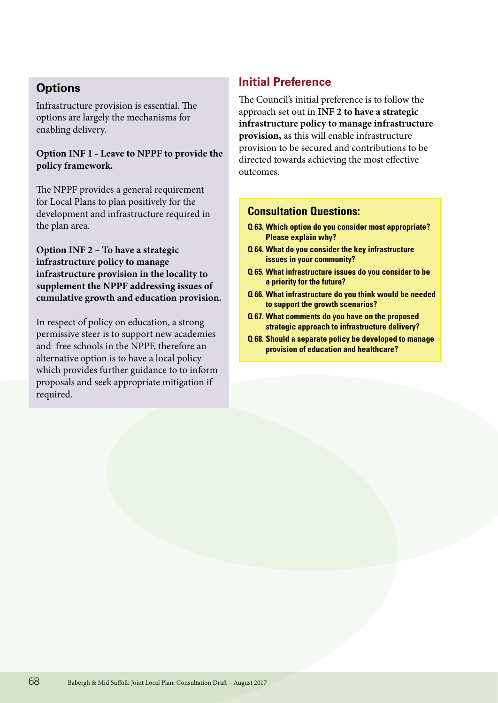## **Options**

Infrastructure provision is essential. The options are largely the mechanisms for enabling delivery.

#### **Option INF 1 - Leave to NPPF to provide the policy framework.**

The NPPF provides a general requirement for Local Plans to plan positively for the development and infrastructure required in the plan area.

**Option INF 2 – To have a strategic infrastructure policy to manage infrastructure provision in the locality to supplement the NPPF addressing issues of cumulative growth and education provision.**

In respect of policy on education, a strong permissive steer is to support new academies and free schools in the NPPF, therefore an alternative option is to have a local policy which provides further guidance to to inform proposals and seek appropriate mitigation if required.

## **Initial Preference**

The Council's initial preference is to follow the approach set out in **INF 2 to have a strategic infrastructure policy to manage infrastructure provision,** as this will enable infrastructure provision to be secured and contributions to be directed towards achieving the most effective outcomes.

- **Q 63. Which option do you consider most appropriate? Please explain why?**
- **Q 64. What do you consider the key infrastructure issues in your community?**
- **Q 65. What infrastructure issues do you consider to be a priority for the future?**
- **Q 66. What infrastructure do you think would be needed to support the growth scenarios?**
- **Q 67. What comments do you have on the proposed strategic approach to infrastructure delivery?**
- **Q 68. Should a separate policy be developed to manage provision of education and healthcare?**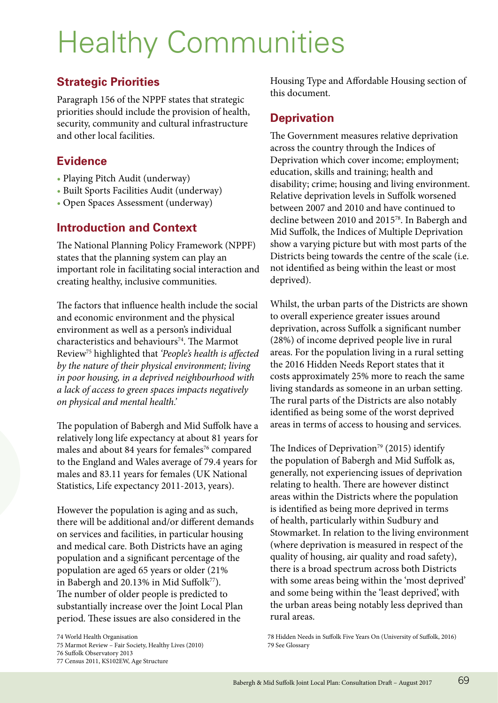## Healthy Communities

## **Strategic Priorities**

Paragraph 156 of the NPPF states that strategic priorities should include the provision of health, security, community and cultural infrastructure and other local facilities.

## **Evidence**

- Playing Pitch Audit (underway)
- Built Sports Facilities Audit (underway)
- Open Spaces Assessment (underway)

## **Introduction and Context**

The National Planning Policy Framework (NPPF) states that the planning system can play an important role in facilitating social interaction and creating healthy, inclusive communities.

The factors that influence health include the social and economic environment and the physical environment as well as a person's individual characteristics and behaviours<sup>74</sup>. The Marmot Review75 highlighted that *'People's health is affected by the nature of their physical environment; living in poor housing, in a deprived neighbourhood with a lack of access to green spaces impacts negatively on physical and mental health.'*

The population of Babergh and Mid Suffolk have a relatively long life expectancy at about 81 years for males and about 84 years for females<sup>76</sup> compared to the England and Wales average of 79.4 years for males and 83.11 years for females (UK National Statistics, Life expectancy 2011-2013, years).

However the population is aging and as such, there will be additional and/or different demands on services and facilities, in particular housing and medical care. Both Districts have an aging population and a significant percentage of the population are aged 65 years or older (21% in Babergh and 20.13% in Mid Suffolk<sup>77</sup>). The number of older people is predicted to substantially increase over the Joint Local Plan period. These issues are also considered in the

77 Census 2011, KS102EW, Age Structure

Housing Type and Affordable Housing section of this document.

## **Deprivation**

The Government measures relative deprivation across the country through the Indices of Deprivation which cover income; employment; education, skills and training; health and disability; crime; housing and living environment. Relative deprivation levels in Suffolk worsened between 2007 and 2010 and have continued to decline between 2010 and 201578. In Babergh and Mid Suffolk, the Indices of Multiple Deprivation show a varying picture but with most parts of the Districts being towards the centre of the scale (i.e. not identified as being within the least or most deprived).

Whilst, the urban parts of the Districts are shown to overall experience greater issues around deprivation, across Suffolk a significant number (28%) of income deprived people live in rural areas. For the population living in a rural setting the 2016 Hidden Needs Report states that it costs approximately 25% more to reach the same living standards as someone in an urban setting. The rural parts of the Districts are also notably identified as being some of the worst deprived areas in terms of access to housing and services.

The Indices of Deprivation<sup>79</sup> (2015) identify the population of Babergh and Mid Suffolk as, generally, not experiencing issues of deprivation relating to health. There are however distinct areas within the Districts where the population is identified as being more deprived in terms of health, particularly within Sudbury and Stowmarket. In relation to the living environment (where deprivation is measured in respect of the quality of housing, air quality and road safety), there is a broad spectrum across both Districts with some areas being within the 'most deprived' and some being within the 'least deprived', with the urban areas being notably less deprived than rural areas.

<sup>74</sup> World Health Organisation

<sup>75</sup> Marmot Review – Fair Society, Healthy Lives (2010)

<sup>76</sup> Suffolk Observatory 2013

<sup>78</sup> Hidden Needs in Suffolk Five Years On (University of Suffolk, 2016) 79 See Glossary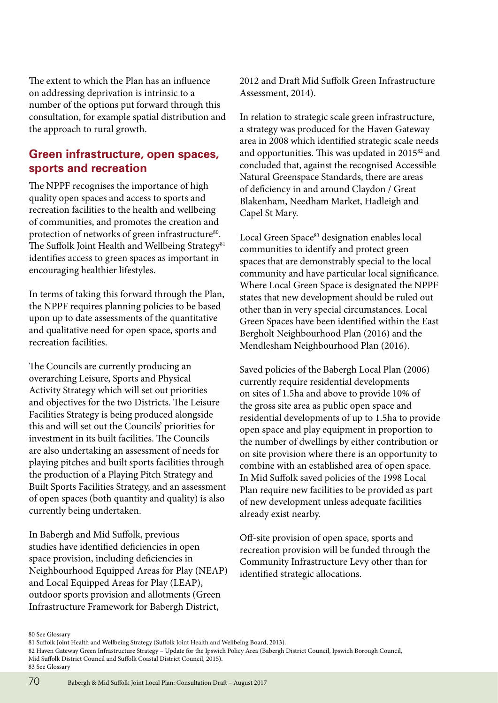The extent to which the Plan has an influence on addressing deprivation is intrinsic to a number of the options put forward through this consultation, for example spatial distribution and the approach to rural growth.

### **Green infrastructure, open spaces, sports and recreation**

The NPPF recognises the importance of high quality open spaces and access to sports and recreation facilities to the health and wellbeing of communities, and promotes the creation and protection of networks of green infrastructure<sup>80</sup>. The Suffolk Joint Health and Wellbeing Strategy<sup>81</sup> identifies access to green spaces as important in encouraging healthier lifestyles.

In terms of taking this forward through the Plan, the NPPF requires planning policies to be based upon up to date assessments of the quantitative and qualitative need for open space, sports and recreation facilities.

The Councils are currently producing an overarching Leisure, Sports and Physical Activity Strategy which will set out priorities and objectives for the two Districts. The Leisure Facilities Strategy is being produced alongside this and will set out the Councils' priorities for investment in its built facilities. The Councils are also undertaking an assessment of needs for playing pitches and built sports facilities through the production of a Playing Pitch Strategy and Built Sports Facilities Strategy, and an assessment of open spaces (both quantity and quality) is also currently being undertaken.

In Babergh and Mid Suffolk, previous studies have identified deficiencies in open space provision, including deficiencies in Neighbourhood Equipped Areas for Play (NEAP) and Local Equipped Areas for Play (LEAP), outdoor sports provision and allotments (Green Infrastructure Framework for Babergh District,

2012 and Draft Mid Suffolk Green Infrastructure Assessment, 2014).

In relation to strategic scale green infrastructure, a strategy was produced for the Haven Gateway area in 2008 which identified strategic scale needs and opportunities. This was updated in 2015<sup>82</sup> and concluded that, against the recognised Accessible Natural Greenspace Standards, there are areas of deficiency in and around Claydon / Great Blakenham, Needham Market, Hadleigh and Capel St Mary.

Local Green Space<sup>83</sup> designation enables local communities to identify and protect green spaces that are demonstrably special to the local community and have particular local significance. Where Local Green Space is designated the NPPF states that new development should be ruled out other than in very special circumstances. Local Green Spaces have been identified within the East Bergholt Neighbourhood Plan (2016) and the Mendlesham Neighbourhood Plan (2016).

Saved policies of the Babergh Local Plan (2006) currently require residential developments on sites of 1.5ha and above to provide 10% of the gross site area as public open space and residential developments of up to 1.5ha to provide open space and play equipment in proportion to the number of dwellings by either contribution or on site provision where there is an opportunity to combine with an established area of open space. In Mid Suffolk saved policies of the 1998 Local Plan require new facilities to be provided as part of new development unless adequate facilities already exist nearby.

Off-site provision of open space, sports and recreation provision will be funded through the Community Infrastructure Levy other than for identified strategic allocations.

80 See Glossary

83 See Glossary

<sup>81</sup> Suffolk Joint Health and Wellbeing Strategy (Suffolk Joint Health and Wellbeing Board, 2013).

<sup>82</sup> Haven Gateway Green Infrastructure Strategy – Update for the Ipswich Policy Area (Babergh District Council, Ipswich Borough Council, Mid Suffolk District Council and Suffolk Coastal District Council, 2015).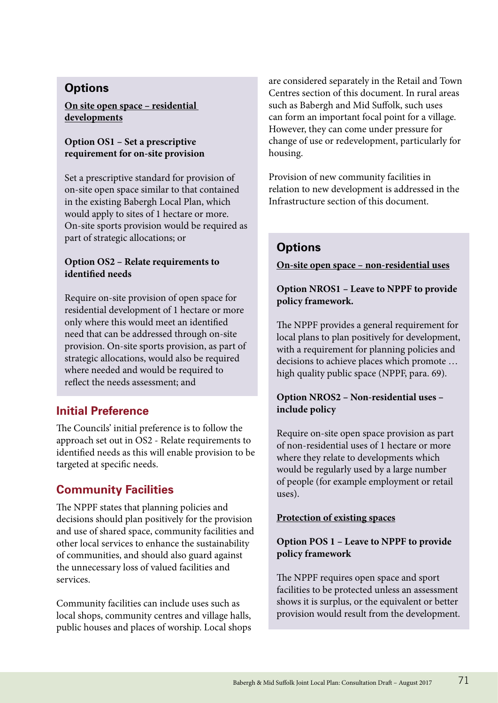## **Options**

**On site open space – residential developments**

#### **Option OS1 – Set a prescriptive requirement for on-site provision**

Set a prescriptive standard for provision of on-site open space similar to that contained in the existing Babergh Local Plan, which would apply to sites of 1 hectare or more. On-site sports provision would be required as part of strategic allocations; or

#### **Option OS2 – Relate requirements to identified needs**

Require on-site provision of open space for residential development of 1 hectare or more only where this would meet an identified need that can be addressed through on-site provision. On-site sports provision, as part of strategic allocations, would also be required where needed and would be required to reflect the needs assessment; and

## **Initial Preference**

The Councils' initial preference is to follow the approach set out in OS2 - Relate requirements to identified needs as this will enable provision to be targeted at specific needs.

## **Community Facilities**

The NPPF states that planning policies and decisions should plan positively for the provision and use of shared space, community facilities and other local services to enhance the sustainability of communities, and should also guard against the unnecessary loss of valued facilities and services.

Community facilities can include uses such as local shops, community centres and village halls, public houses and places of worship. Local shops

are considered separately in the Retail and Town Centres section of this document. In rural areas such as Babergh and Mid Suffolk, such uses can form an important focal point for a village. However, they can come under pressure for change of use or redevelopment, particularly for housing.

Provision of new community facilities in relation to new development is addressed in the Infrastructure section of this document.

## **Options**

#### **On-site open space – non-residential uses**

**Option NROS1 – Leave to NPPF to provide policy framework.** 

The NPPF provides a general requirement for local plans to plan positively for development, with a requirement for planning policies and decisions to achieve places which promote … high quality public space (NPPF, para. 69).

#### **Option NROS2 – Non-residential uses – include policy**

Require on-site open space provision as part of non-residential uses of 1 hectare or more where they relate to developments which would be regularly used by a large number of people (for example employment or retail uses).

#### **Protection of existing spaces**

#### **Option POS 1 – Leave to NPPF to provide policy framework**

The NPPF requires open space and sport facilities to be protected unless an assessment shows it is surplus, or the equivalent or better provision would result from the development.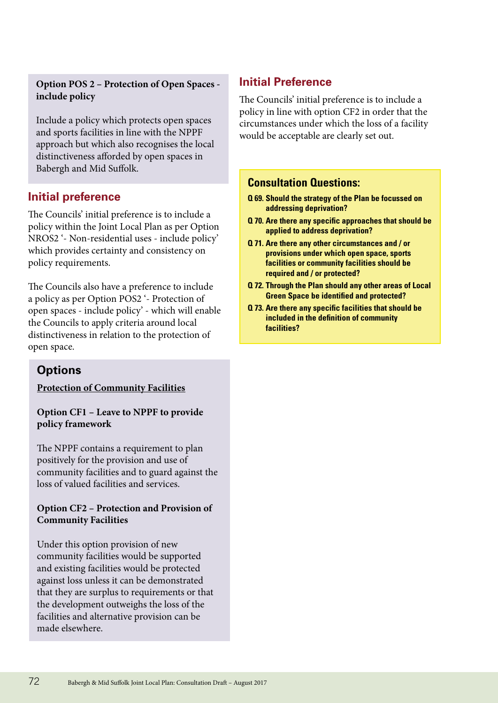#### **Option POS 2 – Protection of Open Spaces include policy**

Include a policy which protects open spaces and sports facilities in line with the NPPF approach but which also recognises the local distinctiveness afforded by open spaces in Babergh and Mid Suffolk.

## **Initial preference**

The Councils' initial preference is to include a policy within the Joint Local Plan as per Option NROS2 '- Non-residential uses - include policy' which provides certainty and consistency on policy requirements.

The Councils also have a preference to include a policy as per Option POS2 '- Protection of open spaces - include policy' - which will enable the Councils to apply criteria around local distinctiveness in relation to the protection of open space.

## **Options**

**Protection of Community Facilities**

**Option CF1 – Leave to NPPF to provide policy framework**

The NPPF contains a requirement to plan positively for the provision and use of community facilities and to guard against the loss of valued facilities and services.

#### **Option CF2 – Protection and Provision of Community Facilities**

Under this option provision of new community facilities would be supported and existing facilities would be protected against loss unless it can be demonstrated that they are surplus to requirements or that the development outweighs the loss of the facilities and alternative provision can be made elsewhere.

## **Initial Preference**

The Councils' initial preference is to include a policy in line with option CF2 in order that the circumstances under which the loss of a facility would be acceptable are clearly set out.

- **Q 69. Should the strategy of the Plan be focussed on addressing deprivation?**
- **Q 70. Are there any specific approaches that should be applied to address deprivation?**
- **Q 71. Are there any other circumstances and / or provisions under which open space, sports facilities or community facilities should be required and / or protected?**
- **Q 72. Through the Plan should any other areas of Local Green Space be identified and protected?**
- **Q 73. Are there any specific facilities that should be included in the definition of community facilities?**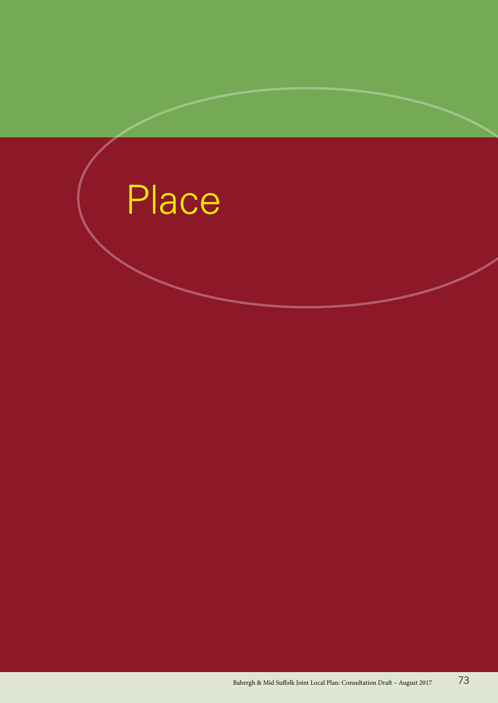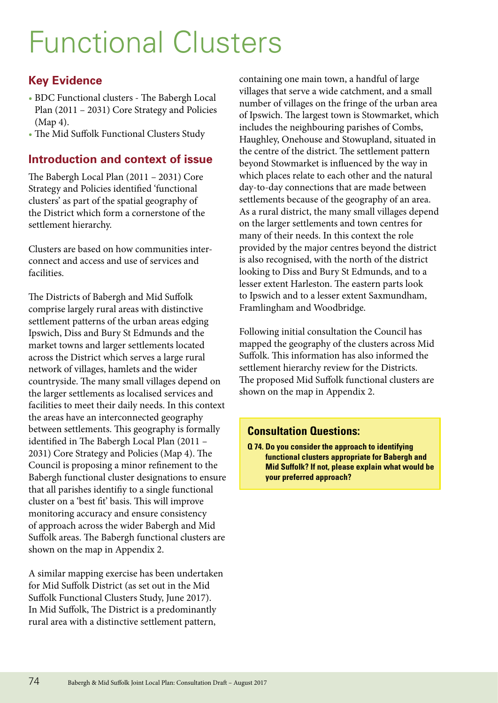# Functional Clusters

## **Key Evidence**

- BDC Functional clusters The Babergh Local Plan (2011 – 2031) Core Strategy and Policies (Map 4).
- The Mid Suffolk Functional Clusters Study

#### **Introduction and context of issue**

The Babergh Local Plan (2011 – 2031) Core Strategy and Policies identified 'functional clusters' as part of the spatial geography of the District which form a cornerstone of the settlement hierarchy.

Clusters are based on how communities interconnect and access and use of services and facilities.

The Districts of Babergh and Mid Suffolk comprise largely rural areas with distinctive settlement patterns of the urban areas edging Ipswich, Diss and Bury St Edmunds and the market towns and larger settlements located across the District which serves a large rural network of villages, hamlets and the wider countryside. The many small villages depend on the larger settlements as localised services and facilities to meet their daily needs. In this context the areas have an interconnected geography between settlements. This geography is formally identified in The Babergh Local Plan (2011 – 2031) Core Strategy and Policies (Map 4). The Council is proposing a minor refinement to the Babergh functional cluster designations to ensure that all parishes identifiy to a single functional cluster on a 'best fit' basis. This will improve monitoring accuracy and ensure consistency of approach across the wider Babergh and Mid Suffolk areas. The Babergh functional clusters are shown on the map in Appendix 2.

A similar mapping exercise has been undertaken for Mid Suffolk District (as set out in the Mid Suffolk Functional Clusters Study, June 2017). In Mid Suffolk, The District is a predominantly rural area with a distinctive settlement pattern,

containing one main town, a handful of large villages that serve a wide catchment, and a small number of villages on the fringe of the urban area of Ipswich. The largest town is Stowmarket, which includes the neighbouring parishes of Combs, Haughley, Onehouse and Stowupland, situated in the centre of the district. The settlement pattern beyond Stowmarket is influenced by the way in which places relate to each other and the natural day-to-day connections that are made between settlements because of the geography of an area. As a rural district, the many small villages depend on the larger settlements and town centres for many of their needs. In this context the role provided by the major centres beyond the district is also recognised, with the north of the district looking to Diss and Bury St Edmunds, and to a lesser extent Harleston. The eastern parts look to Ipswich and to a lesser extent Saxmundham, Framlingham and Woodbridge.

Following initial consultation the Council has mapped the geography of the clusters across Mid Suffolk. This information has also informed the settlement hierarchy review for the Districts. The proposed Mid Suffolk functional clusters are shown on the map in Appendix 2.

#### **Consultation Questions:**

**Q 74. Do you consider the approach to identifying functional clusters appropriate for Babergh and Mid Suffolk? If not, please explain what would be your preferred approach?**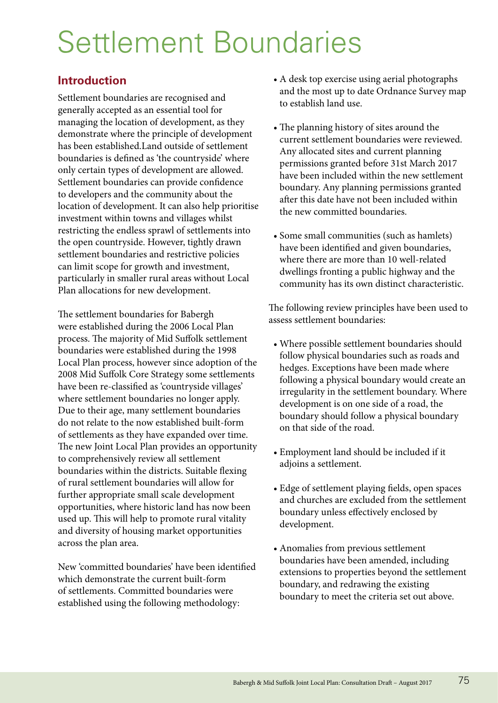# Settlement Boundaries

#### **Introduction**

Settlement boundaries are recognised and generally accepted as an essential tool for managing the location of development, as they demonstrate where the principle of development has been established.Land outside of settlement boundaries is defined as 'the countryside' where only certain types of development are allowed. Settlement boundaries can provide confidence to developers and the community about the location of development. It can also help prioritise investment within towns and villages whilst restricting the endless sprawl of settlements into the open countryside. However, tightly drawn settlement boundaries and restrictive policies can limit scope for growth and investment, particularly in smaller rural areas without Local Plan allocations for new development.

The settlement boundaries for Babergh were established during the 2006 Local Plan process. The majority of Mid Suffolk settlement boundaries were established during the 1998 Local Plan process, however since adoption of the 2008 Mid Suffolk Core Strategy some settlements have been re-classified as 'countryside villages' where settlement boundaries no longer apply. Due to their age, many settlement boundaries do not relate to the now established built-form of settlements as they have expanded over time. The new Joint Local Plan provides an opportunity to comprehensively review all settlement boundaries within the districts. Suitable flexing of rural settlement boundaries will allow for further appropriate small scale development opportunities, where historic land has now been used up. This will help to promote rural vitality and diversity of housing market opportunities across the plan area.

New 'committed boundaries' have been identified which demonstrate the current built-form of settlements. Committed boundaries were established using the following methodology:

- A desk top exercise using aerial photographs and the most up to date Ordnance Survey map to establish land use.
- The planning history of sites around the current settlement boundaries were reviewed. Any allocated sites and current planning permissions granted before 31st March 2017 have been included within the new settlement boundary. Any planning permissions granted after this date have not been included within the new committed boundaries.
- Some small communities (such as hamlets) have been identified and given boundaries, where there are more than 10 well-related dwellings fronting a public highway and the community has its own distinct characteristic.

The following review principles have been used to assess settlement boundaries:

- Where possible settlement boundaries should follow physical boundaries such as roads and hedges. Exceptions have been made where following a physical boundary would create an irregularity in the settlement boundary. Where development is on one side of a road, the boundary should follow a physical boundary on that side of the road.
- Employment land should be included if it adjoins a settlement.
- Edge of settlement playing fields, open spaces and churches are excluded from the settlement boundary unless effectively enclosed by development.
- Anomalies from previous settlement boundaries have been amended, including extensions to properties beyond the settlement boundary, and redrawing the existing boundary to meet the criteria set out above.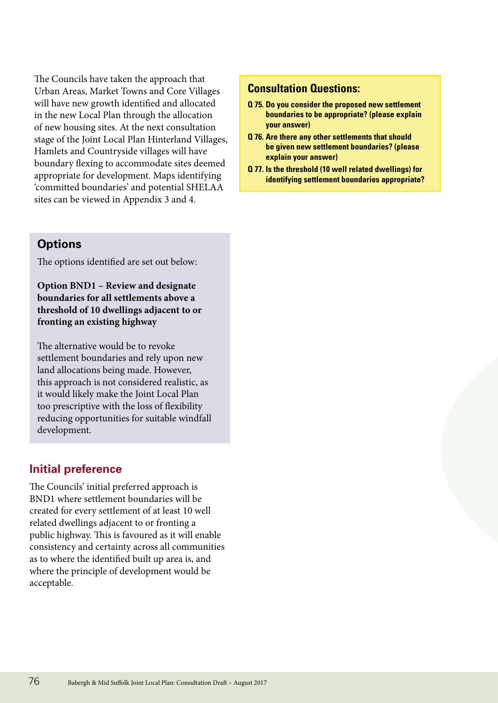The Councils have taken the approach that Urban Areas, Market Towns and Core Villages will have new growth identified and allocated in the new Local Plan through the allocation of new housing sites. At the next consultation stage of the Joint Local Plan Hinterland Villages, Hamlets and Countryside villages will have boundary flexing to accommodate sites deemed appropriate for development. Maps identifying 'committed boundaries' and potential SHELAA sites can be viewed in Appendix 3 and 4.

#### **Consultation Questions:**

- **Q 75. Do you consider the proposed new settlement boundaries to be appropriate? (please explain your answer)**
- **Q 76. Are there any other settlements that should be given new settlement boundaries? (please explain your answer)**
- **Q 77. Is the threshold (10 well related dwellings) for identifying settlement boundaries appropriate?**

#### **Options**

The options identified are set out below:

**Option BND1 – Review and designate boundaries for all settlements above a threshold of 10 dwellings adjacent to or fronting an existing highway**

The alternative would be to revoke settlement boundaries and rely upon new land allocations being made. However, this approach is not considered realistic, as it would likely make the Joint Local Plan too prescriptive with the loss of flexibility reducing opportunities for suitable windfall development.

#### **Initial preference**

The Councils' initial preferred approach is BND1 where settlement boundaries will be created for every settlement of at least 10 well related dwellings adjacent to or fronting a public highway. This is favoured as it will enable consistency and certainty across all communities as to where the identified built up area is, and where the principle of development would be acceptable.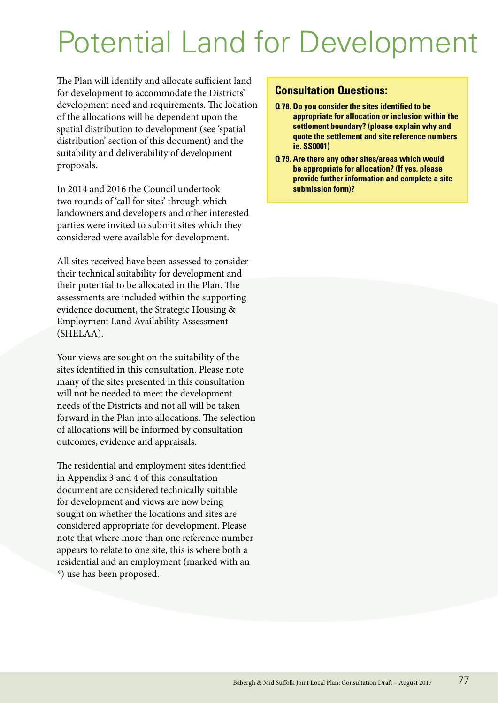# Potential Land for Development

The Plan will identify and allocate sufficient land for development to accommodate the Districts' development need and requirements. The location of the allocations will be dependent upon the spatial distribution to development (see 'spatial distribution' section of this document) and the suitability and deliverability of development proposals.

In 2014 and 2016 the Council undertook two rounds of 'call for sites' through which landowners and developers and other interested parties were invited to submit sites which they considered were available for development.

All sites received have been assessed to consider their technical suitability for development and their potential to be allocated in the Plan. The assessments are included within the supporting evidence document, the Strategic Housing & Employment Land Availability Assessment (SHELAA).

Your views are sought on the suitability of the sites identified in this consultation. Please note many of the sites presented in this consultation will not be needed to meet the development needs of the Districts and not all will be taken forward in the Plan into allocations. The selection of allocations will be informed by consultation outcomes, evidence and appraisals.

The residential and employment sites identified in Appendix 3 and 4 of this consultation document are considered technically suitable for development and views are now being sought on whether the locations and sites are considered appropriate for development. Please note that where more than one reference number appears to relate to one site, this is where both a residential and an employment (marked with an \*) use has been proposed.

#### **Consultation Questions:**

- **Q 78. Do you consider the sites identified to be appropriate for allocation or inclusion within the settlement boundary? (please explain why and quote the settlement and site reference numbers ie. SS0001)**
- **Q 79. Are there any other sites/areas which would be appropriate for allocation? (If yes, please provide further information and complete a site submission form)?**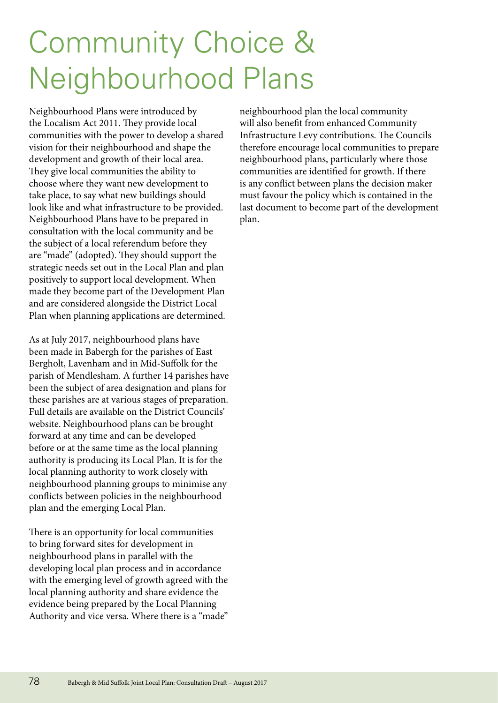# Community Choice & Neighbourhood Plans

Neighbourhood Plans were introduced by the Localism Act 2011. They provide local communities with the power to develop a shared vision for their neighbourhood and shape the development and growth of their local area. They give local communities the ability to choose where they want new development to take place, to say what new buildings should look like and what infrastructure to be provided. Neighbourhood Plans have to be prepared in consultation with the local community and be the subject of a local referendum before they are "made" (adopted). They should support the strategic needs set out in the Local Plan and plan positively to support local development. When made they become part of the Development Plan and are considered alongside the District Local Plan when planning applications are determined.

As at July 2017, neighbourhood plans have been made in Babergh for the parishes of East Bergholt, Lavenham and in Mid-Suffolk for the parish of Mendlesham. A further 14 parishes have been the subject of area designation and plans for these parishes are at various stages of preparation. Full details are available on the District Councils' website. Neighbourhood plans can be brought forward at any time and can be developed before or at the same time as the local planning authority is producing its Local Plan. It is for the local planning authority to work closely with neighbourhood planning groups to minimise any conflicts between policies in the neighbourhood plan and the emerging Local Plan.

There is an opportunity for local communities to bring forward sites for development in neighbourhood plans in parallel with the developing local plan process and in accordance with the emerging level of growth agreed with the local planning authority and share evidence the evidence being prepared by the Local Planning Authority and vice versa. Where there is a "made"

neighbourhood plan the local community will also benefit from enhanced Community Infrastructure Levy contributions. The Councils therefore encourage local communities to prepare neighbourhood plans, particularly where those communities are identified for growth. If there is any conflict between plans the decision maker must favour the policy which is contained in the last document to become part of the development plan.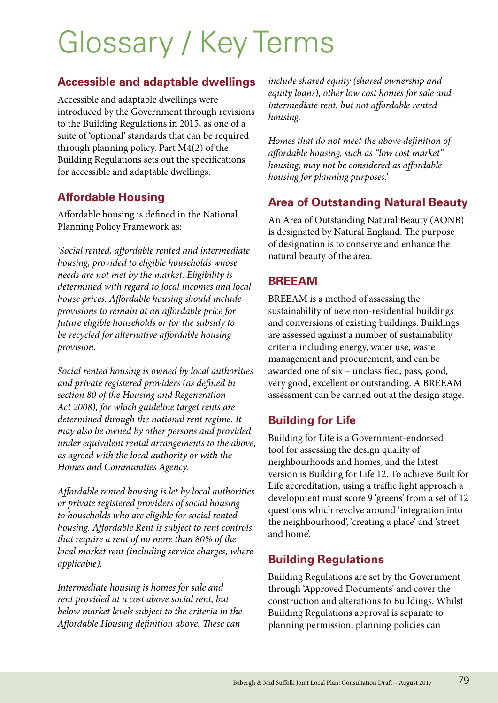# Glossary / Key Terms

#### **Accessible and adaptable dwellings**

Accessible and adaptable dwellings were introduced by the Government through revisions to the Building Regulations in 2015, as one of a suite of 'optional' standards that can be required through planning policy. Part M4(2) of the Building Regulations sets out the specifications for accessible and adaptable dwellings.

## **Affordable Housing**

Affordable housing is defined in the National Planning Policy Framework as:

*'Social rented, affordable rented and intermediate housing, provided to eligible households whose needs are not met by the market. Eligibility is determined with regard to local incomes and local house prices. Affordable housing should include provisions to remain at an affordable price for future eligible households or for the subsidy to be recycled for alternative affordable housing provision.*

*Social rented housing is owned by local authorities and private registered providers (as defined in section 80 of the Housing and Regeneration Act 2008), for which guideline target rents are determined through the national rent regime. It may also be owned by other persons and provided under equivalent rental arrangements to the above, as agreed with the local authority or with the Homes and Communities Agency.*

*Affordable rented housing is let by local authorities or private registered providers of social housing to households who are eligible for social rented housing. Affordable Rent is subject to rent controls that require a rent of no more than 80% of the local market rent (including service charges, where applicable).*

*Intermediate housing is homes for sale and rent provided at a cost above social rent, but below market levels subject to the criteria in the Affordable Housing definition above. These can* 

*include shared equity (shared ownership and equity loans), other low cost homes for sale and intermediate rent, but not affordable rented housing.*

*Homes that do not meet the above definition of affordable housing, such as "low cost market" housing, may not be considered as affordable housing for planning purposes.'*

#### **Area of Outstanding Natural Beauty**

An Area of Outstanding Natural Beauty (AONB) is designated by Natural England. The purpose of designation is to conserve and enhance the natural beauty of the area.

#### **BREEAM**

BREEAM is a method of assessing the sustainability of new non-residential buildings and conversions of existing buildings. Buildings are assessed against a number of sustainability criteria including energy, water use, waste management and procurement, and can be awarded one of six – unclassified, pass, good, very good, excellent or outstanding. A BREEAM assessment can be carried out at the design stage.

#### **Building for Life**

Building for Life is a Government-endorsed tool for assessing the design quality of neighbourhoods and homes, and the latest version is Building for Life 12. To achieve Built for Life accreditation, using a traffic light approach a development must score 9 'greens' from a set of 12 questions which revolve around 'integration into the neighbourhood', 'creating a place' and 'street and home'.

## **Building Regulations**

Building Regulations are set by the Government through 'Approved Documents' and cover the construction and alterations to Buildings. Whilst Building Regulations approval is separate to planning permission, planning policies can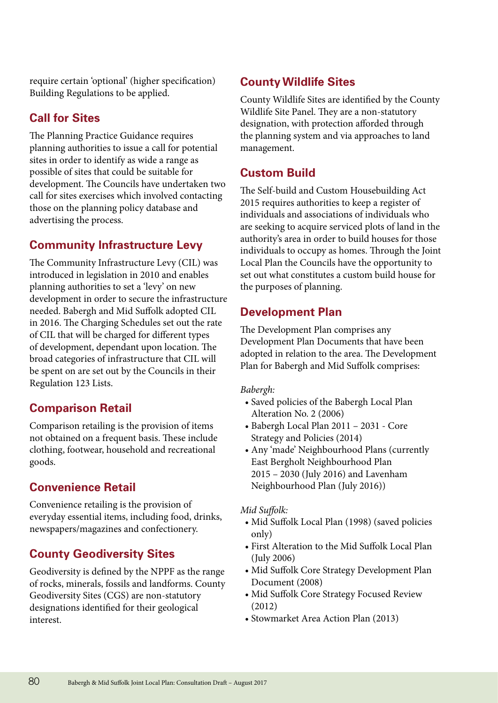require certain 'optional' (higher specification) Building Regulations to be applied.

# **Call for Sites**

The Planning Practice Guidance requires planning authorities to issue a call for potential sites in order to identify as wide a range as possible of sites that could be suitable for development. The Councils have undertaken two call for sites exercises which involved contacting those on the planning policy database and advertising the process.

# **Community Infrastructure Levy**

The Community Infrastructure Levy (CIL) was introduced in legislation in 2010 and enables planning authorities to set a 'levy' on new development in order to secure the infrastructure needed. Babergh and Mid Suffolk adopted CIL in 2016. The Charging Schedules set out the rate of CIL that will be charged for different types of development, dependant upon location. The broad categories of infrastructure that CIL will be spent on are set out by the Councils in their Regulation 123 Lists.

# **Comparison Retail**

Comparison retailing is the provision of items not obtained on a frequent basis. These include clothing, footwear, household and recreational goods.

# **Convenience Retail**

Convenience retailing is the provision of everyday essential items, including food, drinks, newspapers/magazines and confectionery.

# **County Geodiversity Sites**

Geodiversity is defined by the NPPF as the range of rocks, minerals, fossils and landforms. County Geodiversity Sites (CGS) are non-statutory designations identified for their geological interest.

# **County Wildlife Sites**

County Wildlife Sites are identified by the County Wildlife Site Panel. They are a non-statutory designation, with protection afforded through the planning system and via approaches to land management.

# **Custom Build**

The Self-build and Custom Housebuilding Act 2015 requires authorities to keep a register of individuals and associations of individuals who are seeking to acquire serviced plots of land in the authority's area in order to build houses for those individuals to occupy as homes. Through the Joint Local Plan the Councils have the opportunity to set out what constitutes a custom build house for the purposes of planning.

#### **Development Plan**

The Development Plan comprises any Development Plan Documents that have been adopted in relation to the area. The Development Plan for Babergh and Mid Suffolk comprises:

#### *Babergh:*

- Saved policies of the Babergh Local Plan Alteration No. 2 (2006)
- Babergh Local Plan 2011 2031 Core Strategy and Policies (2014)
- Any 'made' Neighbourhood Plans (currently East Bergholt Neighbourhood Plan 2015 – 2030 (July 2016) and Lavenham Neighbourhood Plan (July 2016))

#### *Mid Suffolk:*

- Mid Suffolk Local Plan (1998) (saved policies only)
- First Alteration to the Mid Suffolk Local Plan (July 2006)
- Mid Suffolk Core Strategy Development Plan Document (2008)
- Mid Suffolk Core Strategy Focused Review (2012)
- Stowmarket Area Action Plan (2013)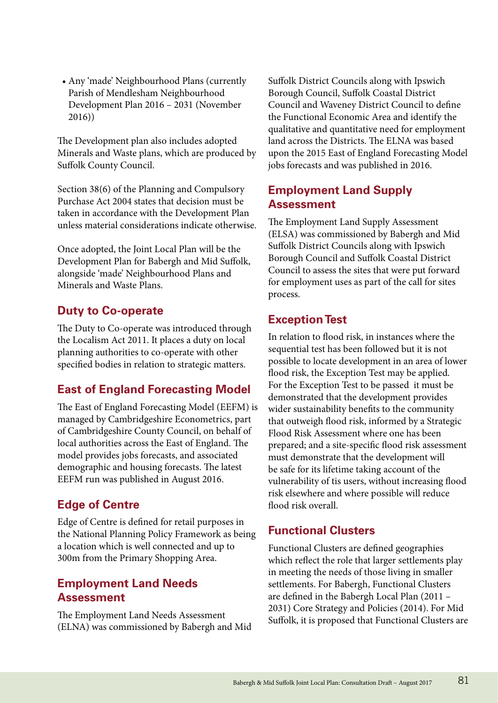• Any 'made' Neighbourhood Plans (currently Parish of Mendlesham Neighbourhood Development Plan 2016 – 2031 (November 2016))

The Development plan also includes adopted Minerals and Waste plans, which are produced by Suffolk County Council.

Section 38(6) of the Planning and Compulsory Purchase Act 2004 states that decision must be taken in accordance with the Development Plan unless material considerations indicate otherwise.

Once adopted, the Joint Local Plan will be the Development Plan for Babergh and Mid Suffolk, alongside 'made' Neighbourhood Plans and Minerals and Waste Plans.

#### **Duty to Co-operate**

The Duty to Co-operate was introduced through the Localism Act 2011. It places a duty on local planning authorities to co-operate with other specified bodies in relation to strategic matters.

## **East of England Forecasting Model**

The East of England Forecasting Model (EEFM) is managed by Cambridgeshire Econometrics, part of Cambridgeshire County Council, on behalf of local authorities across the East of England. The model provides jobs forecasts, and associated demographic and housing forecasts. The latest EEFM run was published in August 2016.

## **Edge of Centre**

Edge of Centre is defined for retail purposes in the National Planning Policy Framework as being a location which is well connected and up to 300m from the Primary Shopping Area.

#### **Employment Land Needs Assessment**

The Employment Land Needs Assessment (ELNA) was commissioned by Babergh and Mid Suffolk District Councils along with Ipswich Borough Council, Suffolk Coastal District Council and Waveney District Council to define the Functional Economic Area and identify the qualitative and quantitative need for employment land across the Districts. The ELNA was based upon the 2015 East of England Forecasting Model jobs forecasts and was published in 2016.

#### **Employment Land Supply Assessment**

The Employment Land Supply Assessment (ELSA) was commissioned by Babergh and Mid Suffolk District Councils along with Ipswich Borough Council and Suffolk Coastal District Council to assess the sites that were put forward for employment uses as part of the call for sites process.

#### **Exception Test**

In relation to flood risk, in instances where the sequential test has been followed but it is not possible to locate development in an area of lower flood risk, the Exception Test may be applied. For the Exception Test to be passed it must be demonstrated that the development provides wider sustainability benefits to the community that outweigh flood risk, informed by a Strategic Flood Risk Assessment where one has been prepared; and a site-specific flood risk assessment must demonstrate that the development will be safe for its lifetime taking account of the vulnerability of tis users, without increasing flood risk elsewhere and where possible will reduce flood risk overall.

#### **Functional Clusters**

Functional Clusters are defined geographies which reflect the role that larger settlements play in meeting the needs of those living in smaller settlements. For Babergh, Functional Clusters are defined in the Babergh Local Plan (2011 – 2031) Core Strategy and Policies (2014). For Mid Suffolk, it is proposed that Functional Clusters are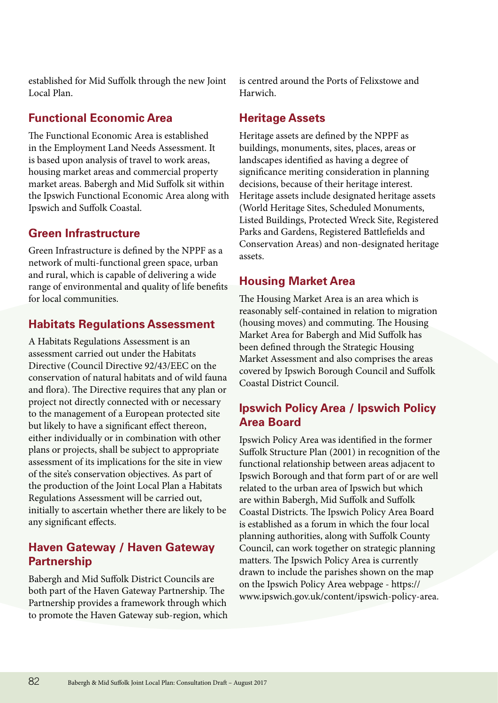established for Mid Suffolk through the new Joint Local Plan.

#### **Functional Economic Area**

The Functional Economic Area is established in the Employment Land Needs Assessment. It is based upon analysis of travel to work areas, housing market areas and commercial property market areas. Babergh and Mid Suffolk sit within the Ipswich Functional Economic Area along with Ipswich and Suffolk Coastal.

#### **Green Infrastructure**

Green Infrastructure is defined by the NPPF as a network of multi-functional green space, urban and rural, which is capable of delivering a wide range of environmental and quality of life benefits for local communities.

#### **Habitats Regulations Assessment**

A Habitats Regulations Assessment is an assessment carried out under the Habitats Directive (Council Directive 92/43/EEC on the conservation of natural habitats and of wild fauna and flora). The Directive requires that any plan or project not directly connected with or necessary to the management of a European protected site but likely to have a significant effect thereon, either individually or in combination with other plans or projects, shall be subject to appropriate assessment of its implications for the site in view of the site's conservation objectives. As part of the production of the Joint Local Plan a Habitats Regulations Assessment will be carried out, initially to ascertain whether there are likely to be any significant effects.

#### **Haven Gateway / Haven Gateway Partnership**

Babergh and Mid Suffolk District Councils are both part of the Haven Gateway Partnership. The Partnership provides a framework through which to promote the Haven Gateway sub-region, which is centred around the Ports of Felixstowe and Harwich.

#### **Heritage Assets**

Heritage assets are defined by the NPPF as buildings, monuments, sites, places, areas or landscapes identified as having a degree of significance meriting consideration in planning decisions, because of their heritage interest. Heritage assets include designated heritage assets (World Heritage Sites, Scheduled Monuments, Listed Buildings, Protected Wreck Site, Registered Parks and Gardens, Registered Battlefields and Conservation Areas) and non-designated heritage assets.

#### **Housing Market Area**

The Housing Market Area is an area which is reasonably self-contained in relation to migration (housing moves) and commuting. The Housing Market Area for Babergh and Mid Suffolk has been defined through the Strategic Housing Market Assessment and also comprises the areas covered by Ipswich Borough Council and Suffolk Coastal District Council.

#### **Ipswich Policy Area / Ipswich Policy Area Board**

Ipswich Policy Area was identified in the former Suffolk Structure Plan (2001) in recognition of the functional relationship between areas adjacent to Ipswich Borough and that form part of or are well related to the urban area of Ipswich but which are within Babergh, Mid Suffolk and Suffolk Coastal Districts. The Ipswich Policy Area Board is established as a forum in which the four local planning authorities, along with Suffolk County Council, can work together on strategic planning matters. The Ipswich Policy Area is currently drawn to include the parishes shown on the map on the Ipswich Policy Area webpage - https:// www.ipswich.gov.uk/content/ipswich-policy-area.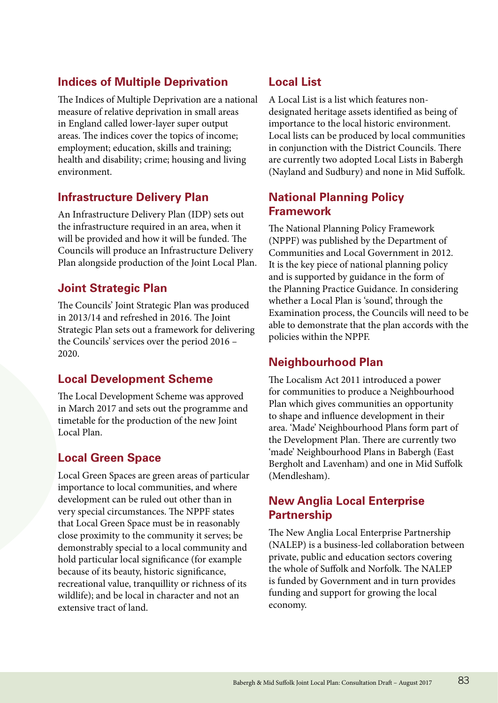#### **Indices of Multiple Deprivation**

The Indices of Multiple Deprivation are a national measure of relative deprivation in small areas in England called lower-layer super output areas. The indices cover the topics of income; employment; education, skills and training; health and disability; crime; housing and living environment.

#### **Infrastructure Delivery Plan**

An Infrastructure Delivery Plan (IDP) sets out the infrastructure required in an area, when it will be provided and how it will be funded. The Councils will produce an Infrastructure Delivery Plan alongside production of the Joint Local Plan.

#### **Joint Strategic Plan**

The Councils' Joint Strategic Plan was produced in 2013/14 and refreshed in 2016. The Joint Strategic Plan sets out a framework for delivering the Councils' services over the period 2016 – 2020.

#### **Local Development Scheme**

The Local Development Scheme was approved in March 2017 and sets out the programme and timetable for the production of the new Joint Local Plan.

#### **Local Green Space**

Local Green Spaces are green areas of particular importance to local communities, and where development can be ruled out other than in very special circumstances. The NPPF states that Local Green Space must be in reasonably close proximity to the community it serves; be demonstrably special to a local community and hold particular local significance (for example because of its beauty, historic significance, recreational value, tranquillity or richness of its wildlife); and be local in character and not an extensive tract of land.

#### **Local List**

A Local List is a list which features nondesignated heritage assets identified as being of importance to the local historic environment. Local lists can be produced by local communities in conjunction with the District Councils. There are currently two adopted Local Lists in Babergh (Nayland and Sudbury) and none in Mid Suffolk.

#### **National Planning Policy Framework**

The National Planning Policy Framework (NPPF) was published by the Department of Communities and Local Government in 2012. It is the key piece of national planning policy and is supported by guidance in the form of the Planning Practice Guidance. In considering whether a Local Plan is 'sound', through the Examination process, the Councils will need to be able to demonstrate that the plan accords with the policies within the NPPF.

## **Neighbourhood Plan**

The Localism Act 2011 introduced a power for communities to produce a Neighbourhood Plan which gives communities an opportunity to shape and influence development in their area. 'Made' Neighbourhood Plans form part of the Development Plan. There are currently two 'made' Neighbourhood Plans in Babergh (East Bergholt and Lavenham) and one in Mid Suffolk (Mendlesham).

#### **New Anglia Local Enterprise Partnership**

The New Anglia Local Enterprise Partnership (NALEP) is a business-led collaboration between private, public and education sectors covering the whole of Suffolk and Norfolk. The NALEP is funded by Government and in turn provides funding and support for growing the local economy.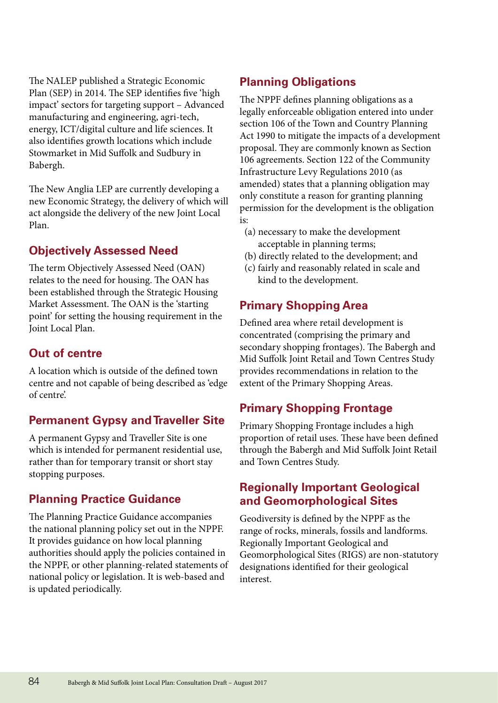The NALEP published a Strategic Economic Plan (SEP) in 2014. The SEP identifies five 'high impact' sectors for targeting support – Advanced manufacturing and engineering, agri-tech, energy, ICT/digital culture and life sciences. It also identifies growth locations which include Stowmarket in Mid Suffolk and Sudbury in Babergh.

The New Anglia LEP are currently developing a new Economic Strategy, the delivery of which will act alongside the delivery of the new Joint Local Plan.

#### **Objectively Assessed Need**

The term Objectively Assessed Need (OAN) relates to the need for housing. The OAN has been established through the Strategic Housing Market Assessment. The OAN is the 'starting point' for setting the housing requirement in the Joint Local Plan.

#### **Out of centre**

A location which is outside of the defined town centre and not capable of being described as 'edge of centre'.

## **Permanent Gypsy and Traveller Site**

A permanent Gypsy and Traveller Site is one which is intended for permanent residential use, rather than for temporary transit or short stay stopping purposes.

#### **Planning Practice Guidance**

The Planning Practice Guidance accompanies the national planning policy set out in the NPPF. It provides guidance on how local planning authorities should apply the policies contained in the NPPF, or other planning-related statements of national policy or legislation. It is web-based and is updated periodically.

## **Planning Obligations**

The NPPF defines planning obligations as a legally enforceable obligation entered into under section 106 of the Town and Country Planning Act 1990 to mitigate the impacts of a development proposal. They are commonly known as Section 106 agreements. Section 122 of the Community Infrastructure Levy Regulations 2010 (as amended) states that a planning obligation may only constitute a reason for granting planning permission for the development is the obligation is:

- (a) necessary to make the development acceptable in planning terms;
- (b) directly related to the development; and
- (c) fairly and reasonably related in scale and kind to the development.

## **Primary Shopping Area**

Defined area where retail development is concentrated (comprising the primary and secondary shopping frontages). The Babergh and Mid Suffolk Joint Retail and Town Centres Study provides recommendations in relation to the extent of the Primary Shopping Areas.

## **Primary Shopping Frontage**

Primary Shopping Frontage includes a high proportion of retail uses. These have been defined through the Babergh and Mid Suffolk Joint Retail and Town Centres Study.

#### **Regionally Important Geological and Geomorphological Sites**

Geodiversity is defined by the NPPF as the range of rocks, minerals, fossils and landforms. Regionally Important Geological and Geomorphological Sites (RIGS) are non-statutory designations identified for their geological interest.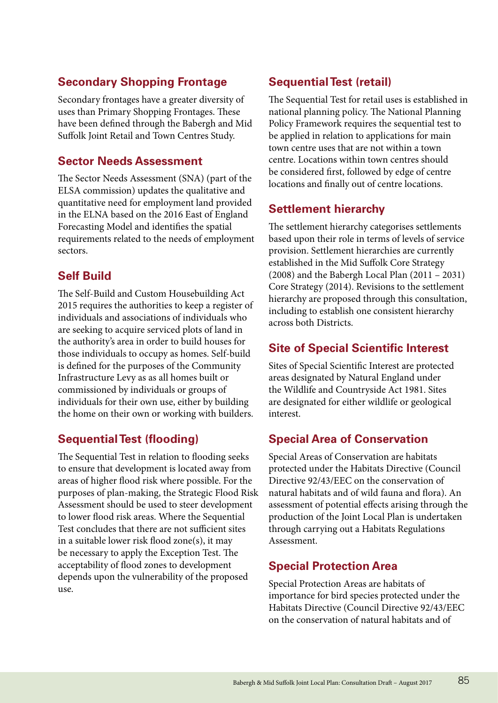#### **Secondary Shopping Frontage**

Secondary frontages have a greater diversity of uses than Primary Shopping Frontages. These have been defined through the Babergh and Mid Suffolk Joint Retail and Town Centres Study.

#### **Sector Needs Assessment**

The Sector Needs Assessment (SNA) (part of the ELSA commission) updates the qualitative and quantitative need for employment land provided in the ELNA based on the 2016 East of England Forecasting Model and identifies the spatial requirements related to the needs of employment sectors.

#### **Self Build**

The Self-Build and Custom Housebuilding Act 2015 requires the authorities to keep a register of individuals and associations of individuals who are seeking to acquire serviced plots of land in the authority's area in order to build houses for those individuals to occupy as homes. Self-build is defined for the purposes of the Community Infrastructure Levy as as all homes built or commissioned by individuals or groups of individuals for their own use, either by building the home on their own or working with builders.

## **Sequential Test (flooding)**

The Sequential Test in relation to flooding seeks to ensure that development is located away from areas of higher flood risk where possible. For the purposes of plan-making, the Strategic Flood Risk Assessment should be used to steer development to lower flood risk areas. Where the Sequential Test concludes that there are not sufficient sites in a suitable lower risk flood zone(s), it may be necessary to apply the Exception Test. The acceptability of flood zones to development depends upon the vulnerability of the proposed use.

#### **Sequential Test (retail)**

The Sequential Test for retail uses is established in national planning policy. The National Planning Policy Framework requires the sequential test to be applied in relation to applications for main town centre uses that are not within a town centre. Locations within town centres should be considered first, followed by edge of centre locations and finally out of centre locations.

#### **Settlement hierarchy**

The settlement hierarchy categorises settlements based upon their role in terms of levels of service provision. Settlement hierarchies are currently established in the Mid Suffolk Core Strategy (2008) and the Babergh Local Plan (2011 – 2031) Core Strategy (2014). Revisions to the settlement hierarchy are proposed through this consultation, including to establish one consistent hierarchy across both Districts.

#### **Site of Special Scientific Interest**

Sites of Special Scientific Interest are protected areas designated by Natural England under the Wildlife and Countryside Act 1981. Sites are designated for either wildlife or geological interest.

## **Special Area of Conservation**

Special Areas of Conservation are habitats protected under the Habitats Directive (Council Directive 92/43/EEC on the conservation of natural habitats and of wild fauna and flora). An assessment of potential effects arising through the production of the Joint Local Plan is undertaken through carrying out a Habitats Regulations Assessment.

#### **Special Protection Area**

Special Protection Areas are habitats of importance for bird species protected under the Habitats Directive (Council Directive 92/43/EEC on the conservation of natural habitats and of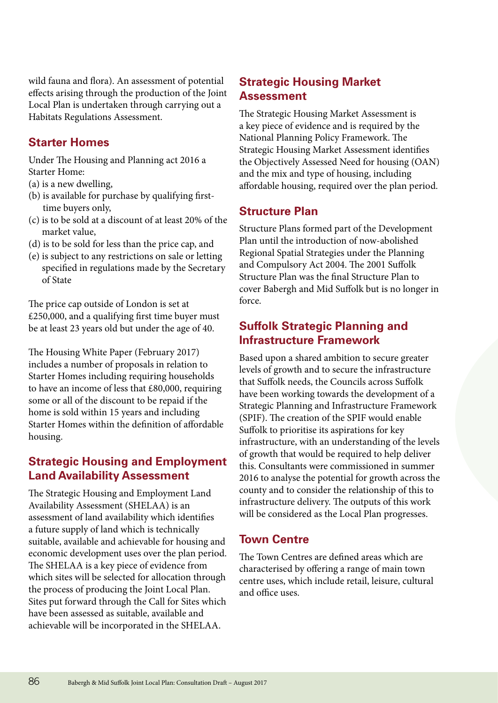wild fauna and flora). An assessment of potential effects arising through the production of the Joint Local Plan is undertaken through carrying out a Habitats Regulations Assessment.

#### **Starter Homes**

Under The Housing and Planning act 2016 a Starter Home:

- (a) is a new dwelling,
- (b) is available for purchase by qualifying firsttime buyers only,
- (c) is to be sold at a discount of at least 20% of the market value,
- (d) is to be sold for less than the price cap, and
- (e) is subject to any restrictions on sale or letting specified in regulations made by the Secretary of State

The price cap outside of London is set at £250,000, and a qualifying first time buyer must be at least 23 years old but under the age of 40.

The Housing White Paper (February 2017) includes a number of proposals in relation to Starter Homes including requiring households to have an income of less that £80,000, requiring some or all of the discount to be repaid if the home is sold within 15 years and including Starter Homes within the definition of affordable housing.

#### **Strategic Housing and Employment Land Availability Assessment**

The Strategic Housing and Employment Land Availability Assessment (SHELAA) is an assessment of land availability which identifies a future supply of land which is technically suitable, available and achievable for housing and economic development uses over the plan period. The SHELAA is a key piece of evidence from which sites will be selected for allocation through the process of producing the Joint Local Plan. Sites put forward through the Call for Sites which have been assessed as suitable, available and achievable will be incorporated in the SHELAA.

## **Strategic Housing Market Assessment**

The Strategic Housing Market Assessment is a key piece of evidence and is required by the National Planning Policy Framework. The Strategic Housing Market Assessment identifies the Objectively Assessed Need for housing (OAN) and the mix and type of housing, including affordable housing, required over the plan period.

#### **Structure Plan**

Structure Plans formed part of the Development Plan until the introduction of now-abolished Regional Spatial Strategies under the Planning and Compulsory Act 2004. The 2001 Suffolk Structure Plan was the final Structure Plan to cover Babergh and Mid Suffolk but is no longer in force.

#### **Suffolk Strategic Planning and Infrastructure Framework**

Based upon a shared ambition to secure greater levels of growth and to secure the infrastructure that Suffolk needs, the Councils across Suffolk have been working towards the development of a Strategic Planning and Infrastructure Framework (SPIF). The creation of the SPIF would enable Suffolk to prioritise its aspirations for key infrastructure, with an understanding of the levels of growth that would be required to help deliver this. Consultants were commissioned in summer 2016 to analyse the potential for growth across the county and to consider the relationship of this to infrastructure delivery. The outputs of this work will be considered as the Local Plan progresses.

#### **Town Centre**

The Town Centres are defined areas which are characterised by offering a range of main town centre uses, which include retail, leisure, cultural and office uses.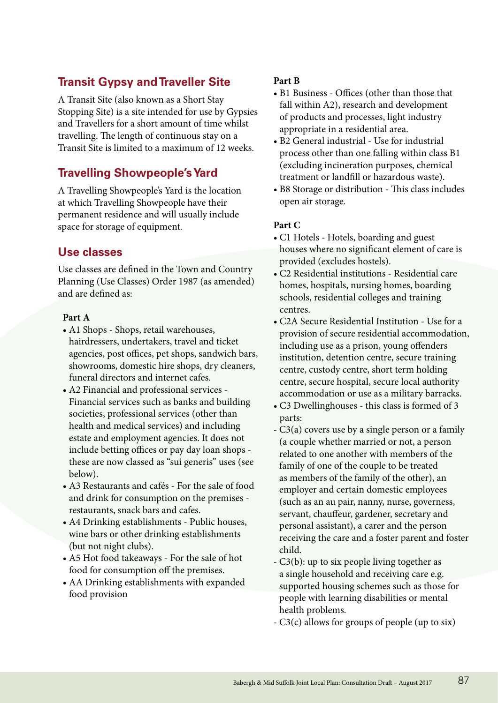#### **Transit Gypsy and Traveller Site**

A Transit Site (also known as a Short Stay Stopping Site) is a site intended for use by Gypsies and Travellers for a short amount of time whilst travelling. The length of continuous stay on a Transit Site is limited to a maximum of 12 weeks.

#### **Travelling Showpeople's Yard**

A Travelling Showpeople's Yard is the location at which Travelling Showpeople have their permanent residence and will usually include space for storage of equipment.

#### **Use classes**

Use classes are defined in the Town and Country Planning (Use Classes) Order 1987 (as amended) and are defined as:

#### **Part A**

- A1 Shops Shops, retail warehouses, hairdressers, undertakers, travel and ticket agencies, post offices, pet shops, sandwich bars, showrooms, domestic hire shops, dry cleaners, funeral directors and internet cafes.
- A2 Financial and professional services Financial services such as banks and building societies, professional services (other than health and medical services) and including estate and employment agencies. It does not include betting offices or pay day loan shops these are now classed as "sui generis" uses (see below).
- A3 Restaurants and cafés For the sale of food and drink for consumption on the premises restaurants, snack bars and cafes.
- A4 Drinking establishments Public houses, wine bars or other drinking establishments (but not night clubs).
- A5 Hot food takeaways For the sale of hot food for consumption off the premises.
- AA Drinking establishments with expanded food provision

#### **Part B**

- B1 Business Offices (other than those that fall within A2), research and development of products and processes, light industry appropriate in a residential area.
- B2 General industrial Use for industrial process other than one falling within class B1 (excluding incineration purposes, chemical treatment or landfill or hazardous waste).
- B8 Storage or distribution This class includes open air storage.

#### **Part C**

- C1 Hotels Hotels, boarding and guest houses where no significant element of care is provided (excludes hostels).
- C2 Residential institutions Residential care homes, hospitals, nursing homes, boarding schools, residential colleges and training centres.
- C2A Secure Residential Institution Use for a provision of secure residential accommodation, including use as a prison, young offenders institution, detention centre, secure training centre, custody centre, short term holding centre, secure hospital, secure local authority accommodation or use as a military barracks.
- C3 Dwellinghouses this class is formed of 3 parts:
- C3(a) covers use by a single person or a family (a couple whether married or not, a person related to one another with members of the family of one of the couple to be treated as members of the family of the other), an employer and certain domestic employees (such as an au pair, nanny, nurse, governess, servant, chauffeur, gardener, secretary and personal assistant), a carer and the person receiving the care and a foster parent and foster child.
- C3(b): up to six people living together as a single household and receiving care e.g. supported housing schemes such as those for people with learning disabilities or mental health problems.
- C3(c) allows for groups of people (up to six)